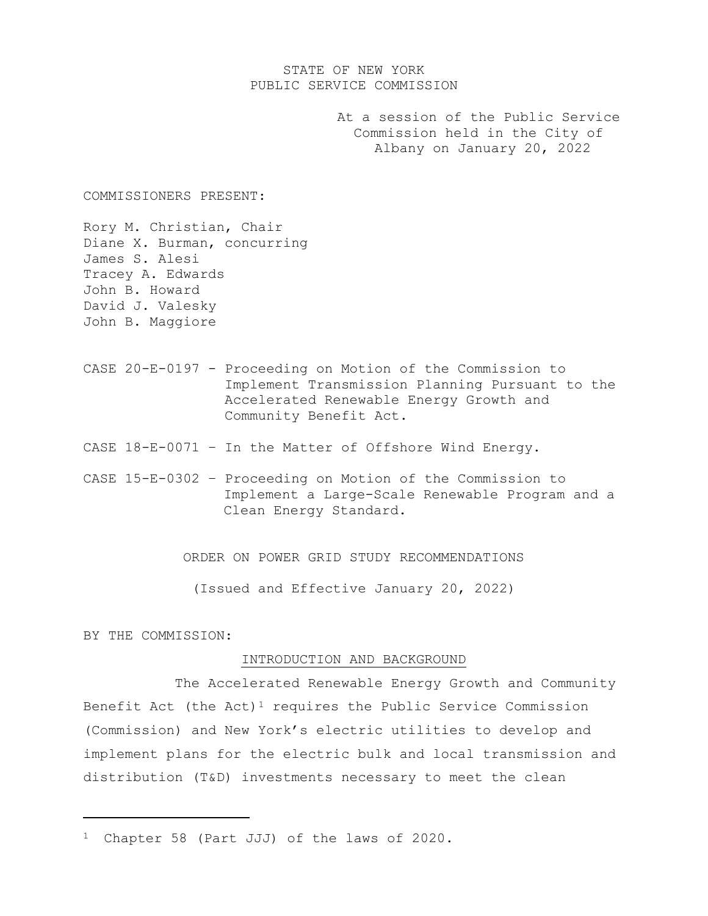# STATE OF NEW YORK PUBLIC SERVICE COMMISSION

At a session of the Public Service Commission held in the City of Albany on January 20, 2022

COMMISSIONERS PRESENT:

Rory M. Christian, Chair Diane X. Burman, concurring James S. Alesi Tracey A. Edwards John B. Howard David J. Valesky John B. Maggiore

- CASE 20-E-0197 Proceeding on Motion of the Commission to Implement Transmission Planning Pursuant to the Accelerated Renewable Energy Growth and Community Benefit Act.
- CASE 18-E-0071 In the Matter of Offshore Wind Energy.
- CASE 15-E-0302 Proceeding on Motion of the Commission to Implement a Large-Scale Renewable Program and a Clean Energy Standard.

ORDER ON POWER GRID STUDY RECOMMENDATIONS

(Issued and Effective January 20, 2022)

BY THE COMMISSION:

#### INTRODUCTION AND BACKGROUND

The Accelerated Renewable Energy Growth and Community Benefit Act (the Act)<sup>[1](#page-0-0)</sup> requires the Public Service Commission (Commission) and New York's electric utilities to develop and implement plans for the electric bulk and local transmission and distribution (T&D) investments necessary to meet the clean

<span id="page-0-0"></span><sup>1</sup> Chapter 58 (Part JJJ) of the laws of 2020.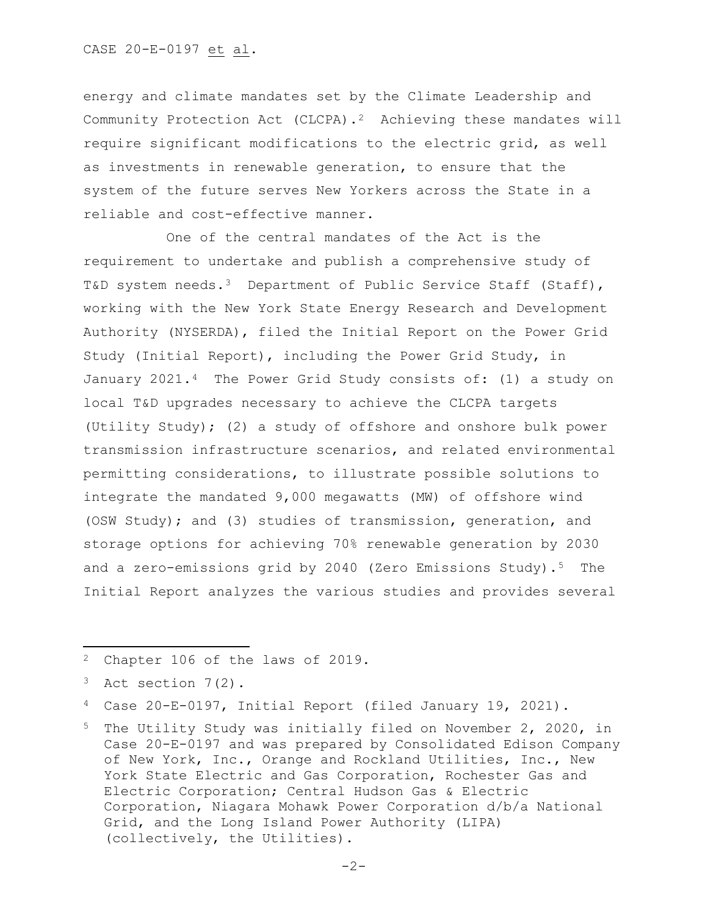energy and climate mandates set by the Climate Leadership and Community Protection Act (CLCPA).[2](#page-1-0) Achieving these mandates will require significant modifications to the electric grid, as well as investments in renewable generation, to ensure that the system of the future serves New Yorkers across the State in a reliable and cost-effective manner.

One of the central mandates of the Act is the requirement to undertake and publish a comprehensive study of T&D system needs.<sup>3</sup> Department of Public Service Staff (Staff), working with the New York State Energy Research and Development Authority (NYSERDA), filed the Initial Report on the Power Grid Study (Initial Report), including the Power Grid Study, in January 2021.<sup>4</sup> The Power Grid Study consists of: (1) a study on local T&D upgrades necessary to achieve the CLCPA targets (Utility Study); (2) a study of offshore and onshore bulk power transmission infrastructure scenarios, and related environmental permitting considerations, to illustrate possible solutions to integrate the mandated 9,000 megawatts (MW) of offshore wind (OSW Study); and (3) studies of transmission, generation, and storage options for achieving 70% renewable generation by 2030 and a zero-emissions grid by 2040 (Zero Emissions Study).<sup>[5](#page-1-3)</sup> The Initial Report analyzes the various studies and provides several

<span id="page-1-0"></span><sup>2</sup> Chapter 106 of the laws of 2019.

<span id="page-1-1"></span> $3$  Act section  $7(2)$ .

<span id="page-1-2"></span><sup>4</sup> Case 20-E-0197, Initial Report (filed January 19, 2021).

<span id="page-1-3"></span><sup>5</sup> The Utility Study was initially filed on November 2, 2020, in Case 20-E-0197 and was prepared by Consolidated Edison Company of New York, Inc., Orange and Rockland Utilities, Inc., New York State Electric and Gas Corporation, Rochester Gas and Electric Corporation; Central Hudson Gas & Electric Corporation, Niagara Mohawk Power Corporation d/b/a National Grid, and the Long Island Power Authority (LIPA) (collectively, the Utilities).

 $-2-$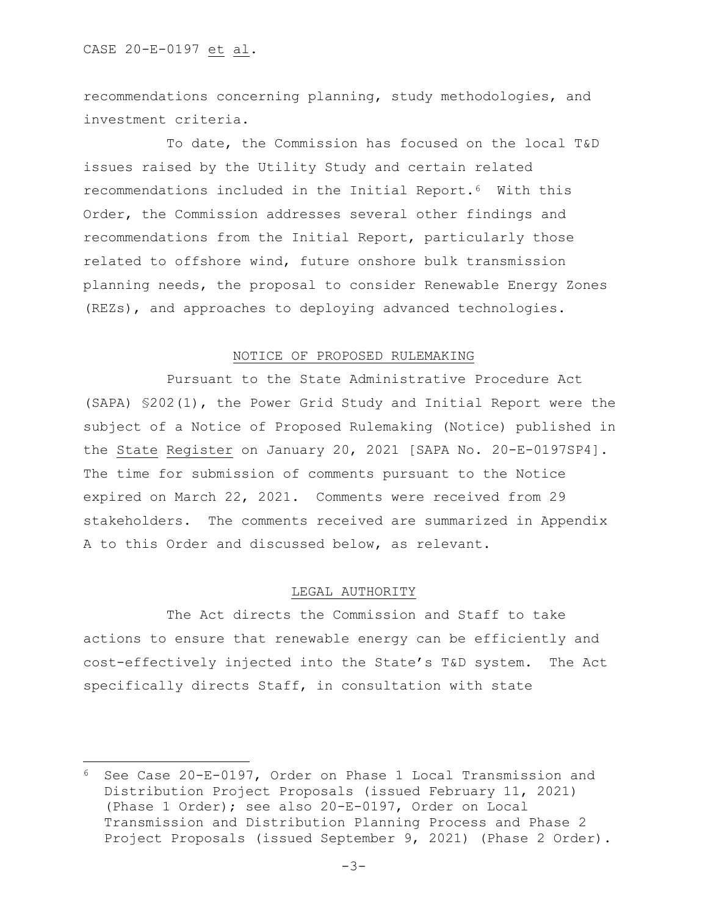recommendations concerning planning, study methodologies, and investment criteria.

 To date, the Commission has focused on the local T&D issues raised by the Utility Study and certain related recommendations included in the Initial Report.[6](#page-2-0) With this Order, the Commission addresses several other findings and recommendations from the Initial Report, particularly those related to offshore wind, future onshore bulk transmission planning needs, the proposal to consider Renewable Energy Zones (REZs), and approaches to deploying advanced technologies.

### NOTICE OF PROPOSED RULEMAKING

 Pursuant to the State Administrative Procedure Act (SAPA) §202(1), the Power Grid Study and Initial Report were the subject of a Notice of Proposed Rulemaking (Notice) published in the State Register on January 20, 2021 [SAPA No. 20-E-0197SP4]. The time for submission of comments pursuant to the Notice expired on March 22, 2021. Comments were received from 29 stakeholders. The comments received are summarized in Appendix A to this Order and discussed below, as relevant.

### LEGAL AUTHORITY

 The Act directs the Commission and Staff to take actions to ensure that renewable energy can be efficiently and cost-effectively injected into the State's T&D system. The Act specifically directs Staff, in consultation with state

<span id="page-2-0"></span><sup>6</sup> See Case 20-E-0197, Order on Phase 1 Local Transmission and Distribution Project Proposals (issued February 11, 2021) (Phase 1 Order); see also 20-E-0197, Order on Local Transmission and Distribution Planning Process and Phase 2 Project Proposals (issued September 9, 2021) (Phase 2 Order).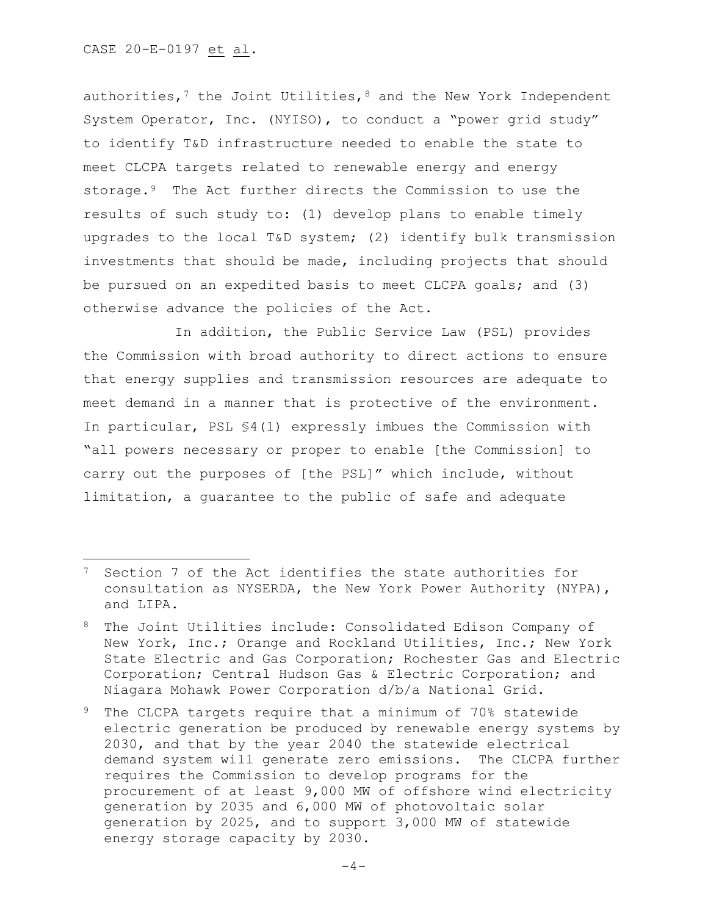authorities,<sup>[7](#page-3-0)</sup> the Joint Utilities,<sup>[8](#page-3-1)</sup> and the New York Independent System Operator, Inc. (NYISO), to conduct a "power grid study" to identify T&D infrastructure needed to enable the state to meet CLCPA targets related to renewable energy and energy storage.[9](#page-3-2) The Act further directs the Commission to use the results of such study to: (1) develop plans to enable timely upgrades to the local T&D system; (2) identify bulk transmission investments that should be made, including projects that should be pursued on an expedited basis to meet CLCPA goals; and (3) otherwise advance the policies of the Act.

In addition, the Public Service Law (PSL) provides the Commission with broad authority to direct actions to ensure that energy supplies and transmission resources are adequate to meet demand in a manner that is protective of the environment. In particular, PSL §4(1) expressly imbues the Commission with "all powers necessary or proper to enable [the Commission] to carry out the purposes of [the PSL]" which include, without limitation, a guarantee to the public of safe and adequate

<span id="page-3-0"></span>Section 7 of the Act identifies the state authorities for consultation as NYSERDA, the New York Power Authority (NYPA), and LIPA.

<span id="page-3-1"></span><sup>&</sup>lt;sup>8</sup> The Joint Utilities include: Consolidated Edison Company of New York, Inc.; Orange and Rockland Utilities, Inc.; New York State Electric and Gas Corporation; Rochester Gas and Electric Corporation; Central Hudson Gas & Electric Corporation; and Niagara Mohawk Power Corporation d/b/a National Grid.

<span id="page-3-2"></span><sup>&</sup>lt;sup>9</sup> The CLCPA targets require that a minimum of 70% statewide electric generation be produced by renewable energy systems by 2030, and that by the year 2040 the statewide electrical demand system will generate zero emissions. The CLCPA further requires the Commission to develop programs for the procurement of at least 9,000 MW of offshore wind electricity generation by 2035 and 6,000 MW of photovoltaic solar generation by 2025, and to support 3,000 MW of statewide energy storage capacity by 2030.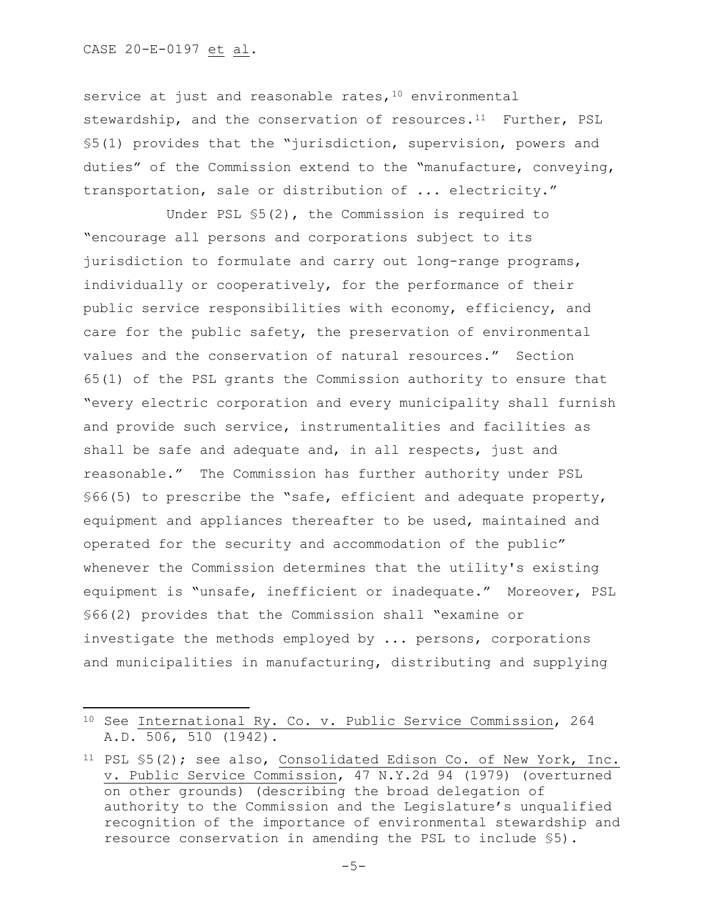service at just and reasonable rates,  $10$  environmental stewardship, and the conservation of resources.<sup>[11](#page-4-1)</sup> Further, PSL §5(1) provides that the "jurisdiction, supervision, powers and duties" of the Commission extend to the "manufacture, conveying, transportation, sale or distribution of ... electricity."

Under PSL §5(2), the Commission is required to "encourage all persons and corporations subject to its jurisdiction to formulate and carry out long-range programs, individually or cooperatively, for the performance of their public service responsibilities with economy, efficiency, and care for the public safety, the preservation of environmental values and the conservation of natural resources." Section 65(1) of the PSL grants the Commission authority to ensure that "every electric corporation and every municipality shall furnish and provide such service, instrumentalities and facilities as shall be safe and adequate and, in all respects, just and reasonable." The Commission has further authority under PSL §66(5) to prescribe the "safe, efficient and adequate property, equipment and appliances thereafter to be used, maintained and operated for the security and accommodation of the public" whenever the Commission determines that the utility's existing equipment is "unsafe, inefficient or inadequate." Moreover, PSL §66(2) provides that the Commission shall "examine or investigate the methods employed by ... persons, corporations and municipalities in manufacturing, distributing and supplying

<span id="page-4-0"></span><sup>10</sup> See International Ry. Co. v. Public Service Commission, 264 A.D. 506, 510 (1942).

<span id="page-4-1"></span><sup>11</sup> PSL §5(2); see also, Consolidated Edison Co. of New York, Inc. v. Public Service Commission, 47 N.Y.2d 94 (1979) (overturned on other grounds) (describing the broad delegation of authority to the Commission and the Legislature's unqualified recognition of the importance of environmental stewardship and resource conservation in amending the PSL to include §5).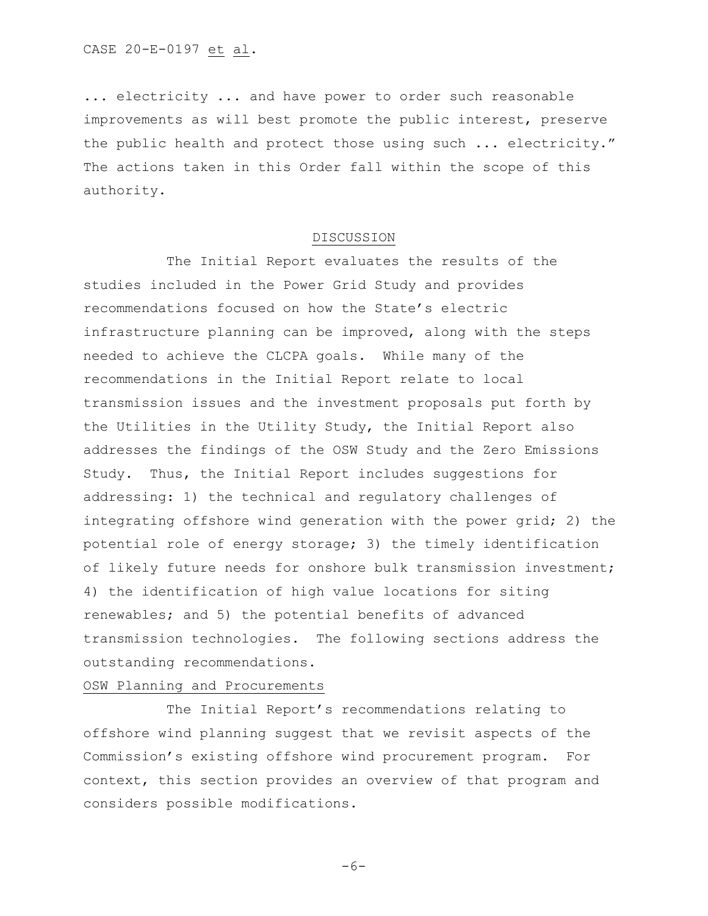... electricity ... and have power to order such reasonable improvements as will best promote the public interest, preserve the public health and protect those using such ... electricity." The actions taken in this Order fall within the scope of this authority.

# DISCUSSION

The Initial Report evaluates the results of the studies included in the Power Grid Study and provides recommendations focused on how the State's electric infrastructure planning can be improved, along with the steps needed to achieve the CLCPA goals. While many of the recommendations in the Initial Report relate to local transmission issues and the investment proposals put forth by the Utilities in the Utility Study, the Initial Report also addresses the findings of the OSW Study and the Zero Emissions Study. Thus, the Initial Report includes suggestions for addressing: 1) the technical and regulatory challenges of integrating offshore wind generation with the power grid; 2) the potential role of energy storage; 3) the timely identification of likely future needs for onshore bulk transmission investment; 4) the identification of high value locations for siting renewables; and 5) the potential benefits of advanced transmission technologies. The following sections address the outstanding recommendations.

# OSW Planning and Procurements

The Initial Report's recommendations relating to offshore wind planning suggest that we revisit aspects of the Commission's existing offshore wind procurement program. For context, this section provides an overview of that program and considers possible modifications.

-6-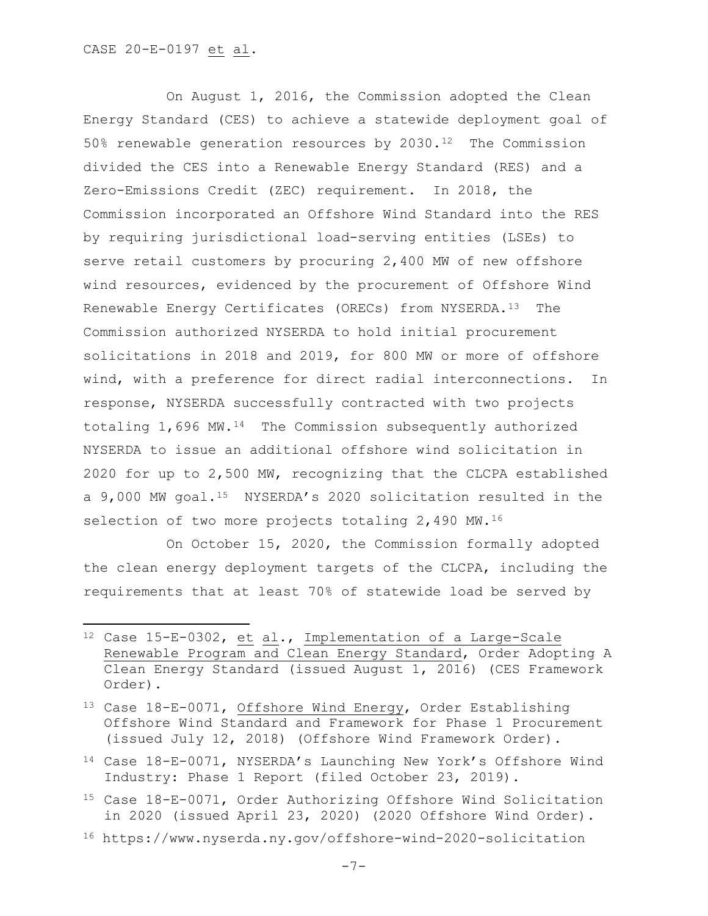On August 1, 2016, the Commission adopted the Clean Energy Standard (CES) to achieve a statewide deployment goal of 50% renewable generation resources by  $2030 \cdot 12$  $2030 \cdot 12$  The Commission divided the CES into a Renewable Energy Standard (RES) and a Zero-Emissions Credit (ZEC) requirement. In 2018, the Commission incorporated an Offshore Wind Standard into the RES by requiring jurisdictional load-serving entities (LSEs) to serve retail customers by procuring 2,400 MW of new offshore wind resources, evidenced by the procurement of Offshore Wind Renewable Energy Certificates (ORECs) from NYSERDA.[13](#page-6-1) The Commission authorized NYSERDA to hold initial procurement solicitations in 2018 and 2019, for 800 MW or more of offshore wind, with a preference for direct radial interconnections. In response, NYSERDA successfully contracted with two projects totaling 1,696 MW.[14](#page-6-2) The Commission subsequently authorized NYSERDA to issue an additional offshore wind solicitation in 2020 for up to 2,500 MW, recognizing that the CLCPA established a 9,000 MW goal.[15](#page-6-3) NYSERDA's 2020 solicitation resulted in the selection of two more projects totaling 2,490 MW.<sup>16</sup>

On October 15, 2020, the Commission formally adopted the clean energy deployment targets of the CLCPA, including the requirements that at least 70% of statewide load be served by

- <span id="page-6-1"></span><sup>13</sup> Case 18-E-0071, Offshore Wind Energy, Order Establishing Offshore Wind Standard and Framework for Phase 1 Procurement (issued July 12, 2018) (Offshore Wind Framework Order).
- <span id="page-6-2"></span><sup>14</sup> Case 18-E-0071, NYSERDA's Launching New York's Offshore Wind Industry: Phase 1 Report (filed October 23, 2019).
- <span id="page-6-3"></span><sup>15</sup> Case 18-E-0071, Order Authorizing Offshore Wind Solicitation in 2020 (issued April 23, 2020) (2020 Offshore Wind Order).
- <span id="page-6-4"></span><sup>16</sup> https://www.nyserda.ny.gov/offshore-wind-2020-solicitation

<span id="page-6-0"></span><sup>12</sup> Case 15-E-0302, et al., Implementation of a Large-Scale Renewable Program and Clean Energy Standard, Order Adopting A Clean Energy Standard (issued August 1, 2016) (CES Framework Order).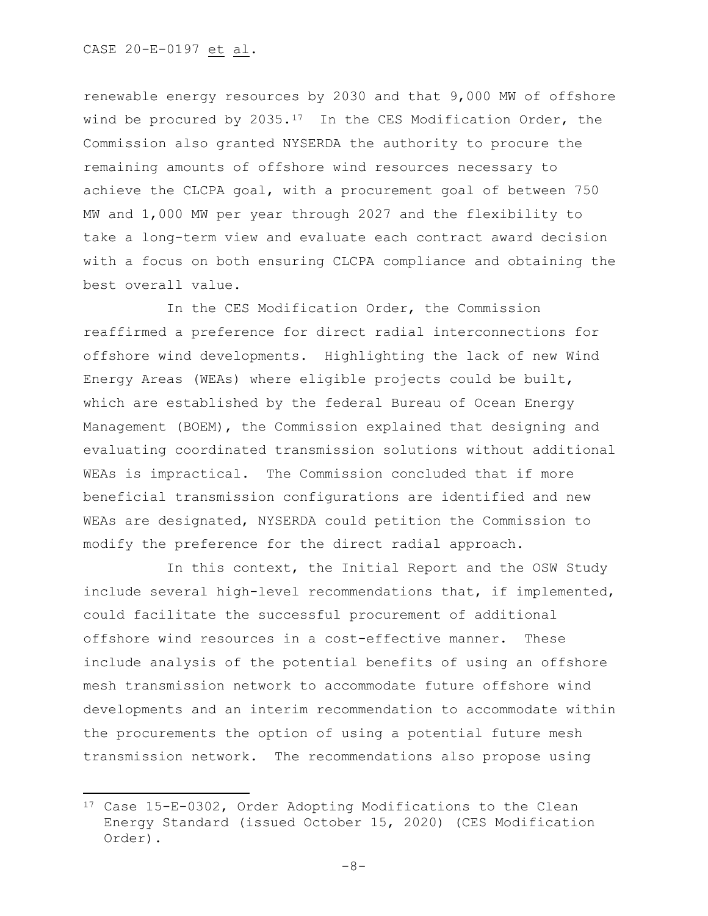renewable energy resources by 2030 and that 9,000 MW of offshore wind be procured by 2035.<sup>[17](#page-7-0)</sup> In the CES Modification Order, the Commission also granted NYSERDA the authority to procure the remaining amounts of offshore wind resources necessary to achieve the CLCPA goal, with a procurement goal of between 750 MW and 1,000 MW per year through 2027 and the flexibility to take a long-term view and evaluate each contract award decision with a focus on both ensuring CLCPA compliance and obtaining the best overall value.

In the CES Modification Order, the Commission reaffirmed a preference for direct radial interconnections for offshore wind developments. Highlighting the lack of new Wind Energy Areas (WEAs) where eligible projects could be built, which are established by the federal Bureau of Ocean Energy Management (BOEM), the Commission explained that designing and evaluating coordinated transmission solutions without additional WEAs is impractical. The Commission concluded that if more beneficial transmission configurations are identified and new WEAs are designated, NYSERDA could petition the Commission to modify the preference for the direct radial approach.

In this context, the Initial Report and the OSW Study include several high-level recommendations that, if implemented, could facilitate the successful procurement of additional offshore wind resources in a cost-effective manner. These include analysis of the potential benefits of using an offshore mesh transmission network to accommodate future offshore wind developments and an interim recommendation to accommodate within the procurements the option of using a potential future mesh transmission network. The recommendations also propose using

<span id="page-7-0"></span><sup>17</sup> Case 15-E-0302, Order Adopting Modifications to the Clean Energy Standard (issued October 15, 2020) (CES Modification Order).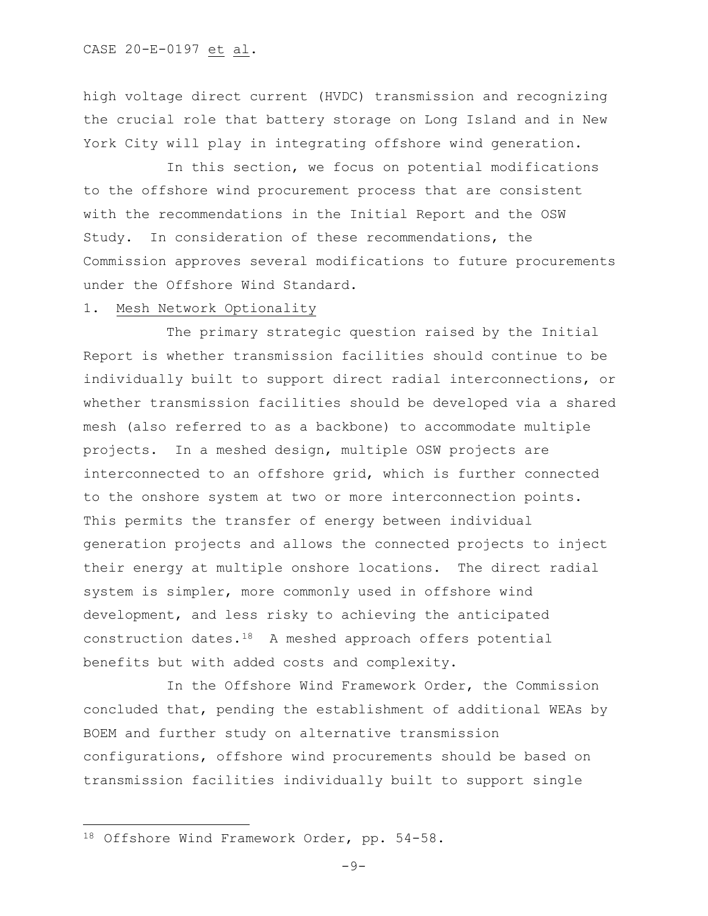high voltage direct current (HVDC) transmission and recognizing the crucial role that battery storage on Long Island and in New York City will play in integrating offshore wind generation.

In this section, we focus on potential modifications to the offshore wind procurement process that are consistent with the recommendations in the Initial Report and the OSW Study. In consideration of these recommendations, the Commission approves several modifications to future procurements under the Offshore Wind Standard.

# 1. Mesh Network Optionality

The primary strategic question raised by the Initial Report is whether transmission facilities should continue to be individually built to support direct radial interconnections, or whether transmission facilities should be developed via a shared mesh (also referred to as a backbone) to accommodate multiple projects. In a meshed design, multiple OSW projects are interconnected to an offshore grid, which is further connected to the onshore system at two or more interconnection points. This permits the transfer of energy between individual generation projects and allows the connected projects to inject their energy at multiple onshore locations. The direct radial system is simpler, more commonly used in offshore wind development, and less risky to achieving the anticipated construction dates. $18$  A meshed approach offers potential benefits but with added costs and complexity.

In the Offshore Wind Framework Order, the Commission concluded that, pending the establishment of additional WEAs by BOEM and further study on alternative transmission configurations, offshore wind procurements should be based on transmission facilities individually built to support single

<span id="page-8-0"></span><sup>18</sup> Offshore Wind Framework Order, pp. 54-58.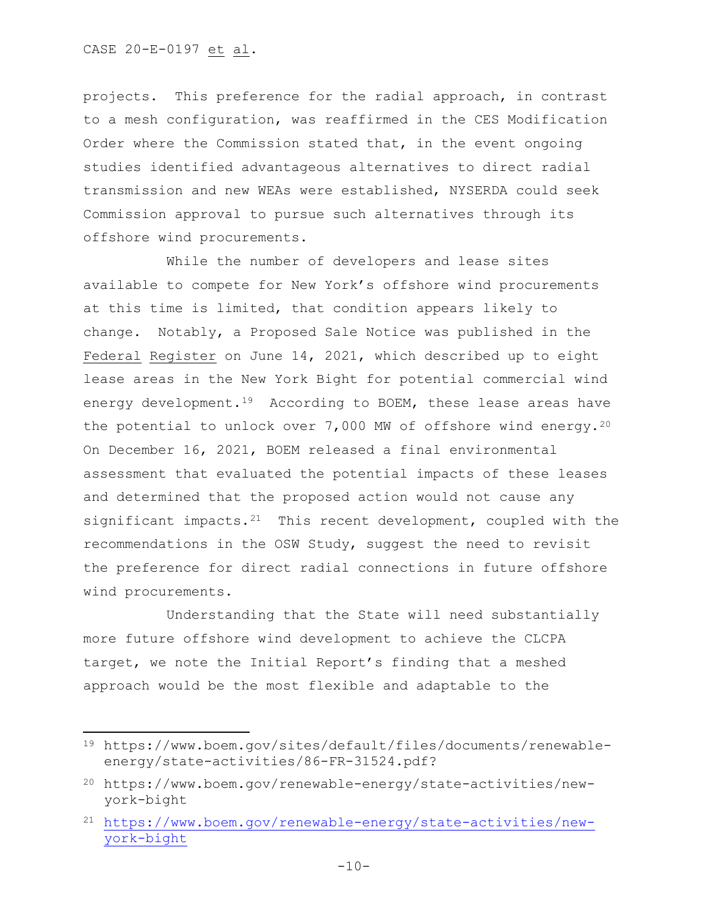projects. This preference for the radial approach, in contrast to a mesh configuration, was reaffirmed in the CES Modification Order where the Commission stated that, in the event ongoing studies identified advantageous alternatives to direct radial transmission and new WEAs were established, NYSERDA could seek Commission approval to pursue such alternatives through its offshore wind procurements.

While the number of developers and lease sites available to compete for New York's offshore wind procurements at this time is limited, that condition appears likely to change. Notably, a Proposed Sale Notice was published in the Federal Register on June 14, 2021, which described up to eight lease areas in the New York Bight for potential commercial wind energy development.<sup>19</sup> According to BOEM, these lease areas have the potential to unlock over 7,000 MW of offshore wind energy.<sup>[20](#page-9-1)</sup> On December 16, 2021, BOEM released a final environmental assessment that evaluated the potential impacts of these leases and determined that the proposed action would not cause any significant impacts.<sup>21</sup> This recent development, coupled with the recommendations in the OSW Study, suggest the need to revisit the preference for direct radial connections in future offshore wind procurements.

Understanding that the State will need substantially more future offshore wind development to achieve the CLCPA target, we note the Initial Report's finding that a meshed approach would be the most flexible and adaptable to the

<span id="page-9-0"></span><sup>19</sup> https://www.boem.gov/sites/default/files/documents/renewableenergy/state-activities/86-FR-31524.pdf?

<span id="page-9-1"></span><sup>20</sup> https://www.boem.gov/renewable-energy/state-activities/newyork-bight

<span id="page-9-2"></span><sup>21</sup> [https://www.boem.gov/renewable-energy/state-activities/new](https://www.boem.gov/renewable-energy/state-activities/new-york-bight)[york-bight](https://www.boem.gov/renewable-energy/state-activities/new-york-bight)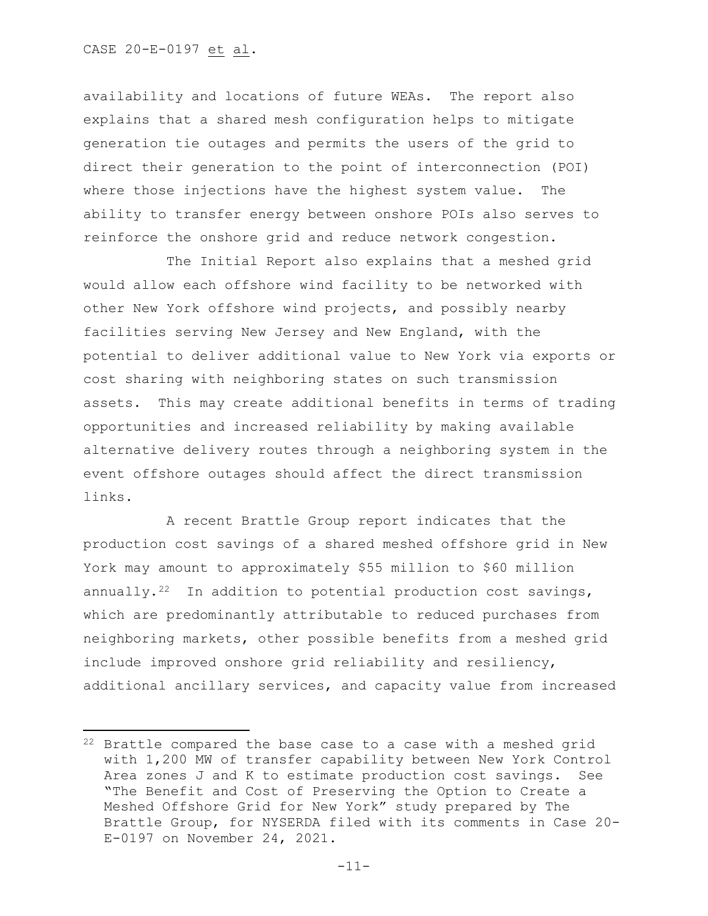availability and locations of future WEAs. The report also explains that a shared mesh configuration helps to mitigate generation tie outages and permits the users of the grid to direct their generation to the point of interconnection (POI) where those injections have the highest system value. The ability to transfer energy between onshore POIs also serves to reinforce the onshore grid and reduce network congestion.

The Initial Report also explains that a meshed grid would allow each offshore wind facility to be networked with other New York offshore wind projects, and possibly nearby facilities serving New Jersey and New England, with the potential to deliver additional value to New York via exports or cost sharing with neighboring states on such transmission assets. This may create additional benefits in terms of trading opportunities and increased reliability by making available alternative delivery routes through a neighboring system in the event offshore outages should affect the direct transmission links.

A recent Brattle Group report indicates that the production cost savings of a shared meshed offshore grid in New York may amount to approximately \$55 million to \$60 million annually.<sup>22</sup> In addition to potential production cost savings, which are predominantly attributable to reduced purchases from neighboring markets, other possible benefits from a meshed grid include improved onshore grid reliability and resiliency, additional ancillary services, and capacity value from increased

<span id="page-10-0"></span><sup>22</sup> Brattle compared the base case to a case with a meshed grid with 1,200 MW of transfer capability between New York Control Area zones J and K to estimate production cost savings. See "The Benefit and Cost of Preserving the Option to Create a Meshed Offshore Grid for New York" study prepared by The Brattle Group, for NYSERDA filed with its comments in Case 20- E-0197 on November 24, 2021.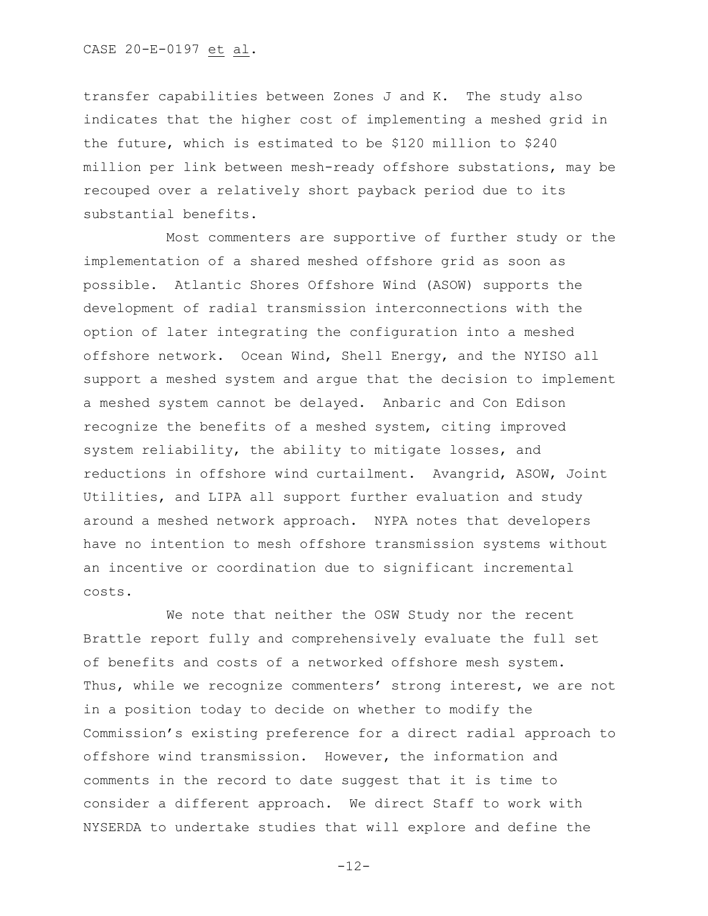transfer capabilities between Zones J and K. The study also indicates that the higher cost of implementing a meshed grid in the future, which is estimated to be \$120 million to \$240 million per link between mesh-ready offshore substations, may be recouped over a relatively short payback period due to its substantial benefits.

Most commenters are supportive of further study or the implementation of a shared meshed offshore grid as soon as possible. Atlantic Shores Offshore Wind (ASOW) supports the development of radial transmission interconnections with the option of later integrating the configuration into a meshed offshore network. Ocean Wind, Shell Energy, and the NYISO all support a meshed system and argue that the decision to implement a meshed system cannot be delayed. Anbaric and Con Edison recognize the benefits of a meshed system, citing improved system reliability, the ability to mitigate losses, and reductions in offshore wind curtailment. Avangrid, ASOW, Joint Utilities, and LIPA all support further evaluation and study around a meshed network approach. NYPA notes that developers have no intention to mesh offshore transmission systems without an incentive or coordination due to significant incremental costs.

We note that neither the OSW Study nor the recent Brattle report fully and comprehensively evaluate the full set of benefits and costs of a networked offshore mesh system. Thus, while we recognize commenters' strong interest, we are not in a position today to decide on whether to modify the Commission's existing preference for a direct radial approach to offshore wind transmission. However, the information and comments in the record to date suggest that it is time to consider a different approach. We direct Staff to work with NYSERDA to undertake studies that will explore and define the

-12-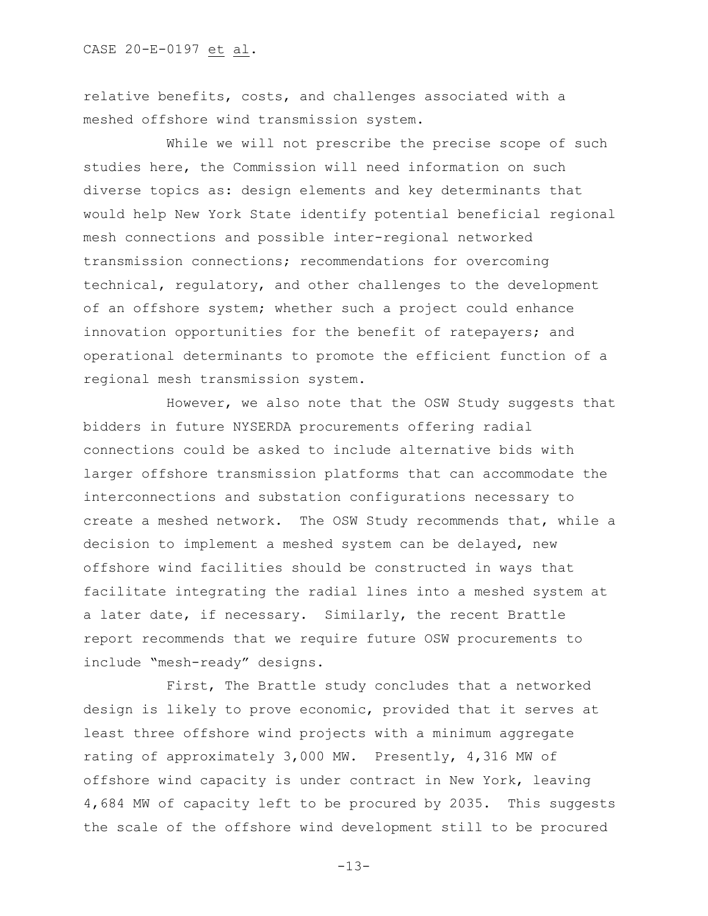relative benefits, costs, and challenges associated with a meshed offshore wind transmission system.

While we will not prescribe the precise scope of such studies here, the Commission will need information on such diverse topics as: design elements and key determinants that would help New York State identify potential beneficial regional mesh connections and possible inter-regional networked transmission connections; recommendations for overcoming technical, regulatory, and other challenges to the development of an offshore system; whether such a project could enhance innovation opportunities for the benefit of ratepayers; and operational determinants to promote the efficient function of a regional mesh transmission system.

However, we also note that the OSW Study suggests that bidders in future NYSERDA procurements offering radial connections could be asked to include alternative bids with larger offshore transmission platforms that can accommodate the interconnections and substation configurations necessary to create a meshed network. The OSW Study recommends that, while a decision to implement a meshed system can be delayed, new offshore wind facilities should be constructed in ways that facilitate integrating the radial lines into a meshed system at a later date, if necessary. Similarly, the recent Brattle report recommends that we require future OSW procurements to include "mesh-ready" designs.

First, The Brattle study concludes that a networked design is likely to prove economic, provided that it serves at least three offshore wind projects with a minimum aggregate rating of approximately 3,000 MW. Presently, 4,316 MW of offshore wind capacity is under contract in New York, leaving 4,684 MW of capacity left to be procured by 2035. This suggests the scale of the offshore wind development still to be procured

-13-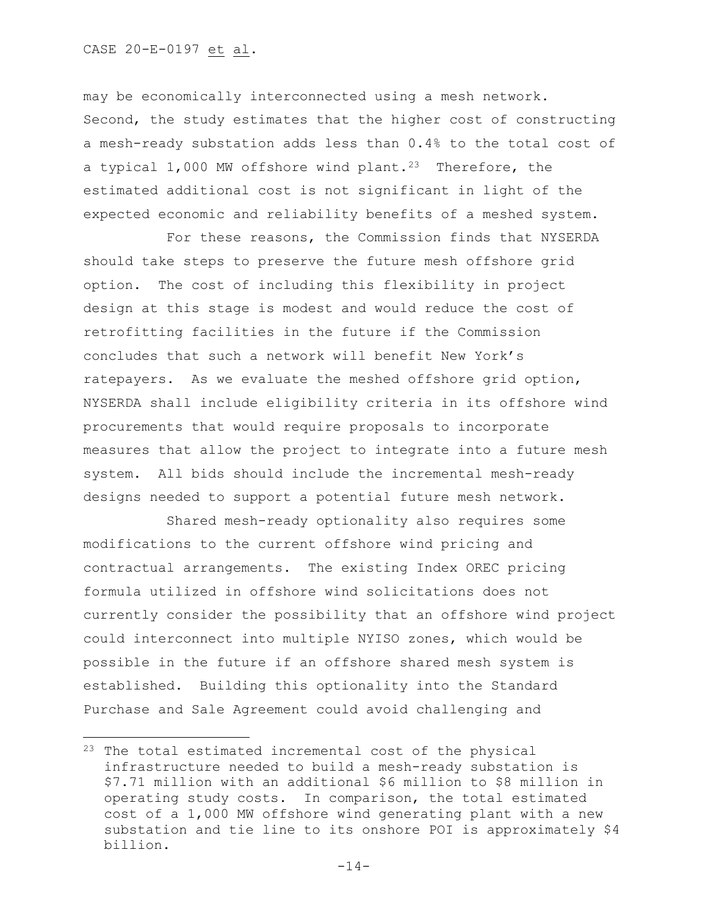may be economically interconnected using a mesh network. Second, the study estimates that the higher cost of constructing a mesh-ready substation adds less than 0.4% to the total cost of a typical 1,000 MW offshore wind plant.<sup>[23](#page-13-0)</sup> Therefore, the estimated additional cost is not significant in light of the expected economic and reliability benefits of a meshed system.

For these reasons, the Commission finds that NYSERDA should take steps to preserve the future mesh offshore grid option. The cost of including this flexibility in project design at this stage is modest and would reduce the cost of retrofitting facilities in the future if the Commission concludes that such a network will benefit New York's ratepayers. As we evaluate the meshed offshore grid option, NYSERDA shall include eligibility criteria in its offshore wind procurements that would require proposals to incorporate measures that allow the project to integrate into a future mesh system. All bids should include the incremental mesh-ready designs needed to support a potential future mesh network.

Shared mesh-ready optionality also requires some modifications to the current offshore wind pricing and contractual arrangements. The existing Index OREC pricing formula utilized in offshore wind solicitations does not currently consider the possibility that an offshore wind project could interconnect into multiple NYISO zones, which would be possible in the future if an offshore shared mesh system is established. Building this optionality into the Standard Purchase and Sale Agreement could avoid challenging and

<span id="page-13-0"></span><sup>23</sup> The total estimated incremental cost of the physical infrastructure needed to build a mesh-ready substation is \$7.71 million with an additional \$6 million to \$8 million in operating study costs. In comparison, the total estimated cost of a 1,000 MW offshore wind generating plant with a new substation and tie line to its onshore POI is approximately \$4 billion.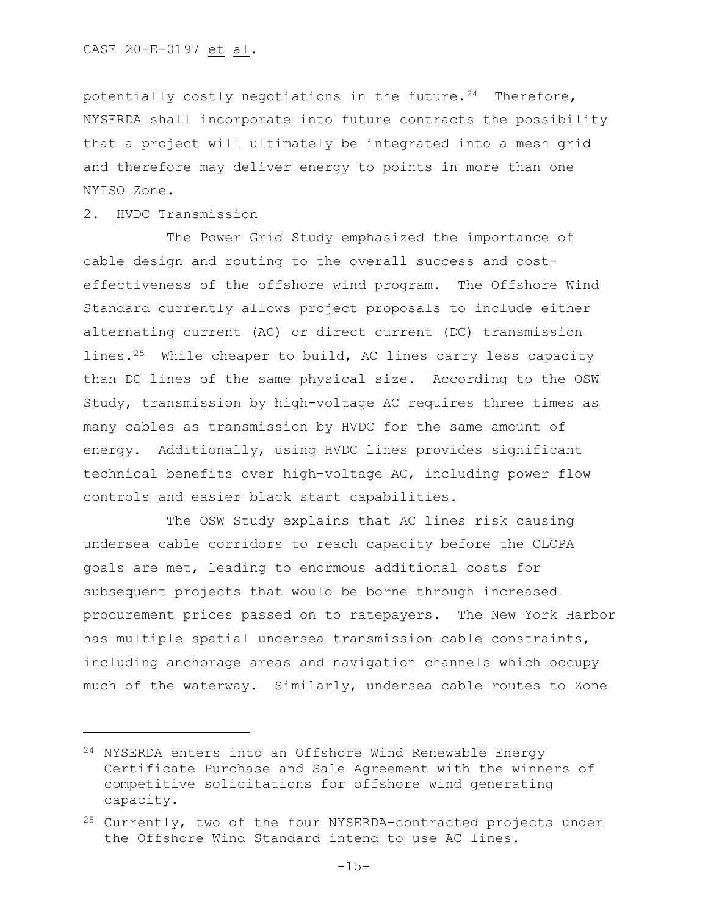potentially costly negotiations in the future.<sup>[24](#page-14-0)</sup> Therefore, NYSERDA shall incorporate into future contracts the possibility that a project will ultimately be integrated into a mesh grid and therefore may deliver energy to points in more than one NYISO Zone.

## 2. HVDC Transmission

The Power Grid Study emphasized the importance of cable design and routing to the overall success and costeffectiveness of the offshore wind program. The Offshore Wind Standard currently allows project proposals to include either alternating current (AC) or direct current (DC) transmission lines.[25](#page-14-1) While cheaper to build, AC lines carry less capacity than DC lines of the same physical size. According to the OSW Study, transmission by high-voltage AC requires three times as many cables as transmission by HVDC for the same amount of energy. Additionally, using HVDC lines provides significant technical benefits over high-voltage AC, including power flow controls and easier black start capabilities.

The OSW Study explains that AC lines risk causing undersea cable corridors to reach capacity before the CLCPA goals are met, leading to enormous additional costs for subsequent projects that would be borne through increased procurement prices passed on to ratepayers. The New York Harbor has multiple spatial undersea transmission cable constraints, including anchorage areas and navigation channels which occupy much of the waterway. Similarly, undersea cable routes to Zone

<span id="page-14-0"></span><sup>24</sup> NYSERDA enters into an Offshore Wind Renewable Energy Certificate Purchase and Sale Agreement with the winners of competitive solicitations for offshore wind generating capacity.

<span id="page-14-1"></span><sup>&</sup>lt;sup>25</sup> Currently, two of the four NYSERDA-contracted projects under the Offshore Wind Standard intend to use AC lines.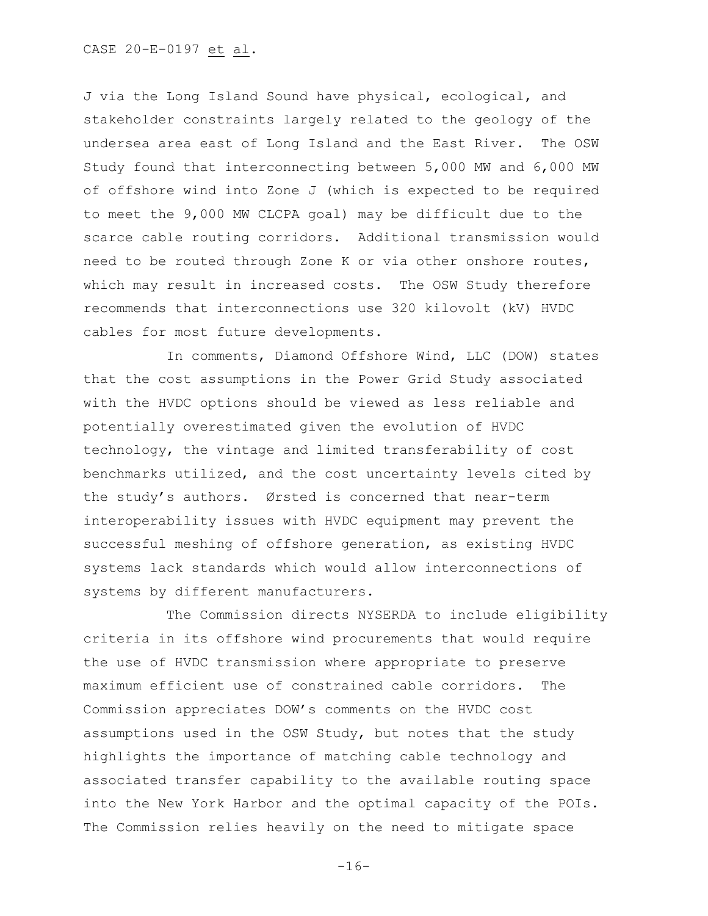J via the Long Island Sound have physical, ecological, and stakeholder constraints largely related to the geology of the undersea area east of Long Island and the East River. The OSW Study found that interconnecting between 5,000 MW and 6,000 MW of offshore wind into Zone J (which is expected to be required to meet the 9,000 MW CLCPA goal) may be difficult due to the scarce cable routing corridors. Additional transmission would need to be routed through Zone K or via other onshore routes, which may result in increased costs. The OSW Study therefore recommends that interconnections use 320 kilovolt (kV) HVDC cables for most future developments.

In comments, Diamond Offshore Wind, LLC (DOW) states that the cost assumptions in the Power Grid Study associated with the HVDC options should be viewed as less reliable and potentially overestimated given the evolution of HVDC technology, the vintage and limited transferability of cost benchmarks utilized, and the cost uncertainty levels cited by the study's authors. Ørsted is concerned that near-term interoperability issues with HVDC equipment may prevent the successful meshing of offshore generation, as existing HVDC systems lack standards which would allow interconnections of systems by different manufacturers.

The Commission directs NYSERDA to include eligibility criteria in its offshore wind procurements that would require the use of HVDC transmission where appropriate to preserve maximum efficient use of constrained cable corridors. The Commission appreciates DOW's comments on the HVDC cost assumptions used in the OSW Study, but notes that the study highlights the importance of matching cable technology and associated transfer capability to the available routing space into the New York Harbor and the optimal capacity of the POIs. The Commission relies heavily on the need to mitigate space

 $-16-$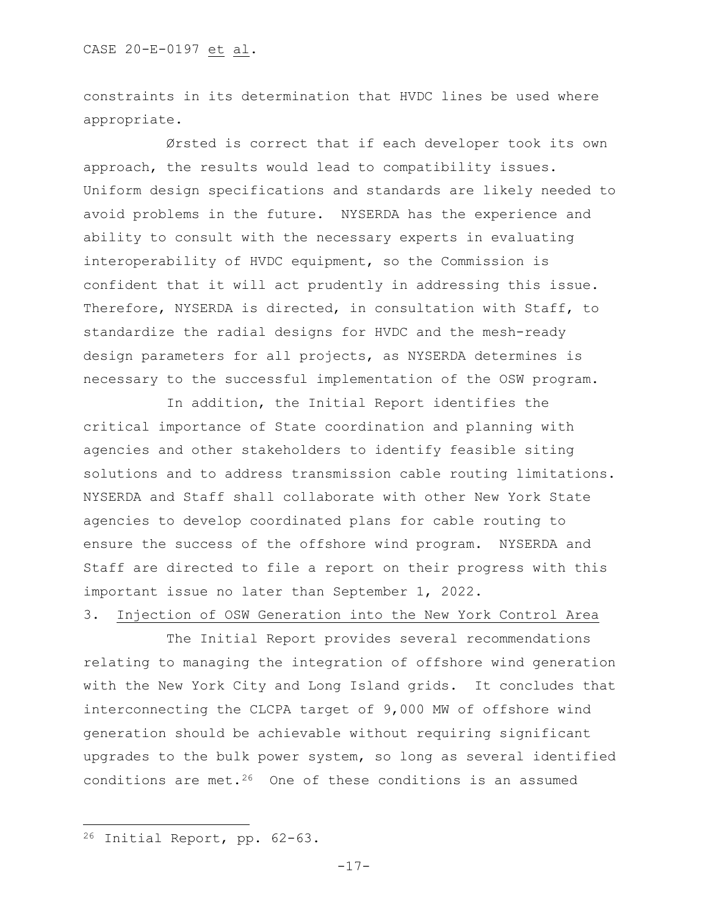constraints in its determination that HVDC lines be used where appropriate.

Ørsted is correct that if each developer took its own approach, the results would lead to compatibility issues. Uniform design specifications and standards are likely needed to avoid problems in the future. NYSERDA has the experience and ability to consult with the necessary experts in evaluating interoperability of HVDC equipment, so the Commission is confident that it will act prudently in addressing this issue. Therefore, NYSERDA is directed, in consultation with Staff, to standardize the radial designs for HVDC and the mesh-ready design parameters for all projects, as NYSERDA determines is necessary to the successful implementation of the OSW program.

In addition, the Initial Report identifies the critical importance of State coordination and planning with agencies and other stakeholders to identify feasible siting solutions and to address transmission cable routing limitations. NYSERDA and Staff shall collaborate with other New York State agencies to develop coordinated plans for cable routing to ensure the success of the offshore wind program. NYSERDA and Staff are directed to file a report on their progress with this important issue no later than September 1, 2022.

### 3. Injection of OSW Generation into the New York Control Area

The Initial Report provides several recommendations relating to managing the integration of offshore wind generation with the New York City and Long Island grids. It concludes that interconnecting the CLCPA target of 9,000 MW of offshore wind generation should be achievable without requiring significant upgrades to the bulk power system, so long as several identified conditions are met.<sup>[26](#page-16-0)</sup> One of these conditions is an assumed

<span id="page-16-0"></span><sup>26</sup> Initial Report, pp. 62-63.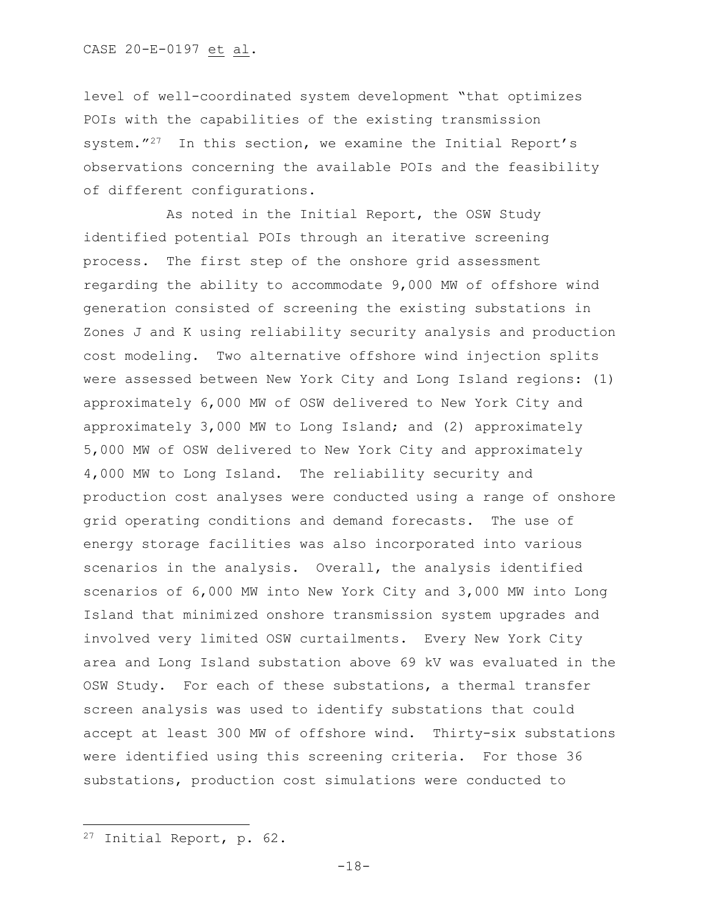level of well-coordinated system development "that optimizes POIs with the capabilities of the existing transmission system."[27](#page-17-0) In this section, we examine the Initial Report's observations concerning the available POIs and the feasibility of different configurations.

As noted in the Initial Report, the OSW Study identified potential POIs through an iterative screening process. The first step of the onshore grid assessment regarding the ability to accommodate 9,000 MW of offshore wind generation consisted of screening the existing substations in Zones J and K using reliability security analysis and production cost modeling. Two alternative offshore wind injection splits were assessed between New York City and Long Island regions: (1) approximately 6,000 MW of OSW delivered to New York City and approximately 3,000 MW to Long Island; and (2) approximately 5,000 MW of OSW delivered to New York City and approximately 4,000 MW to Long Island. The reliability security and production cost analyses were conducted using a range of onshore grid operating conditions and demand forecasts. The use of energy storage facilities was also incorporated into various scenarios in the analysis. Overall, the analysis identified scenarios of 6,000 MW into New York City and 3,000 MW into Long Island that minimized onshore transmission system upgrades and involved very limited OSW curtailments. Every New York City area and Long Island substation above 69 kV was evaluated in the OSW Study. For each of these substations, a thermal transfer screen analysis was used to identify substations that could accept at least 300 MW of offshore wind. Thirty-six substations were identified using this screening criteria. For those 36 substations, production cost simulations were conducted to

<span id="page-17-0"></span><sup>27</sup> Initial Report, p. 62.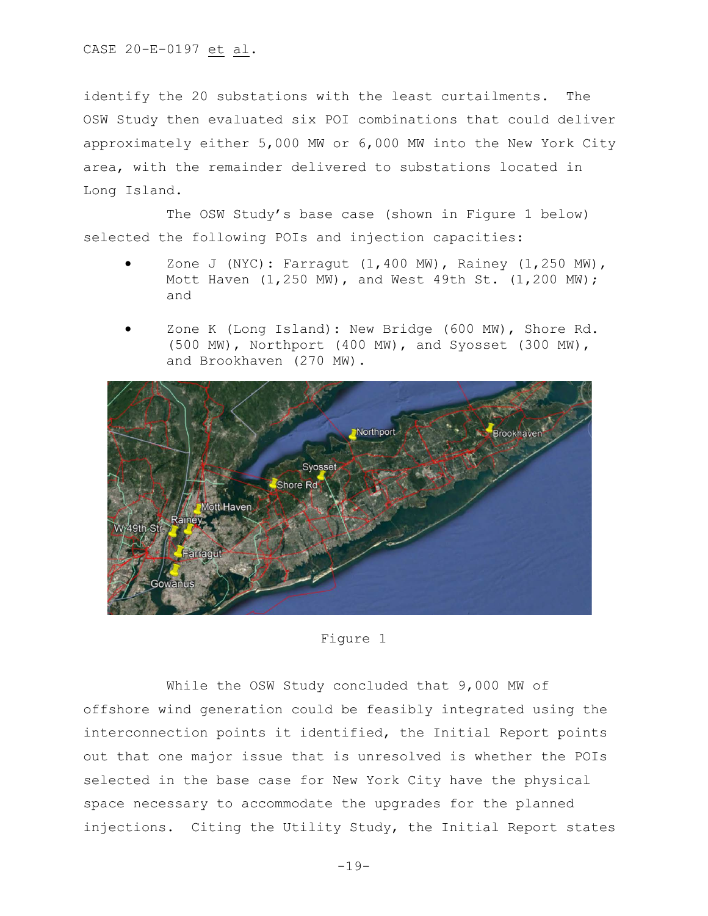identify the 20 substations with the least curtailments. The OSW Study then evaluated six POI combinations that could deliver approximately either 5,000 MW or 6,000 MW into the New York City area, with the remainder delivered to substations located in Long Island.

The OSW Study's base case (shown in Figure 1 below) selected the following POIs and injection capacities:

- Zone J (NYC): Farragut (1,400 MW), Rainey (1,250 MW), Mott Haven (1,250 MW), and West 49th St. (1,200 MW); and
- Zone K (Long Island): New Bridge (600 MW), Shore Rd. (500 MW), Northport (400 MW), and Syosset (300 MW), and Brookhaven (270 MW).



Figure 1

While the OSW Study concluded that 9,000 MW of offshore wind generation could be feasibly integrated using the interconnection points it identified, the Initial Report points out that one major issue that is unresolved is whether the POIs selected in the base case for New York City have the physical space necessary to accommodate the upgrades for the planned injections. Citing the Utility Study, the Initial Report states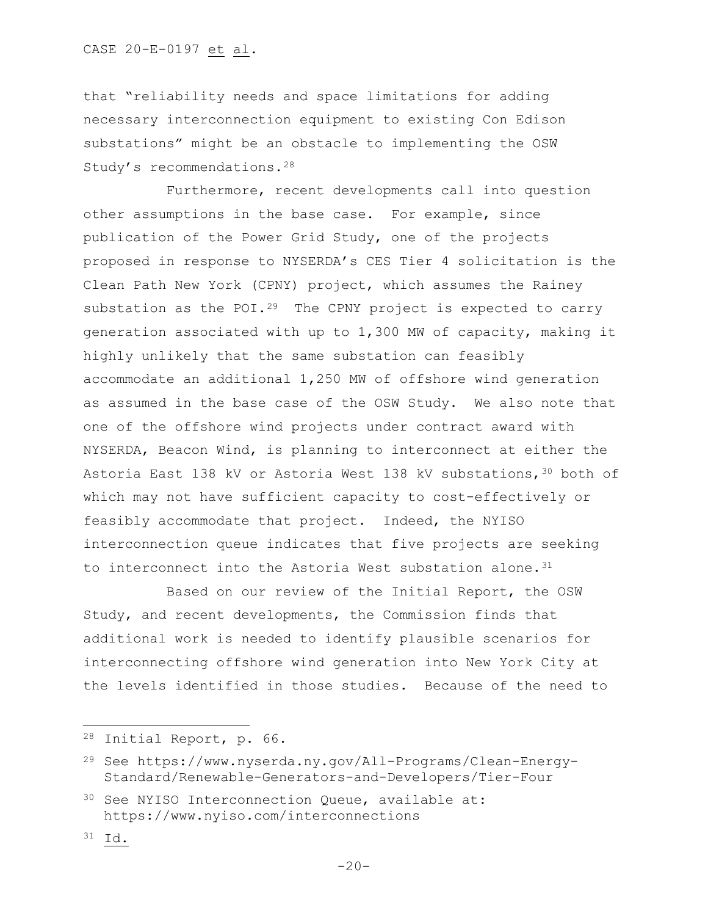that "reliability needs and space limitations for adding necessary interconnection equipment to existing Con Edison substations" might be an obstacle to implementing the OSW Study's recommendations.[28](#page-19-0)

Furthermore, recent developments call into question other assumptions in the base case. For example, since publication of the Power Grid Study, one of the projects proposed in response to NYSERDA's CES Tier 4 solicitation is the Clean Path New York (CPNY) project, which assumes the Rainey substation as the POI.<sup>[29](#page-19-1)</sup> The CPNY project is expected to carry generation associated with up to 1,300 MW of capacity, making it highly unlikely that the same substation can feasibly accommodate an additional 1,250 MW of offshore wind generation as assumed in the base case of the OSW Study. We also note that one of the offshore wind projects under contract award with NYSERDA, Beacon Wind, is planning to interconnect at either the Astoria East 138 kV or Astoria West 138 kV substations, 30 both of which may not have sufficient capacity to cost-effectively or feasibly accommodate that project. Indeed, the NYISO interconnection queue indicates that five projects are seeking to interconnect into the Astoria West substation alone.<sup>31</sup>

Based on our review of the Initial Report, the OSW Study, and recent developments, the Commission finds that additional work is needed to identify plausible scenarios for interconnecting offshore wind generation into New York City at the levels identified in those studies. Because of the need to

<span id="page-19-0"></span><sup>28</sup> Initial Report, p. 66.

<span id="page-19-1"></span><sup>29</sup> See https://www.nyserda.ny.gov/All-Programs/Clean-Energy-Standard/Renewable-Generators-and-Developers/Tier-Four

<span id="page-19-2"></span><sup>30</sup> See NYISO Interconnection Queue, available at: https://www.nyiso.com/interconnections

<span id="page-19-3"></span><sup>31</sup> Id.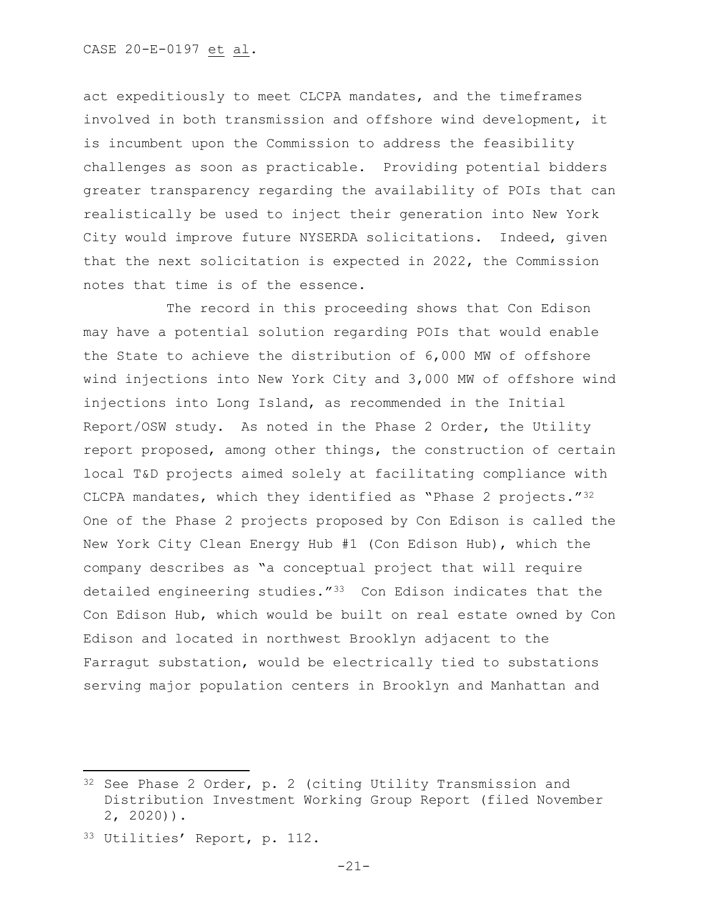act expeditiously to meet CLCPA mandates, and the timeframes involved in both transmission and offshore wind development, it is incumbent upon the Commission to address the feasibility challenges as soon as practicable. Providing potential bidders greater transparency regarding the availability of POIs that can realistically be used to inject their generation into New York City would improve future NYSERDA solicitations. Indeed, given that the next solicitation is expected in 2022, the Commission notes that time is of the essence.

The record in this proceeding shows that Con Edison may have a potential solution regarding POIs that would enable the State to achieve the distribution of 6,000 MW of offshore wind injections into New York City and 3,000 MW of offshore wind injections into Long Island, as recommended in the Initial Report/OSW study. As noted in the Phase 2 Order, the Utility report proposed, among other things, the construction of certain local T&D projects aimed solely at facilitating compliance with CLCPA mandates, which they identified as "Phase 2 projects."<sup>32</sup> One of the Phase 2 projects proposed by Con Edison is called the New York City Clean Energy Hub #1 (Con Edison Hub), which the company describes as "a conceptual project that will require detailed engineering studies."<sup>33</sup> Con Edison indicates that the Con Edison Hub, which would be built on real estate owned by Con Edison and located in northwest Brooklyn adjacent to the Farragut substation, would be electrically tied to substations serving major population centers in Brooklyn and Manhattan and

<span id="page-20-1"></span><sup>33</sup> Utilities' Report, p. 112.

<span id="page-20-0"></span><sup>32</sup> See Phase 2 Order, p. 2 (citing Utility Transmission and Distribution Investment Working Group Report (filed November 2, 2020)).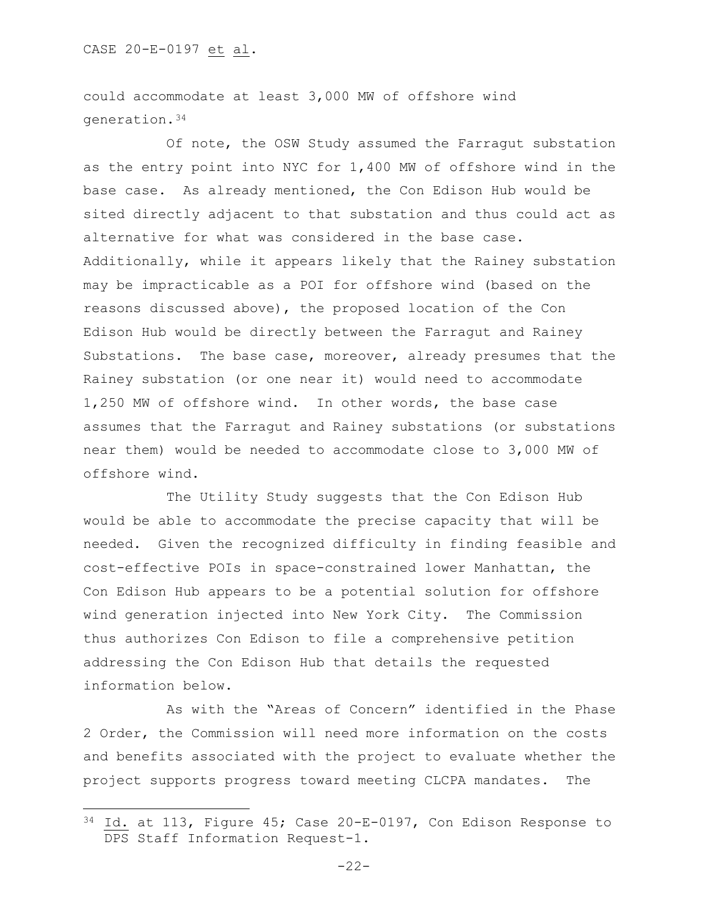could accommodate at least 3,000 MW of offshore wind generation.[34](#page-21-0)

Of note, the OSW Study assumed the Farragut substation as the entry point into NYC for 1,400 MW of offshore wind in the base case. As already mentioned, the Con Edison Hub would be sited directly adjacent to that substation and thus could act as alternative for what was considered in the base case. Additionally, while it appears likely that the Rainey substation may be impracticable as a POI for offshore wind (based on the reasons discussed above), the proposed location of the Con Edison Hub would be directly between the Farragut and Rainey Substations. The base case, moreover, already presumes that the Rainey substation (or one near it) would need to accommodate 1,250 MW of offshore wind. In other words, the base case assumes that the Farragut and Rainey substations (or substations near them) would be needed to accommodate close to 3,000 MW of offshore wind.

The Utility Study suggests that the Con Edison Hub would be able to accommodate the precise capacity that will be needed. Given the recognized difficulty in finding feasible and cost-effective POIs in space-constrained lower Manhattan, the Con Edison Hub appears to be a potential solution for offshore wind generation injected into New York City. The Commission thus authorizes Con Edison to file a comprehensive petition addressing the Con Edison Hub that details the requested information below.

As with the "Areas of Concern" identified in the Phase 2 Order, the Commission will need more information on the costs and benefits associated with the project to evaluate whether the project supports progress toward meeting CLCPA mandates. The

<span id="page-21-0"></span><sup>34</sup> Id. at 113, Figure 45; Case 20-E-0197, Con Edison Response to DPS Staff Information Request-1.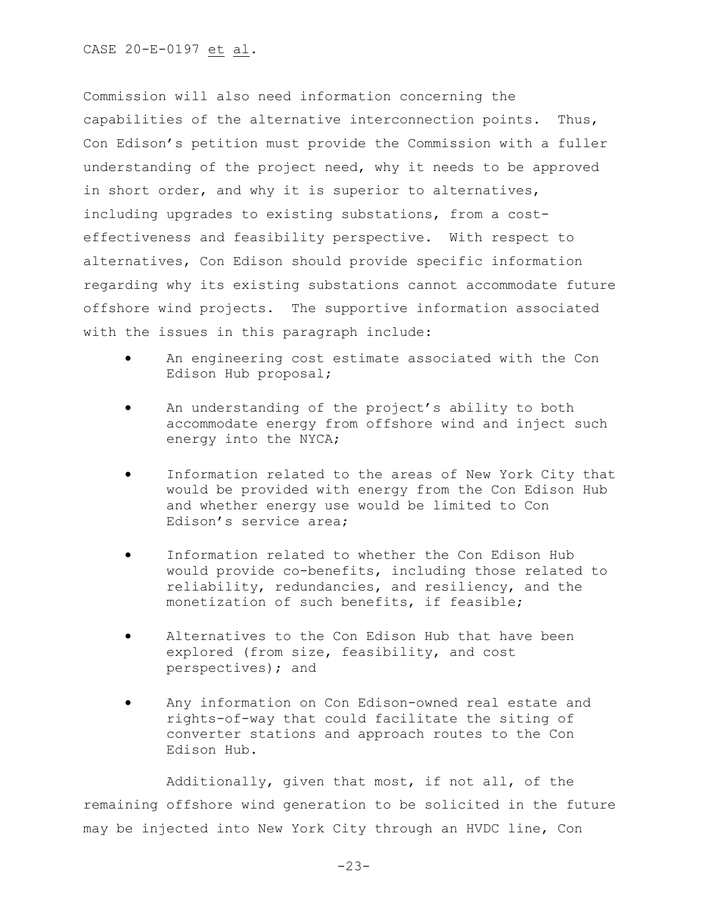Commission will also need information concerning the capabilities of the alternative interconnection points. Thus, Con Edison's petition must provide the Commission with a fuller understanding of the project need, why it needs to be approved in short order, and why it is superior to alternatives, including upgrades to existing substations, from a costeffectiveness and feasibility perspective. With respect to alternatives, Con Edison should provide specific information regarding why its existing substations cannot accommodate future offshore wind projects. The supportive information associated with the issues in this paragraph include:

- An engineering cost estimate associated with the Con Edison Hub proposal;
- An understanding of the project's ability to both accommodate energy from offshore wind and inject such energy into the NYCA;
- Information related to the areas of New York City that would be provided with energy from the Con Edison Hub and whether energy use would be limited to Con Edison's service area;
- Information related to whether the Con Edison Hub would provide co-benefits, including those related to reliability, redundancies, and resiliency, and the monetization of such benefits, if feasible;
- Alternatives to the Con Edison Hub that have been explored (from size, feasibility, and cost perspectives); and
- Any information on Con Edison-owned real estate and rights-of-way that could facilitate the siting of converter stations and approach routes to the Con Edison Hub.

Additionally, given that most, if not all, of the remaining offshore wind generation to be solicited in the future may be injected into New York City through an HVDC line, Con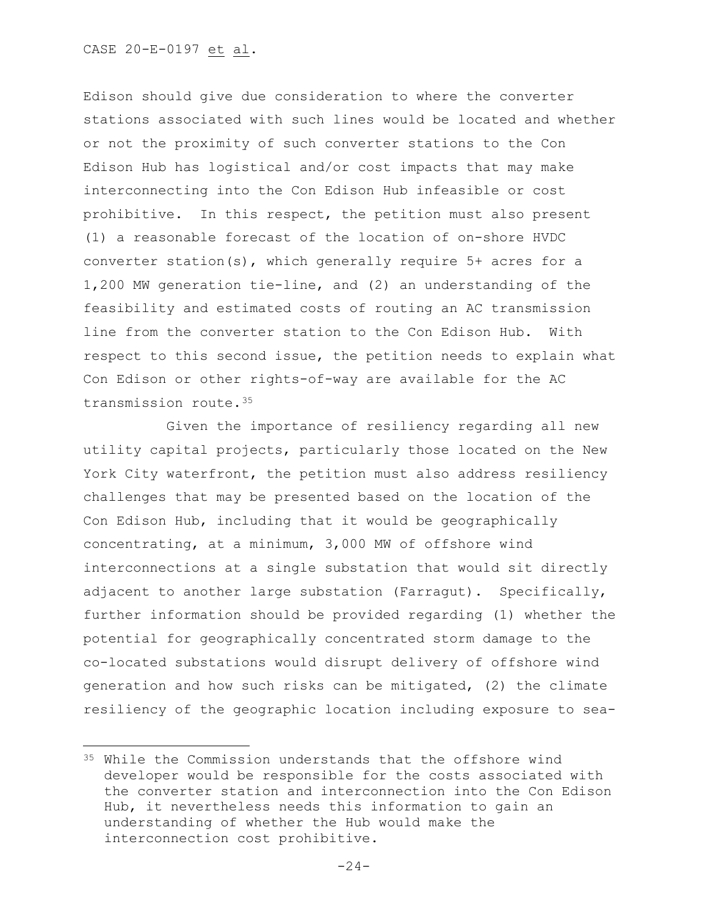Edison should give due consideration to where the converter stations associated with such lines would be located and whether or not the proximity of such converter stations to the Con Edison Hub has logistical and/or cost impacts that may make interconnecting into the Con Edison Hub infeasible or cost prohibitive. In this respect, the petition must also present (1) a reasonable forecast of the location of on-shore HVDC converter station(s), which generally require 5+ acres for a 1,200 MW generation tie-line, and (2) an understanding of the feasibility and estimated costs of routing an AC transmission line from the converter station to the Con Edison Hub. With respect to this second issue, the petition needs to explain what Con Edison or other rights-of-way are available for the AC transmission route.[35](#page-23-0) 

Given the importance of resiliency regarding all new utility capital projects, particularly those located on the New York City waterfront, the petition must also address resiliency challenges that may be presented based on the location of the Con Edison Hub, including that it would be geographically concentrating, at a minimum, 3,000 MW of offshore wind interconnections at a single substation that would sit directly adjacent to another large substation (Farragut). Specifically, further information should be provided regarding (1) whether the potential for geographically concentrated storm damage to the co-located substations would disrupt delivery of offshore wind generation and how such risks can be mitigated, (2) the climate resiliency of the geographic location including exposure to sea-

<span id="page-23-0"></span><sup>35</sup> While the Commission understands that the offshore wind developer would be responsible for the costs associated with the converter station and interconnection into the Con Edison Hub, it nevertheless needs this information to gain an understanding of whether the Hub would make the interconnection cost prohibitive.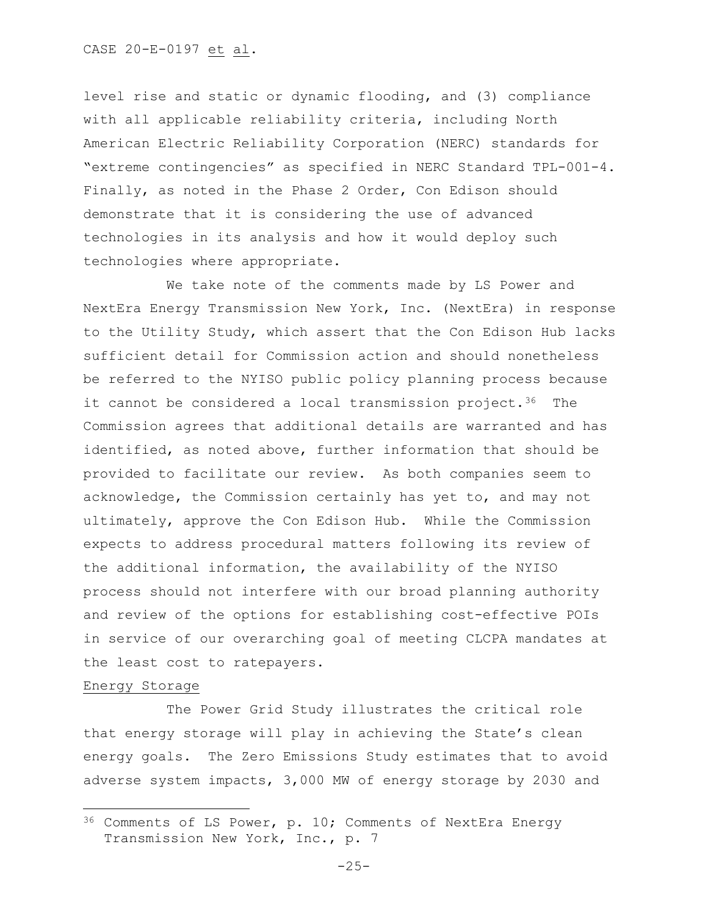level rise and static or dynamic flooding, and (3) compliance with all applicable reliability criteria, including North American Electric Reliability Corporation (NERC) standards for "extreme contingencies" as specified in NERC Standard TPL-001-4. Finally, as noted in the Phase 2 Order, Con Edison should demonstrate that it is considering the use of advanced technologies in its analysis and how it would deploy such technologies where appropriate.

We take note of the comments made by LS Power and NextEra Energy Transmission New York, Inc. (NextEra) in response to the Utility Study, which assert that the Con Edison Hub lacks sufficient detail for Commission action and should nonetheless be referred to the NYISO public policy planning process because it cannot be considered a local transmission project.<sup>36</sup> The Commission agrees that additional details are warranted and has identified, as noted above, further information that should be provided to facilitate our review. As both companies seem to acknowledge, the Commission certainly has yet to, and may not ultimately, approve the Con Edison Hub. While the Commission expects to address procedural matters following its review of the additional information, the availability of the NYISO process should not interfere with our broad planning authority and review of the options for establishing cost-effective POIs in service of our overarching goal of meeting CLCPA mandates at the least cost to ratepayers.

### Energy Storage

The Power Grid Study illustrates the critical role that energy storage will play in achieving the State's clean energy goals. The Zero Emissions Study estimates that to avoid adverse system impacts, 3,000 MW of energy storage by 2030 and

<span id="page-24-0"></span><sup>36</sup> Comments of LS Power, p. 10; Comments of NextEra Energy Transmission New York, Inc., p. 7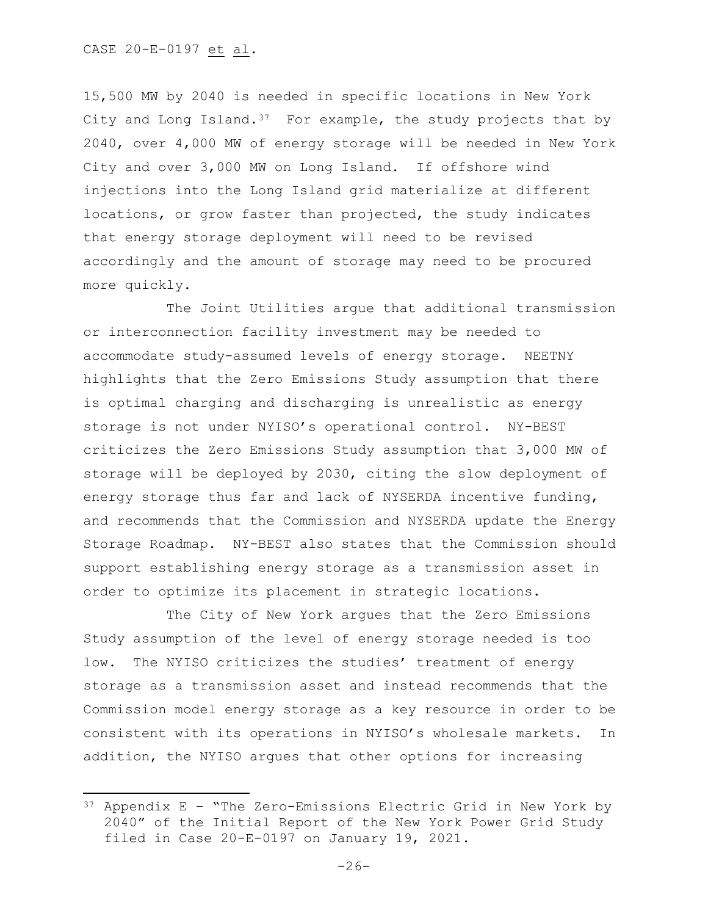15,500 MW by 2040 is needed in specific locations in New York City and Long Island. $37$  For example, the study projects that by 2040, over 4,000 MW of energy storage will be needed in New York City and over 3,000 MW on Long Island. If offshore wind injections into the Long Island grid materialize at different locations, or grow faster than projected, the study indicates that energy storage deployment will need to be revised accordingly and the amount of storage may need to be procured more quickly.

The Joint Utilities argue that additional transmission or interconnection facility investment may be needed to accommodate study-assumed levels of energy storage. NEETNY highlights that the Zero Emissions Study assumption that there is optimal charging and discharging is unrealistic as energy storage is not under NYISO's operational control. NY-BEST criticizes the Zero Emissions Study assumption that 3,000 MW of storage will be deployed by 2030, citing the slow deployment of energy storage thus far and lack of NYSERDA incentive funding, and recommends that the Commission and NYSERDA update the Energy Storage Roadmap. NY-BEST also states that the Commission should support establishing energy storage as a transmission asset in order to optimize its placement in strategic locations.

The City of New York argues that the Zero Emissions Study assumption of the level of energy storage needed is too low. The NYISO criticizes the studies' treatment of energy storage as a transmission asset and instead recommends that the Commission model energy storage as a key resource in order to be consistent with its operations in NYISO's wholesale markets. In addition, the NYISO argues that other options for increasing

<span id="page-25-0"></span> $37$  Appendix E - "The Zero-Emissions Electric Grid in New York by 2040" of the Initial Report of the New York Power Grid Study filed in Case 20-E-0197 on January 19, 2021.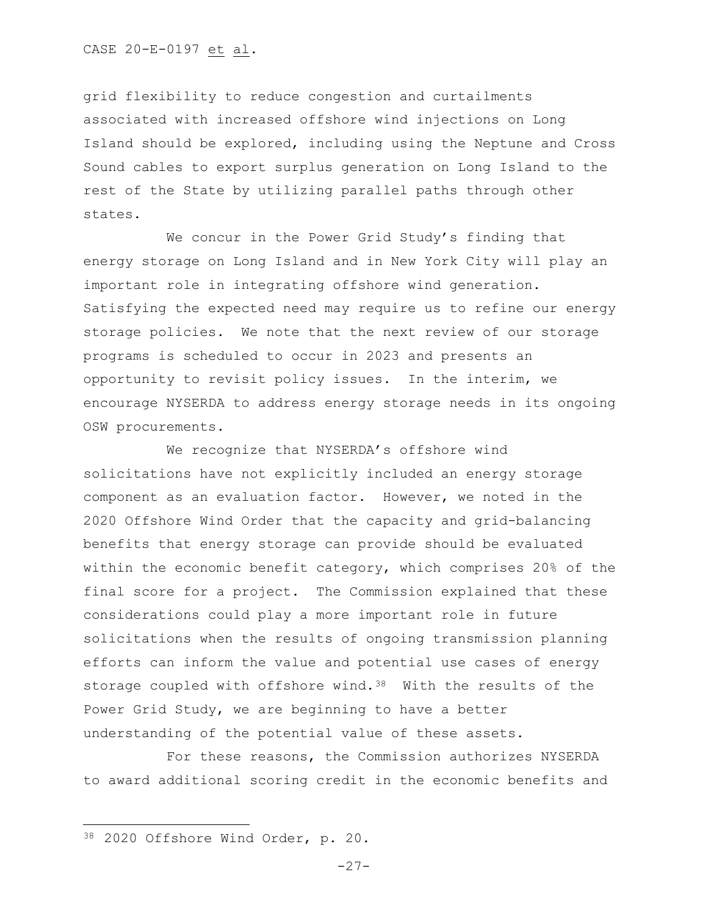grid flexibility to reduce congestion and curtailments associated with increased offshore wind injections on Long Island should be explored, including using the Neptune and Cross Sound cables to export surplus generation on Long Island to the rest of the State by utilizing parallel paths through other states.

We concur in the Power Grid Study's finding that energy storage on Long Island and in New York City will play an important role in integrating offshore wind generation. Satisfying the expected need may require us to refine our energy storage policies. We note that the next review of our storage programs is scheduled to occur in 2023 and presents an opportunity to revisit policy issues. In the interim, we encourage NYSERDA to address energy storage needs in its ongoing OSW procurements.

We recognize that NYSERDA's offshore wind solicitations have not explicitly included an energy storage component as an evaluation factor. However, we noted in the 2020 Offshore Wind Order that the capacity and grid-balancing benefits that energy storage can provide should be evaluated within the economic benefit category, which comprises 20% of the final score for a project. The Commission explained that these considerations could play a more important role in future solicitations when the results of ongoing transmission planning efforts can inform the value and potential use cases of energy storage coupled with offshore wind.<sup>38</sup> With the results of the Power Grid Study, we are beginning to have a better understanding of the potential value of these assets.

For these reasons, the Commission authorizes NYSERDA to award additional scoring credit in the economic benefits and

-27-

<span id="page-26-0"></span><sup>38</sup> 2020 Offshore Wind Order, p. 20.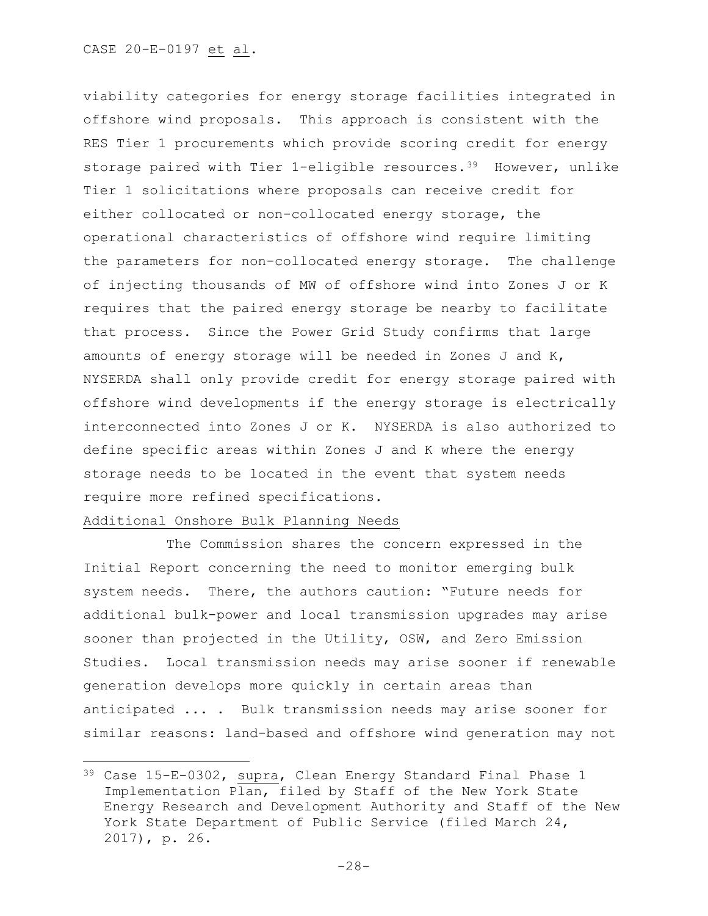viability categories for energy storage facilities integrated in offshore wind proposals. This approach is consistent with the RES Tier 1 procurements which provide scoring credit for energy storage paired with Tier 1-eligible resources.<sup>[39](#page-27-0)</sup> However, unlike Tier 1 solicitations where proposals can receive credit for either collocated or non-collocated energy storage, the operational characteristics of offshore wind require limiting the parameters for non-collocated energy storage. The challenge of injecting thousands of MW of offshore wind into Zones J or K requires that the paired energy storage be nearby to facilitate that process. Since the Power Grid Study confirms that large amounts of energy storage will be needed in Zones J and K, NYSERDA shall only provide credit for energy storage paired with offshore wind developments if the energy storage is electrically interconnected into Zones J or K. NYSERDA is also authorized to define specific areas within Zones J and K where the energy storage needs to be located in the event that system needs require more refined specifications.

#### Additional Onshore Bulk Planning Needs

The Commission shares the concern expressed in the Initial Report concerning the need to monitor emerging bulk system needs. There, the authors caution: "Future needs for additional bulk-power and local transmission upgrades may arise sooner than projected in the Utility, OSW, and Zero Emission Studies. Local transmission needs may arise sooner if renewable generation develops more quickly in certain areas than anticipated ... . Bulk transmission needs may arise sooner for similar reasons: land-based and offshore wind generation may not

<span id="page-27-0"></span><sup>39</sup> Case 15-E-0302, supra, Clean Energy Standard Final Phase 1 Implementation Plan, filed by Staff of the New York State Energy Research and Development Authority and Staff of the New York State Department of Public Service (filed March 24, 2017), p. 26.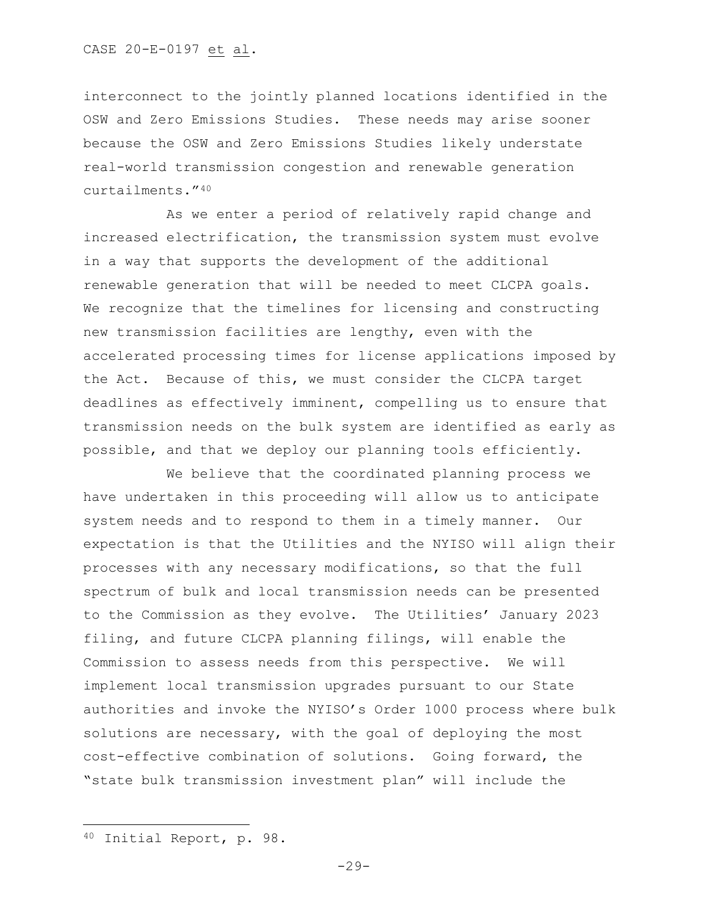interconnect to the jointly planned locations identified in the OSW and Zero Emissions Studies. These needs may arise sooner because the OSW and Zero Emissions Studies likely understate real-world transmission congestion and renewable generation curtailments."[40](#page-28-0) 

As we enter a period of relatively rapid change and increased electrification, the transmission system must evolve in a way that supports the development of the additional renewable generation that will be needed to meet CLCPA goals. We recognize that the timelines for licensing and constructing new transmission facilities are lengthy, even with the accelerated processing times for license applications imposed by the Act. Because of this, we must consider the CLCPA target deadlines as effectively imminent, compelling us to ensure that transmission needs on the bulk system are identified as early as possible, and that we deploy our planning tools efficiently.

We believe that the coordinated planning process we have undertaken in this proceeding will allow us to anticipate system needs and to respond to them in a timely manner. Our expectation is that the Utilities and the NYISO will align their processes with any necessary modifications, so that the full spectrum of bulk and local transmission needs can be presented to the Commission as they evolve. The Utilities' January 2023 filing, and future CLCPA planning filings, will enable the Commission to assess needs from this perspective. We will implement local transmission upgrades pursuant to our State authorities and invoke the NYISO's Order 1000 process where bulk solutions are necessary, with the goal of deploying the most cost-effective combination of solutions. Going forward, the "state bulk transmission investment plan" will include the

<span id="page-28-0"></span><sup>40</sup> Initial Report, p. 98.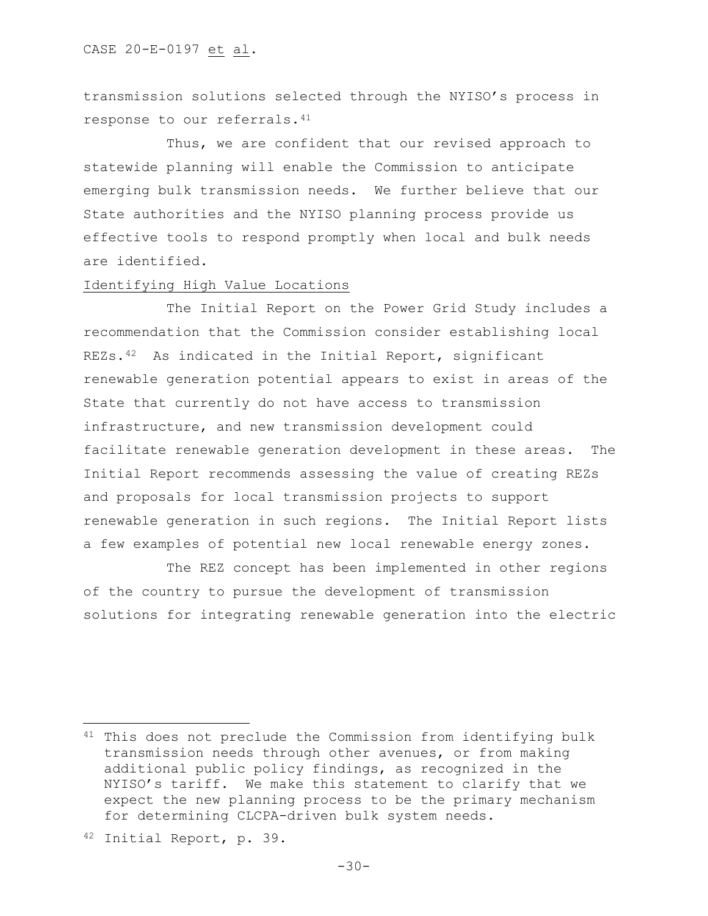transmission solutions selected through the NYISO's process in response to our referrals.[41](#page-29-0)

Thus, we are confident that our revised approach to statewide planning will enable the Commission to anticipate emerging bulk transmission needs. We further believe that our State authorities and the NYISO planning process provide us effective tools to respond promptly when local and bulk needs are identified.

### Identifying High Value Locations

The Initial Report on the Power Grid Study includes a recommendation that the Commission consider establishing local REZs.[42](#page-29-1) As indicated in the Initial Report, significant renewable generation potential appears to exist in areas of the State that currently do not have access to transmission infrastructure, and new transmission development could facilitate renewable generation development in these areas. The Initial Report recommends assessing the value of creating REZs and proposals for local transmission projects to support renewable generation in such regions. The Initial Report lists a few examples of potential new local renewable energy zones.

The REZ concept has been implemented in other regions of the country to pursue the development of transmission solutions for integrating renewable generation into the electric

<span id="page-29-1"></span><sup>42</sup> Initial Report, p. 39.

<span id="page-29-0"></span><sup>41</sup> This does not preclude the Commission from identifying bulk transmission needs through other avenues, or from making additional public policy findings, as recognized in the NYISO's tariff. We make this statement to clarify that we expect the new planning process to be the primary mechanism for determining CLCPA-driven bulk system needs.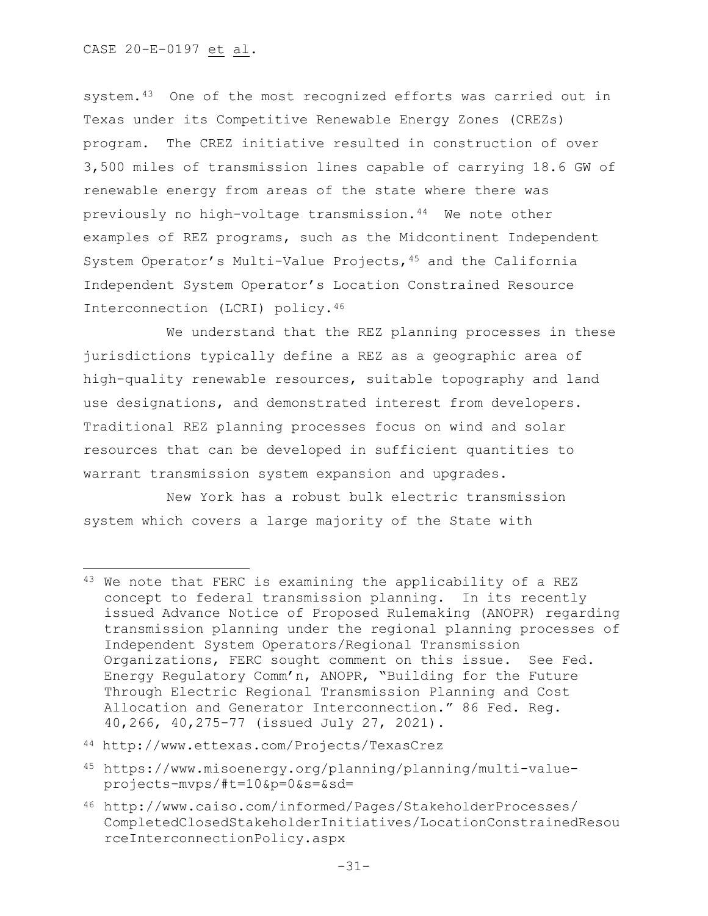system.[43](#page-30-0) One of the most recognized efforts was carried out in Texas under its Competitive Renewable Energy Zones (CREZs) program. The CREZ initiative resulted in construction of over 3,500 miles of transmission lines capable of carrying 18.6 GW of renewable energy from areas of the state where there was previously no high-voltage transmission[.44](#page-30-1) We note other examples of REZ programs, such as the Midcontinent Independent System Operator's Multi-Value Projects,[45](#page-30-2) and the California Independent System Operator's Location Constrained Resource Interconnection (LCRI) policy[.46](#page-30-3)

We understand that the REZ planning processes in these jurisdictions typically define a REZ as a geographic area of high-quality renewable resources, suitable topography and land use designations, and demonstrated interest from developers. Traditional REZ planning processes focus on wind and solar resources that can be developed in sufficient quantities to warrant transmission system expansion and upgrades.

New York has a robust bulk electric transmission system which covers a large majority of the State with

<span id="page-30-0"></span><sup>43</sup> We note that FERC is examining the applicability of a REZ concept to federal transmission planning. In its recently issued Advance Notice of Proposed Rulemaking (ANOPR) regarding transmission planning under the regional planning processes of Independent System Operators/Regional Transmission Organizations, FERC sought comment on this issue. See Fed. Energy Regulatory Comm'n, ANOPR, "Building for the Future Through Electric Regional Transmission Planning and Cost Allocation and Generator Interconnection." 86 Fed. Reg. 40,266, 40,275-77 (issued July 27, 2021).

<span id="page-30-1"></span><sup>44</sup> http://www.ettexas.com/Projects/TexasCrez

<span id="page-30-2"></span><sup>45</sup> https://www.misoenergy.org/planning/planning/multi-valueprojects-mvps/#t=10&p=0&s=&sd=

<span id="page-30-3"></span><sup>46</sup> http://www.caiso.com/informed/Pages/StakeholderProcesses/ CompletedClosedStakeholderInitiatives/LocationConstrainedResou rceInterconnectionPolicy.aspx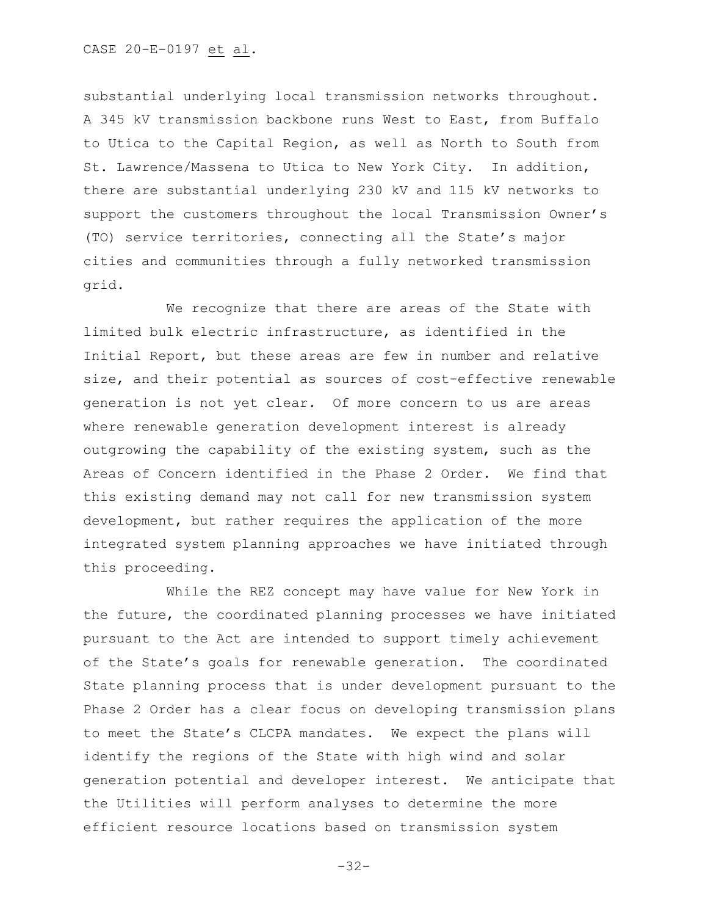substantial underlying local transmission networks throughout. A 345 kV transmission backbone runs West to East, from Buffalo to Utica to the Capital Region, as well as North to South from St. Lawrence/Massena to Utica to New York City. In addition, there are substantial underlying 230 kV and 115 kV networks to support the customers throughout the local Transmission Owner's (TO) service territories, connecting all the State's major cities and communities through a fully networked transmission grid.

We recognize that there are areas of the State with limited bulk electric infrastructure, as identified in the Initial Report, but these areas are few in number and relative size, and their potential as sources of cost-effective renewable generation is not yet clear. Of more concern to us are areas where renewable generation development interest is already outgrowing the capability of the existing system, such as the Areas of Concern identified in the Phase 2 Order. We find that this existing demand may not call for new transmission system development, but rather requires the application of the more integrated system planning approaches we have initiated through this proceeding.

While the REZ concept may have value for New York in the future, the coordinated planning processes we have initiated pursuant to the Act are intended to support timely achievement of the State's goals for renewable generation. The coordinated State planning process that is under development pursuant to the Phase 2 Order has a clear focus on developing transmission plans to meet the State's CLCPA mandates. We expect the plans will identify the regions of the State with high wind and solar generation potential and developer interest. We anticipate that the Utilities will perform analyses to determine the more efficient resource locations based on transmission system

-32-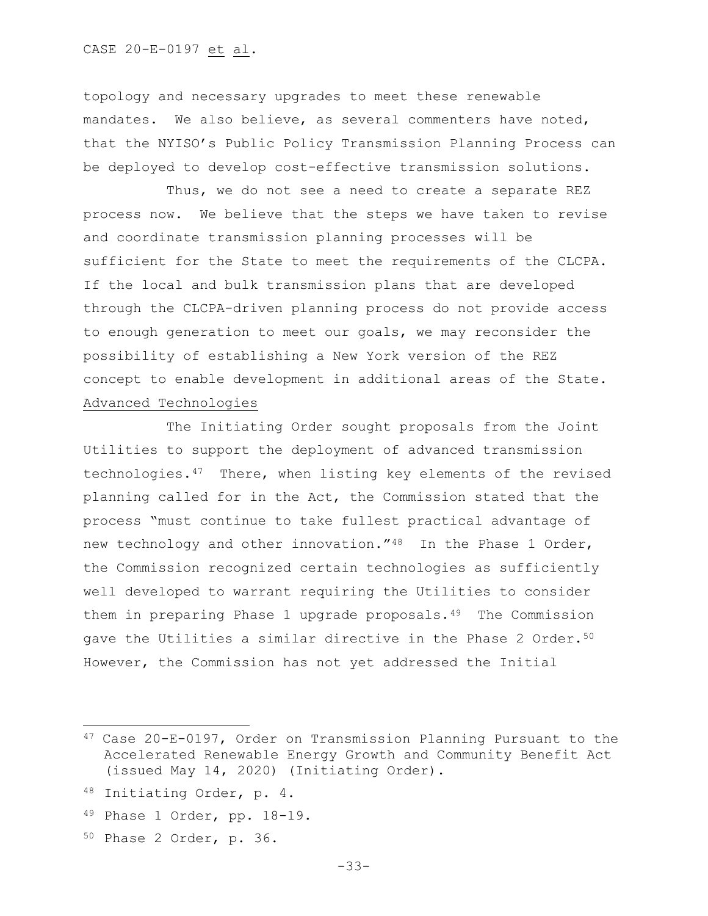topology and necessary upgrades to meet these renewable mandates. We also believe, as several commenters have noted, that the NYISO's Public Policy Transmission Planning Process can be deployed to develop cost-effective transmission solutions.

Thus, we do not see a need to create a separate REZ process now. We believe that the steps we have taken to revise and coordinate transmission planning processes will be sufficient for the State to meet the requirements of the CLCPA. If the local and bulk transmission plans that are developed through the CLCPA-driven planning process do not provide access to enough generation to meet our goals, we may reconsider the possibility of establishing a New York version of the REZ concept to enable development in additional areas of the State. Advanced Technologies

The Initiating Order sought proposals from the Joint Utilities to support the deployment of advanced transmission technologies.[47](#page-32-0) There, when listing key elements of the revised planning called for in the Act, the Commission stated that the process "must continue to take fullest practical advantage of new technology and other innovation."<sup>[48](#page-32-1)</sup> In the Phase 1 Order, the Commission recognized certain technologies as sufficiently well developed to warrant requiring the Utilities to consider them in preparing Phase 1 upgrade proposals.<sup>49</sup> The Commission gave the Utilities a similar directive in the Phase 2 Order.<sup>50</sup> However, the Commission has not yet addressed the Initial

- <span id="page-32-2"></span><sup>49</sup> Phase 1 Order, pp. 18-19.
- <span id="page-32-3"></span><sup>50</sup> Phase 2 Order, p. 36.

<span id="page-32-0"></span><sup>47</sup> Case 20-E-0197, Order on Transmission Planning Pursuant to the Accelerated Renewable Energy Growth and Community Benefit Act (issued May 14, 2020) (Initiating Order).

<span id="page-32-1"></span><sup>48</sup> Initiating Order, p. 4.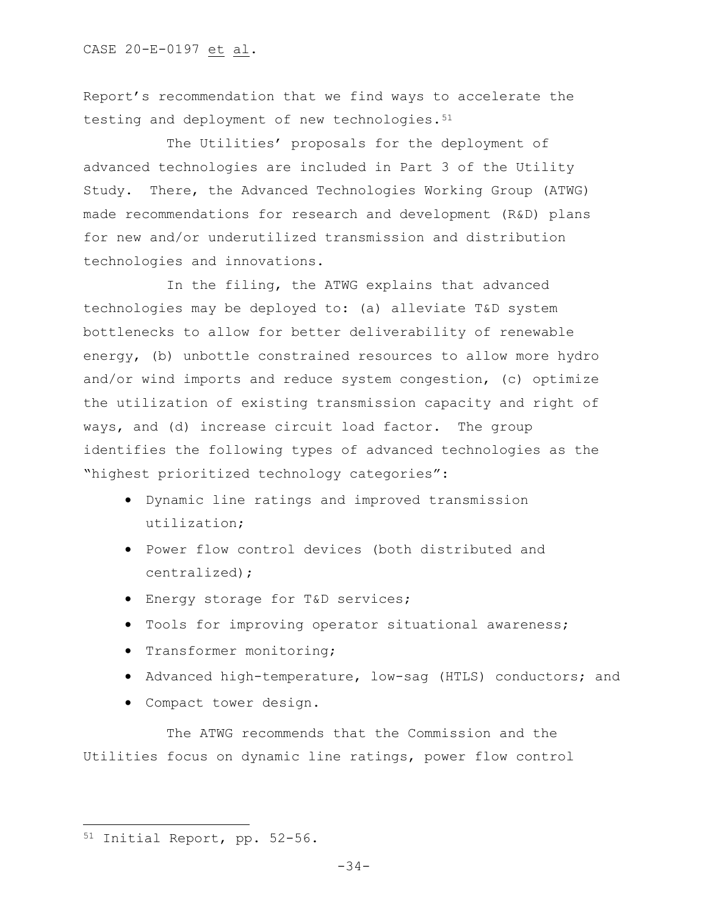Report's recommendation that we find ways to accelerate the testing and deployment of new technologies.<sup>[51](#page-33-0)</sup>

The Utilities' proposals for the deployment of advanced technologies are included in Part 3 of the Utility Study. There, the Advanced Technologies Working Group (ATWG) made recommendations for research and development (R&D) plans for new and/or underutilized transmission and distribution technologies and innovations.

In the filing, the ATWG explains that advanced technologies may be deployed to: (a) alleviate T&D system bottlenecks to allow for better deliverability of renewable energy, (b) unbottle constrained resources to allow more hydro and/or wind imports and reduce system congestion, (c) optimize the utilization of existing transmission capacity and right of ways, and (d) increase circuit load factor. The group identifies the following types of advanced technologies as the "highest prioritized technology categories":

- Dynamic line ratings and improved transmission utilization;
- Power flow control devices (both distributed and centralized);
- Energy storage for T&D services;
- Tools for improving operator situational awareness;
- Transformer monitoring;
- Advanced high-temperature, low-sag (HTLS) conductors; and
- Compact tower design.

The ATWG recommends that the Commission and the Utilities focus on dynamic line ratings, power flow control

<span id="page-33-0"></span><sup>51</sup> Initial Report, pp. 52-56.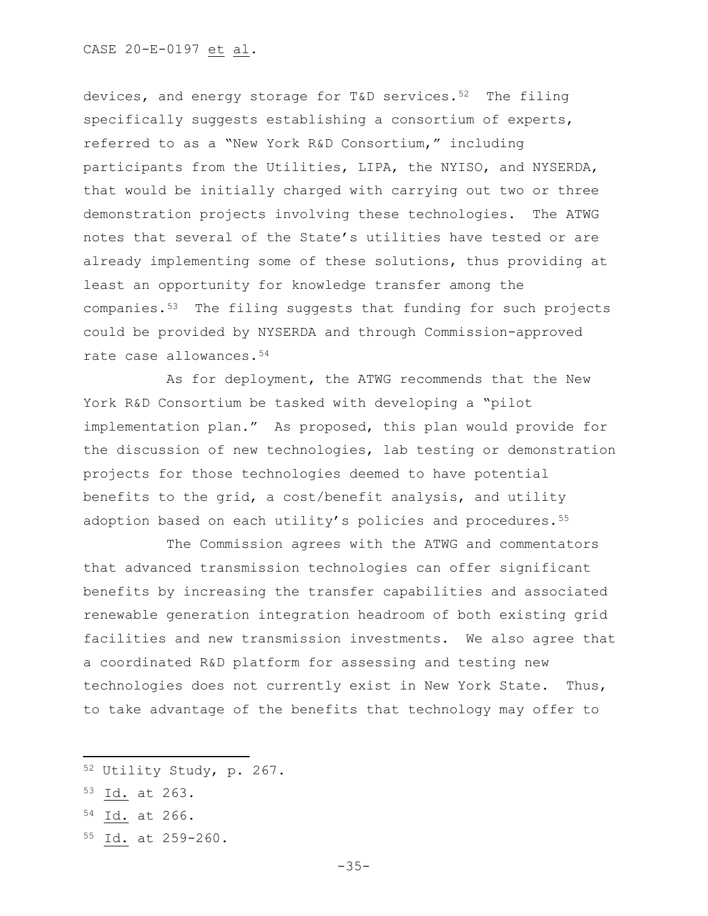devices, and energy storage for  $T\&D$  services.<sup>52</sup> The filing specifically suggests establishing a consortium of experts, referred to as a "New York R&D Consortium," including participants from the Utilities, LIPA, the NYISO, and NYSERDA, that would be initially charged with carrying out two or three demonstration projects involving these technologies. The ATWG notes that several of the State's utilities have tested or are already implementing some of these solutions, thus providing at least an opportunity for knowledge transfer among the companies.[53](#page-34-1) The filing suggests that funding for such projects could be provided by NYSERDA and through Commission-approved rate case allowances.[54](#page-34-2)

As for deployment, the ATWG recommends that the New York R&D Consortium be tasked with developing a "pilot implementation plan." As proposed, this plan would provide for the discussion of new technologies, lab testing or demonstration projects for those technologies deemed to have potential benefits to the grid, a cost/benefit analysis, and utility adoption based on each utility's policies and procedures.<sup>[55](#page-34-3)</sup>

The Commission agrees with the ATWG and commentators that advanced transmission technologies can offer significant benefits by increasing the transfer capabilities and associated renewable generation integration headroom of both existing grid facilities and new transmission investments. We also agree that a coordinated R&D platform for assessing and testing new technologies does not currently exist in New York State. Thus, to take advantage of the benefits that technology may offer to

- <span id="page-34-0"></span><sup>52</sup> Utility Study, p. 267.
- <span id="page-34-1"></span><sup>53</sup> Id. at 263.
- <span id="page-34-2"></span><sup>54</sup> Id. at 266.
- <span id="page-34-3"></span><sup>55</sup> Id. at 259-260.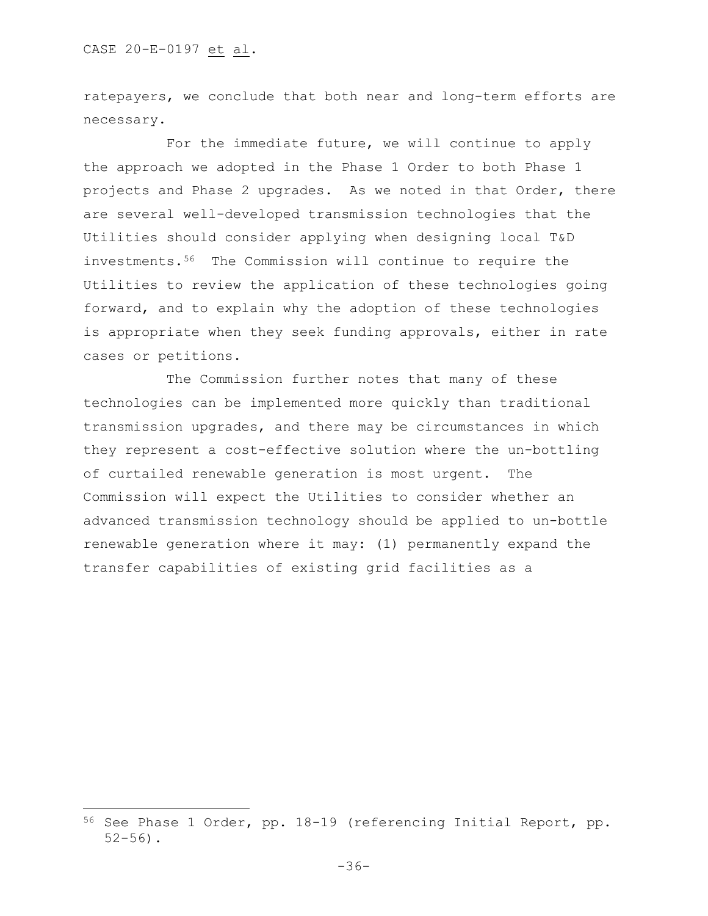ratepayers, we conclude that both near and long-term efforts are necessary.

For the immediate future, we will continue to apply the approach we adopted in the Phase 1 Order to both Phase 1 projects and Phase 2 upgrades. As we noted in that Order, there are several well-developed transmission technologies that the Utilities should consider applying when designing local T&D investments.[56](#page-35-0) The Commission will continue to require the Utilities to review the application of these technologies going forward, and to explain why the adoption of these technologies is appropriate when they seek funding approvals, either in rate cases or petitions.

The Commission further notes that many of these technologies can be implemented more quickly than traditional transmission upgrades, and there may be circumstances in which they represent a cost-effective solution where the un-bottling of curtailed renewable generation is most urgent. The Commission will expect the Utilities to consider whether an advanced transmission technology should be applied to un-bottle renewable generation where it may: (1) permanently expand the transfer capabilities of existing grid facilities as a

<span id="page-35-0"></span><sup>56</sup> See Phase 1 Order, pp. 18-19 (referencing Initial Report, pp.  $52 - 56$ ).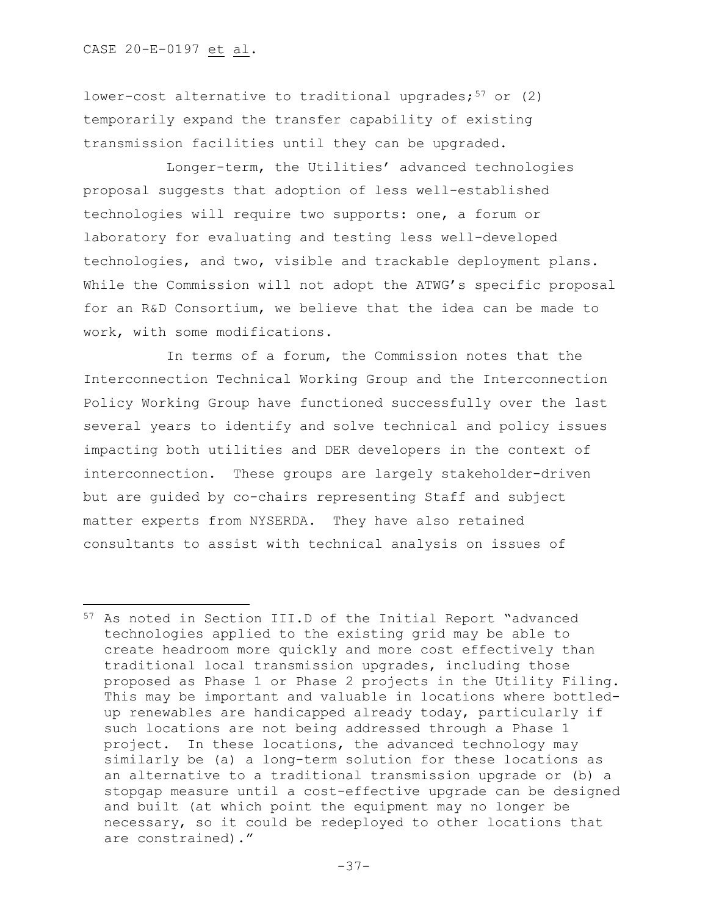CASE 20-E-0197 et al.

lower-cost alternative to traditional upgrades; $57$  or (2) temporarily expand the transfer capability of existing transmission facilities until they can be upgraded.

Longer-term, the Utilities' advanced technologies proposal suggests that adoption of less well-established technologies will require two supports: one, a forum or laboratory for evaluating and testing less well-developed technologies, and two, visible and trackable deployment plans. While the Commission will not adopt the ATWG's specific proposal for an R&D Consortium, we believe that the idea can be made to work, with some modifications.

In terms of a forum, the Commission notes that the Interconnection Technical Working Group and the Interconnection Policy Working Group have functioned successfully over the last several years to identify and solve technical and policy issues impacting both utilities and DER developers in the context of interconnection. These groups are largely stakeholder-driven but are guided by co-chairs representing Staff and subject matter experts from NYSERDA. They have also retained consultants to assist with technical analysis on issues of

<span id="page-36-0"></span><sup>57</sup> As noted in Section III.D of the Initial Report "advanced technologies applied to the existing grid may be able to create headroom more quickly and more cost effectively than traditional local transmission upgrades, including those proposed as Phase 1 or Phase 2 projects in the Utility Filing. This may be important and valuable in locations where bottledup renewables are handicapped already today, particularly if such locations are not being addressed through a Phase 1 project. In these locations, the advanced technology may similarly be (a) a long-term solution for these locations as an alternative to a traditional transmission upgrade or (b) a stopgap measure until a cost-effective upgrade can be designed and built (at which point the equipment may no longer be necessary, so it could be redeployed to other locations that are constrained)."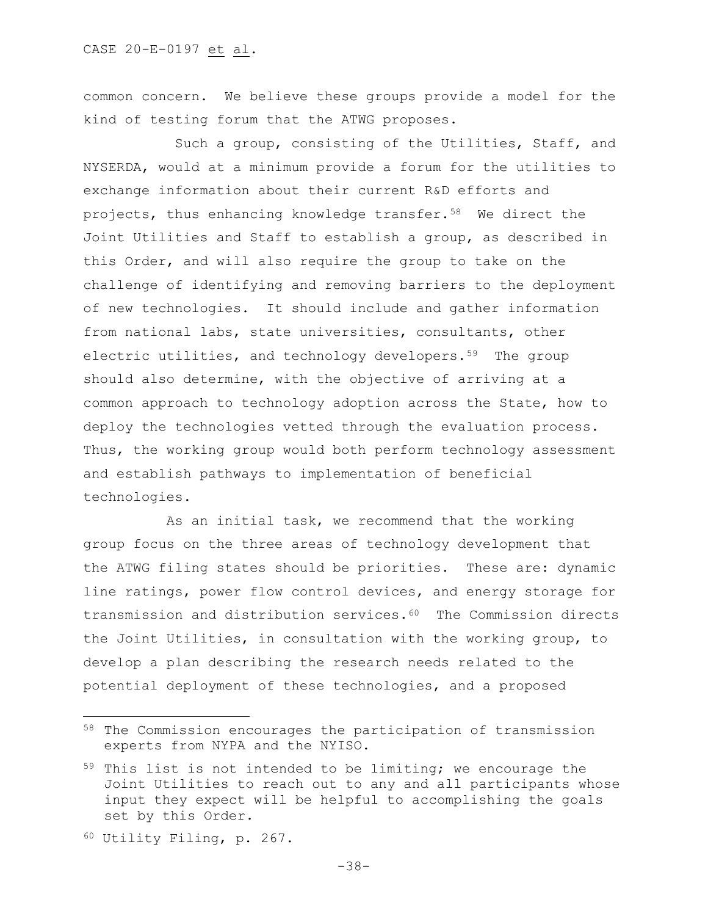common concern. We believe these groups provide a model for the kind of testing forum that the ATWG proposes.

Such a group, consisting of the Utilities, Staff, and NYSERDA, would at a minimum provide a forum for the utilities to exchange information about their current R&D efforts and projects, thus enhancing knowledge transfer.[58](#page-37-0) We direct the Joint Utilities and Staff to establish a group, as described in this Order, and will also require the group to take on the challenge of identifying and removing barriers to the deployment of new technologies. It should include and gather information from national labs, state universities, consultants, other electric utilities, and technology developers.<sup>[59](#page-37-1)</sup> The group should also determine, with the objective of arriving at a common approach to technology adoption across the State, how to deploy the technologies vetted through the evaluation process. Thus, the working group would both perform technology assessment and establish pathways to implementation of beneficial technologies.

As an initial task, we recommend that the working group focus on the three areas of technology development that the ATWG filing states should be priorities. These are: dynamic line ratings, power flow control devices, and energy storage for transmission and distribution services.[60](#page-37-2) The Commission directs the Joint Utilities, in consultation with the working group, to develop a plan describing the research needs related to the potential deployment of these technologies, and a proposed

<span id="page-37-0"></span><sup>58</sup> The Commission encourages the participation of transmission experts from NYPA and the NYISO.

<span id="page-37-1"></span><sup>59</sup> This list is not intended to be limiting; we encourage the Joint Utilities to reach out to any and all participants whose input they expect will be helpful to accomplishing the goals set by this Order.

<span id="page-37-2"></span><sup>60</sup> Utility Filing, p. 267.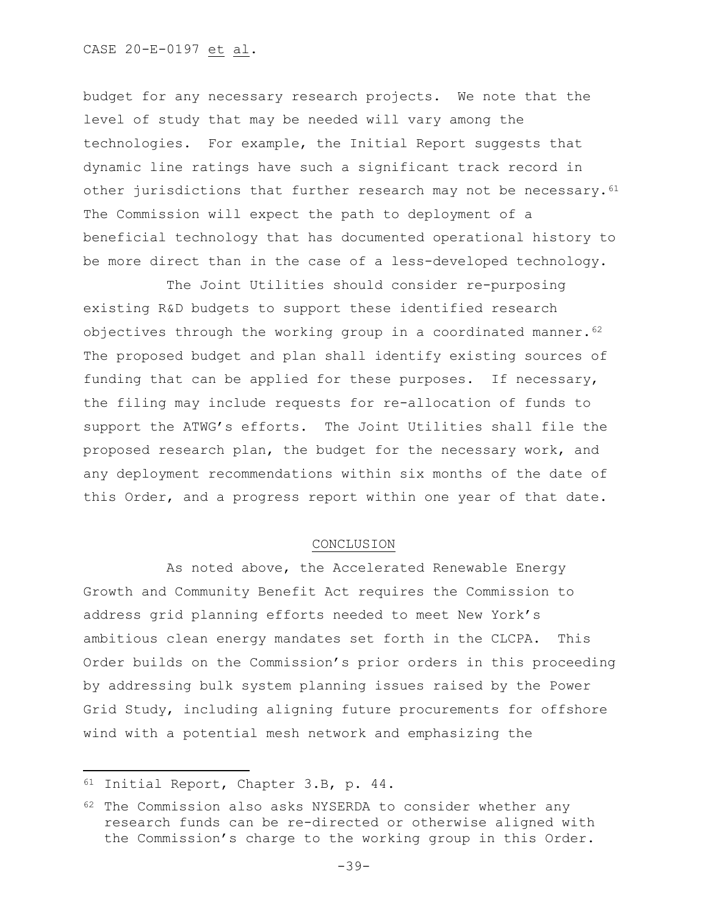CASE 20-E-0197 et al.

budget for any necessary research projects. We note that the level of study that may be needed will vary among the technologies. For example, the Initial Report suggests that dynamic line ratings have such a significant track record in other jurisdictions that further research may not be necessary.<sup>[61](#page-38-0)</sup> The Commission will expect the path to deployment of a beneficial technology that has documented operational history to be more direct than in the case of a less-developed technology.

The Joint Utilities should consider re-purposing existing R&D budgets to support these identified research objectives through the working group in a coordinated manner.  $62$ The proposed budget and plan shall identify existing sources of funding that can be applied for these purposes. If necessary, the filing may include requests for re-allocation of funds to support the ATWG's efforts. The Joint Utilities shall file the proposed research plan, the budget for the necessary work, and any deployment recommendations within six months of the date of this Order, and a progress report within one year of that date.

### CONCLUSION

 As noted above, the Accelerated Renewable Energy Growth and Community Benefit Act requires the Commission to address grid planning efforts needed to meet New York's ambitious clean energy mandates set forth in the CLCPA. This Order builds on the Commission's prior orders in this proceeding by addressing bulk system planning issues raised by the Power Grid Study, including aligning future procurements for offshore wind with a potential mesh network and emphasizing the

<span id="page-38-0"></span><sup>61</sup> Initial Report, Chapter 3.B, p. 44.

<span id="page-38-1"></span> $62$  The Commission also asks NYSERDA to consider whether any research funds can be re-directed or otherwise aligned with the Commission's charge to the working group in this Order.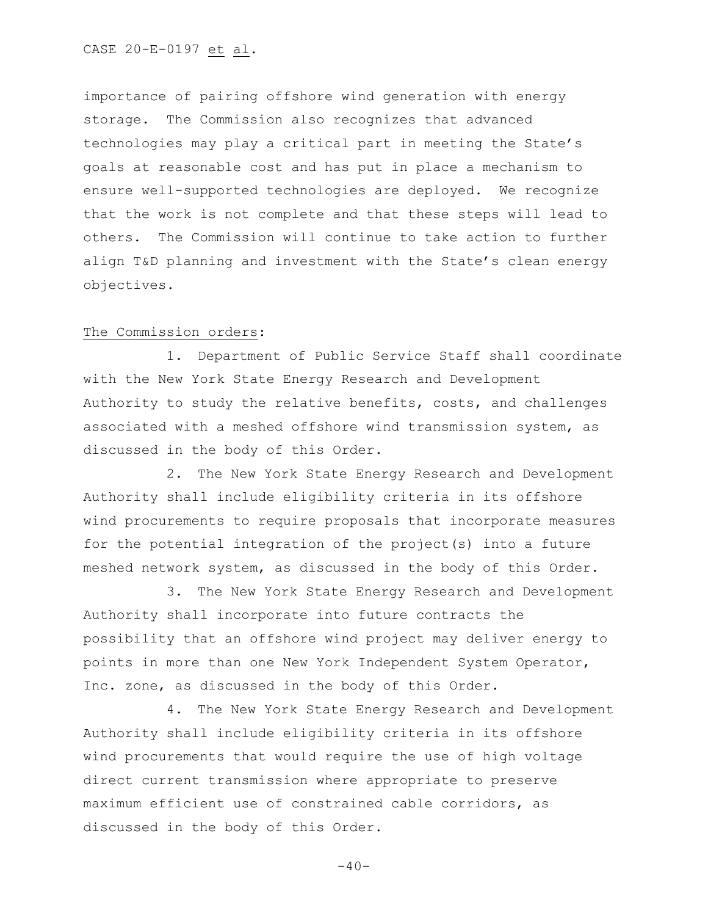CASE 20-E-0197 et al.

importance of pairing offshore wind generation with energy storage. The Commission also recognizes that advanced technologies may play a critical part in meeting the State's goals at reasonable cost and has put in place a mechanism to ensure well-supported technologies are deployed. We recognize that the work is not complete and that these steps will lead to others. The Commission will continue to take action to further align T&D planning and investment with the State's clean energy objectives.

### The Commission orders:

1. Department of Public Service Staff shall coordinate with the New York State Energy Research and Development Authority to study the relative benefits, costs, and challenges associated with a meshed offshore wind transmission system, as discussed in the body of this Order.

2. The New York State Energy Research and Development Authority shall include eligibility criteria in its offshore wind procurements to require proposals that incorporate measures for the potential integration of the project(s) into a future meshed network system, as discussed in the body of this Order.

3. The New York State Energy Research and Development Authority shall incorporate into future contracts the possibility that an offshore wind project may deliver energy to points in more than one New York Independent System Operator, Inc. zone, as discussed in the body of this Order.

4. The New York State Energy Research and Development Authority shall include eligibility criteria in its offshore wind procurements that would require the use of high voltage direct current transmission where appropriate to preserve maximum efficient use of constrained cable corridors, as discussed in the body of this Order.

 $-40-$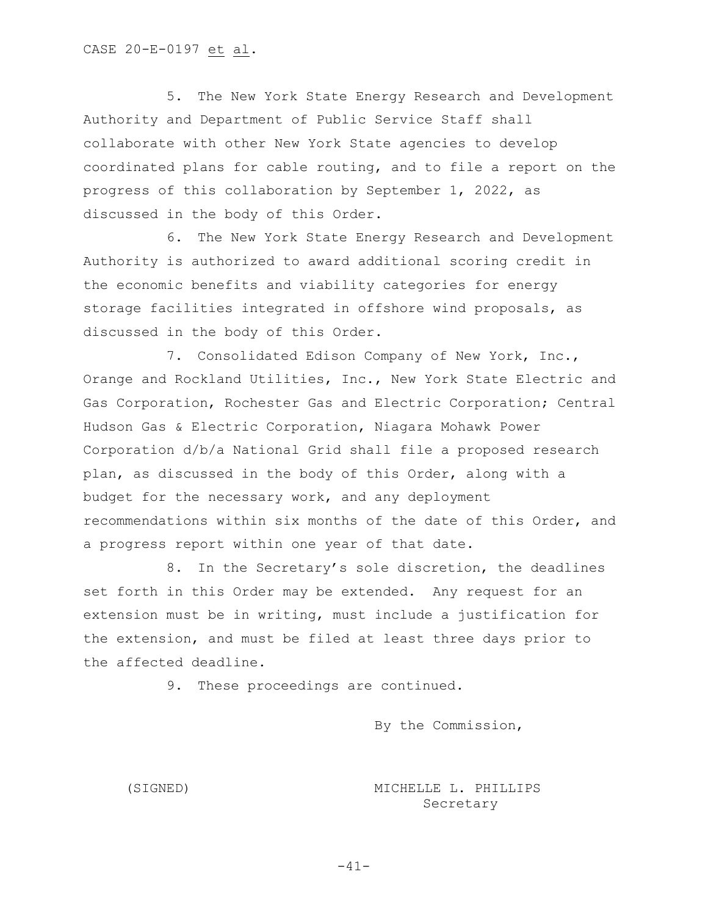5. The New York State Energy Research and Development Authority and Department of Public Service Staff shall collaborate with other New York State agencies to develop coordinated plans for cable routing, and to file a report on the progress of this collaboration by September 1, 2022, as discussed in the body of this Order.

6. The New York State Energy Research and Development Authority is authorized to award additional scoring credit in the economic benefits and viability categories for energy storage facilities integrated in offshore wind proposals, as discussed in the body of this Order.

7. Consolidated Edison Company of New York, Inc., Orange and Rockland Utilities, Inc., New York State Electric and Gas Corporation, Rochester Gas and Electric Corporation; Central Hudson Gas & Electric Corporation, Niagara Mohawk Power Corporation d/b/a National Grid shall file a proposed research plan, as discussed in the body of this Order, along with a budget for the necessary work, and any deployment recommendations within six months of the date of this Order, and a progress report within one year of that date.

8. In the Secretary's sole discretion, the deadlines set forth in this Order may be extended. Any request for an extension must be in writing, must include a justification for the extension, and must be filed at least three days prior to the affected deadline.

9. These proceedings are continued.

By the Commission,

(SIGNED) MICHELLE L. PHILLIPS Secretary

-41-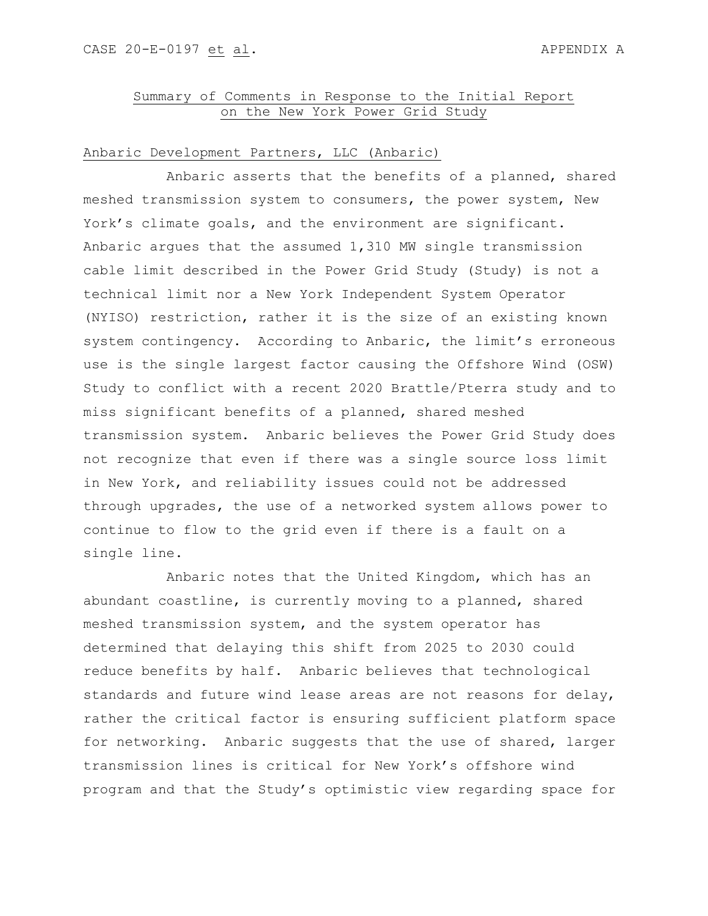# Summary of Comments in Response to the Initial Report on the New York Power Grid Study

# Anbaric Development Partners, LLC (Anbaric)

Anbaric asserts that the benefits of a planned, shared meshed transmission system to consumers, the power system, New York's climate goals, and the environment are significant. Anbaric argues that the assumed 1,310 MW single transmission cable limit described in the Power Grid Study (Study) is not a technical limit nor a New York Independent System Operator (NYISO) restriction, rather it is the size of an existing known system contingency. According to Anbaric, the limit's erroneous use is the single largest factor causing the Offshore Wind (OSW) Study to conflict with a recent 2020 Brattle/Pterra study and to miss significant benefits of a planned, shared meshed transmission system. Anbaric believes the Power Grid Study does not recognize that even if there was a single source loss limit in New York, and reliability issues could not be addressed through upgrades, the use of a networked system allows power to continue to flow to the grid even if there is a fault on a single line.

Anbaric notes that the United Kingdom, which has an abundant coastline, is currently moving to a planned, shared meshed transmission system, and the system operator has determined that delaying this shift from 2025 to 2030 could reduce benefits by half. Anbaric believes that technological standards and future wind lease areas are not reasons for delay, rather the critical factor is ensuring sufficient platform space for networking. Anbaric suggests that the use of shared, larger transmission lines is critical for New York's offshore wind program and that the Study's optimistic view regarding space for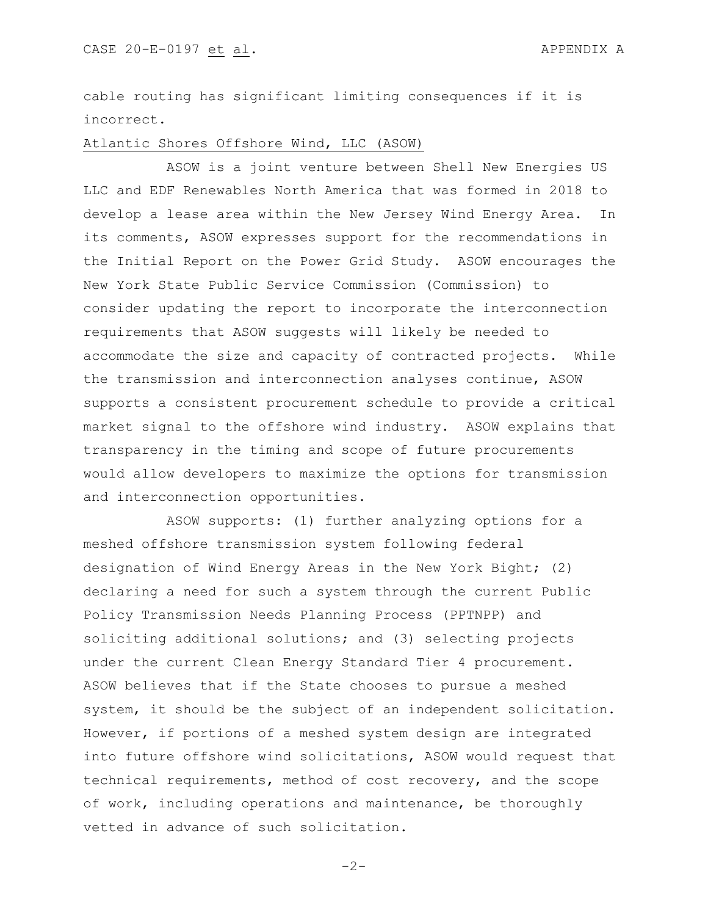cable routing has significant limiting consequences if it is incorrect.

### Atlantic Shores Offshore Wind, LLC (ASOW)

ASOW is a joint venture between Shell New Energies US LLC and EDF Renewables North America that was formed in 2018 to develop a lease area within the New Jersey Wind Energy Area. In its comments, ASOW expresses support for the recommendations in the Initial Report on the Power Grid Study. ASOW encourages the New York State Public Service Commission (Commission) to consider updating the report to incorporate the interconnection requirements that ASOW suggests will likely be needed to accommodate the size and capacity of contracted projects. While the transmission and interconnection analyses continue, ASOW supports a consistent procurement schedule to provide a critical market signal to the offshore wind industry. ASOW explains that transparency in the timing and scope of future procurements would allow developers to maximize the options for transmission and interconnection opportunities.

ASOW supports: (1) further analyzing options for a meshed offshore transmission system following federal designation of Wind Energy Areas in the New York Bight; (2) declaring a need for such a system through the current Public Policy Transmission Needs Planning Process (PPTNPP) and soliciting additional solutions; and (3) selecting projects under the current Clean Energy Standard Tier 4 procurement. ASOW believes that if the State chooses to pursue a meshed system, it should be the subject of an independent solicitation. However, if portions of a meshed system design are integrated into future offshore wind solicitations, ASOW would request that technical requirements, method of cost recovery, and the scope of work, including operations and maintenance, be thoroughly vetted in advance of such solicitation.

-2-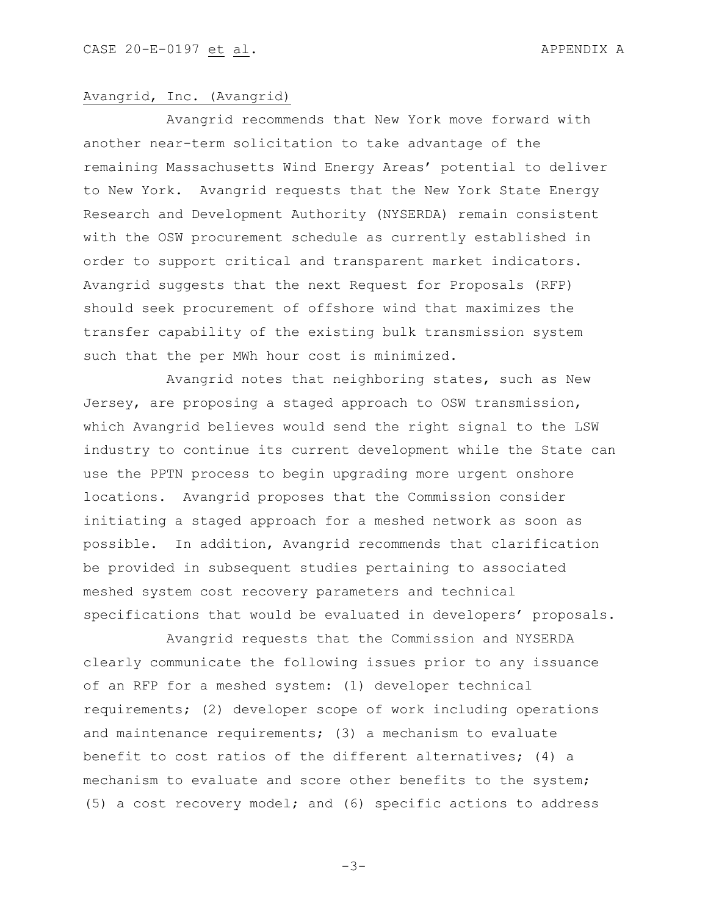## Avangrid, Inc. (Avangrid)

Avangrid recommends that New York move forward with another near-term solicitation to take advantage of the remaining Massachusetts Wind Energy Areas' potential to deliver to New York. Avangrid requests that the New York State Energy Research and Development Authority (NYSERDA) remain consistent with the OSW procurement schedule as currently established in order to support critical and transparent market indicators. Avangrid suggests that the next Request for Proposals (RFP) should seek procurement of offshore wind that maximizes the transfer capability of the existing bulk transmission system such that the per MWh hour cost is minimized.

Avangrid notes that neighboring states, such as New Jersey, are proposing a staged approach to OSW transmission, which Avangrid believes would send the right signal to the LSW industry to continue its current development while the State can use the PPTN process to begin upgrading more urgent onshore locations. Avangrid proposes that the Commission consider initiating a staged approach for a meshed network as soon as possible. In addition, Avangrid recommends that clarification be provided in subsequent studies pertaining to associated meshed system cost recovery parameters and technical specifications that would be evaluated in developers' proposals.

Avangrid requests that the Commission and NYSERDA clearly communicate the following issues prior to any issuance of an RFP for a meshed system: (1) developer technical requirements; (2) developer scope of work including operations and maintenance requirements; (3) a mechanism to evaluate benefit to cost ratios of the different alternatives; (4) a mechanism to evaluate and score other benefits to the system; (5) a cost recovery model; and (6) specific actions to address

-3-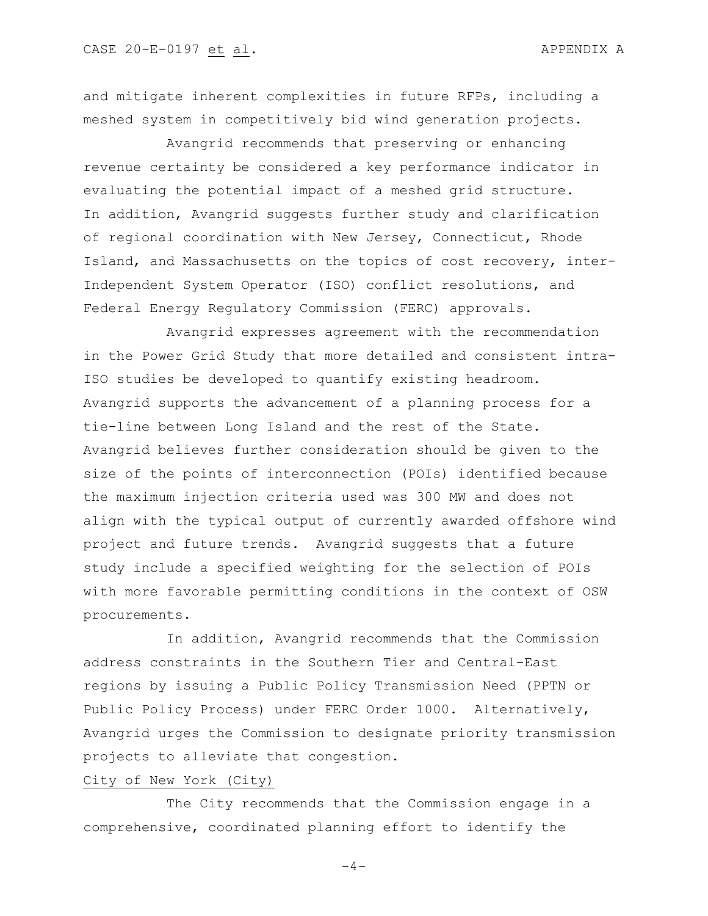and mitigate inherent complexities in future RFPs, including a meshed system in competitively bid wind generation projects.

Avangrid recommends that preserving or enhancing revenue certainty be considered a key performance indicator in evaluating the potential impact of a meshed grid structure. In addition, Avangrid suggests further study and clarification of regional coordination with New Jersey, Connecticut, Rhode Island, and Massachusetts on the topics of cost recovery, inter-Independent System Operator (ISO) conflict resolutions, and Federal Energy Regulatory Commission (FERC) approvals.

Avangrid expresses agreement with the recommendation in the Power Grid Study that more detailed and consistent intra-ISO studies be developed to quantify existing headroom. Avangrid supports the advancement of a planning process for a tie-line between Long Island and the rest of the State. Avangrid believes further consideration should be given to the size of the points of interconnection (POIs) identified because the maximum injection criteria used was 300 MW and does not align with the typical output of currently awarded offshore wind project and future trends. Avangrid suggests that a future study include a specified weighting for the selection of POIs with more favorable permitting conditions in the context of OSW procurements.

In addition, Avangrid recommends that the Commission address constraints in the Southern Tier and Central-East regions by issuing a Public Policy Transmission Need (PPTN or Public Policy Process) under FERC Order 1000. Alternatively, Avangrid urges the Commission to designate priority transmission projects to alleviate that congestion.

## City of New York (City)

The City recommends that the Commission engage in a comprehensive, coordinated planning effort to identify the

 $-4-$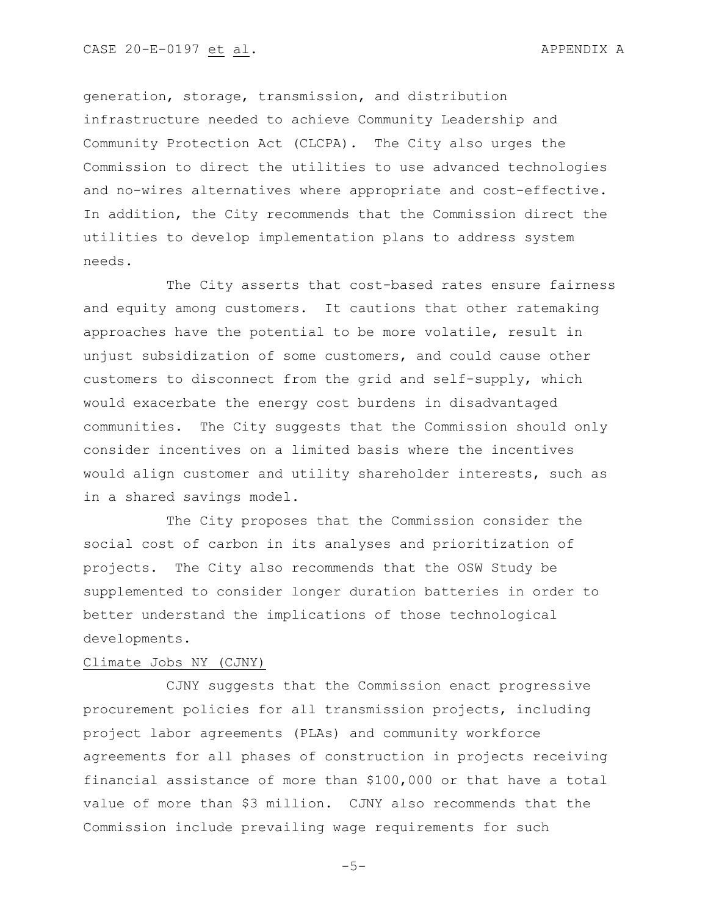generation, storage, transmission, and distribution infrastructure needed to achieve Community Leadership and Community Protection Act (CLCPA). The City also urges the Commission to direct the utilities to use advanced technologies and no-wires alternatives where appropriate and cost-effective. In addition, the City recommends that the Commission direct the utilities to develop implementation plans to address system needs.

The City asserts that cost-based rates ensure fairness and equity among customers. It cautions that other ratemaking approaches have the potential to be more volatile, result in unjust subsidization of some customers, and could cause other customers to disconnect from the grid and self-supply, which would exacerbate the energy cost burdens in disadvantaged communities. The City suggests that the Commission should only consider incentives on a limited basis where the incentives would align customer and utility shareholder interests, such as in a shared savings model.

The City proposes that the Commission consider the social cost of carbon in its analyses and prioritization of projects. The City also recommends that the OSW Study be supplemented to consider longer duration batteries in order to better understand the implications of those technological developments.

### Climate Jobs NY (CJNY)

CJNY suggests that the Commission enact progressive procurement policies for all transmission projects, including project labor agreements (PLAs) and community workforce agreements for all phases of construction in projects receiving financial assistance of more than \$100,000 or that have a total value of more than \$3 million. CJNY also recommends that the Commission include prevailing wage requirements for such

-5-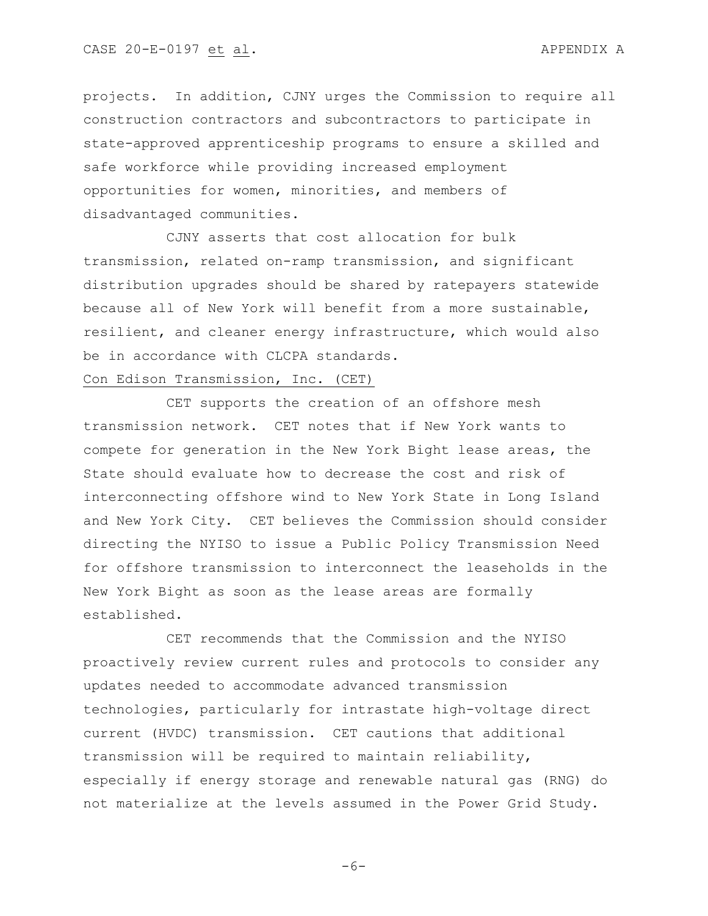projects. In addition, CJNY urges the Commission to require all construction contractors and subcontractors to participate in state-approved apprenticeship programs to ensure a skilled and safe workforce while providing increased employment opportunities for women, minorities, and members of disadvantaged communities.

CJNY asserts that cost allocation for bulk transmission, related on-ramp transmission, and significant distribution upgrades should be shared by ratepayers statewide because all of New York will benefit from a more sustainable, resilient, and cleaner energy infrastructure, which would also be in accordance with CLCPA standards.

# Con Edison Transmission, Inc. (CET)

CET supports the creation of an offshore mesh transmission network. CET notes that if New York wants to compete for generation in the New York Bight lease areas, the State should evaluate how to decrease the cost and risk of interconnecting offshore wind to New York State in Long Island and New York City. CET believes the Commission should consider directing the NYISO to issue a Public Policy Transmission Need for offshore transmission to interconnect the leaseholds in the New York Bight as soon as the lease areas are formally established.

CET recommends that the Commission and the NYISO proactively review current rules and protocols to consider any updates needed to accommodate advanced transmission technologies, particularly for intrastate high-voltage direct current (HVDC) transmission. CET cautions that additional transmission will be required to maintain reliability, especially if energy storage and renewable natural gas (RNG) do not materialize at the levels assumed in the Power Grid Study.

-6-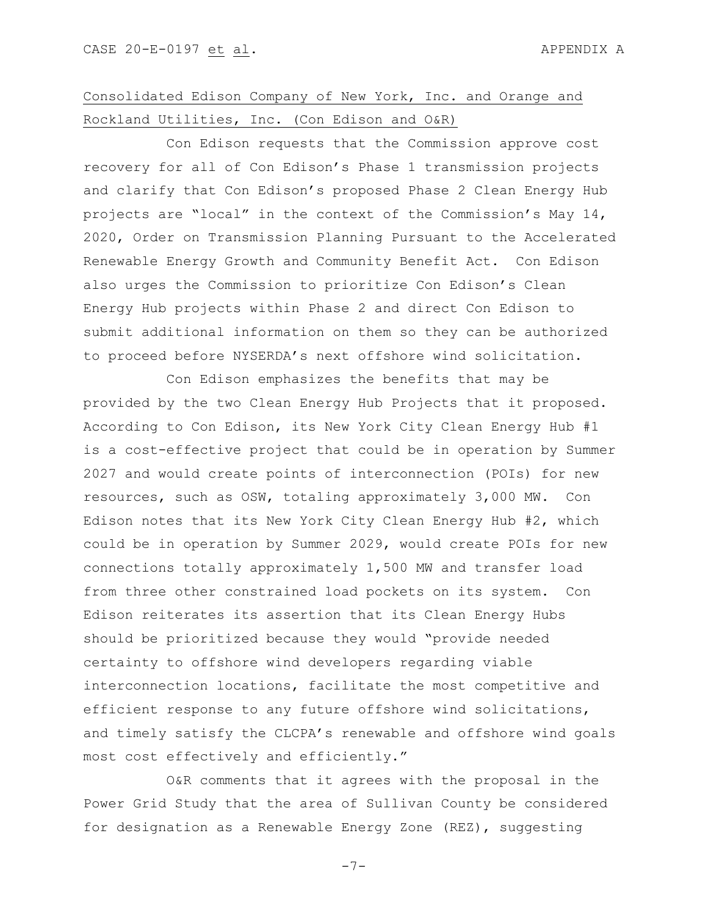# Consolidated Edison Company of New York, Inc. and Orange and Rockland Utilities, Inc. (Con Edison and O&R)

Con Edison requests that the Commission approve cost recovery for all of Con Edison's Phase 1 transmission projects and clarify that Con Edison's proposed Phase 2 Clean Energy Hub projects are "local" in the context of the Commission's May 14, 2020, Order on Transmission Planning Pursuant to the Accelerated Renewable Energy Growth and Community Benefit Act. Con Edison also urges the Commission to prioritize Con Edison's Clean Energy Hub projects within Phase 2 and direct Con Edison to submit additional information on them so they can be authorized to proceed before NYSERDA's next offshore wind solicitation.

Con Edison emphasizes the benefits that may be provided by the two Clean Energy Hub Projects that it proposed. According to Con Edison, its New York City Clean Energy Hub #1 is a cost-effective project that could be in operation by Summer 2027 and would create points of interconnection (POIs) for new resources, such as OSW, totaling approximately 3,000 MW. Con Edison notes that its New York City Clean Energy Hub #2, which could be in operation by Summer 2029, would create POIs for new connections totally approximately 1,500 MW and transfer load from three other constrained load pockets on its system. Con Edison reiterates its assertion that its Clean Energy Hubs should be prioritized because they would "provide needed certainty to offshore wind developers regarding viable interconnection locations, facilitate the most competitive and efficient response to any future offshore wind solicitations, and timely satisfy the CLCPA's renewable and offshore wind goals most cost effectively and efficiently."

O&R comments that it agrees with the proposal in the Power Grid Study that the area of Sullivan County be considered for designation as a Renewable Energy Zone (REZ), suggesting

-7-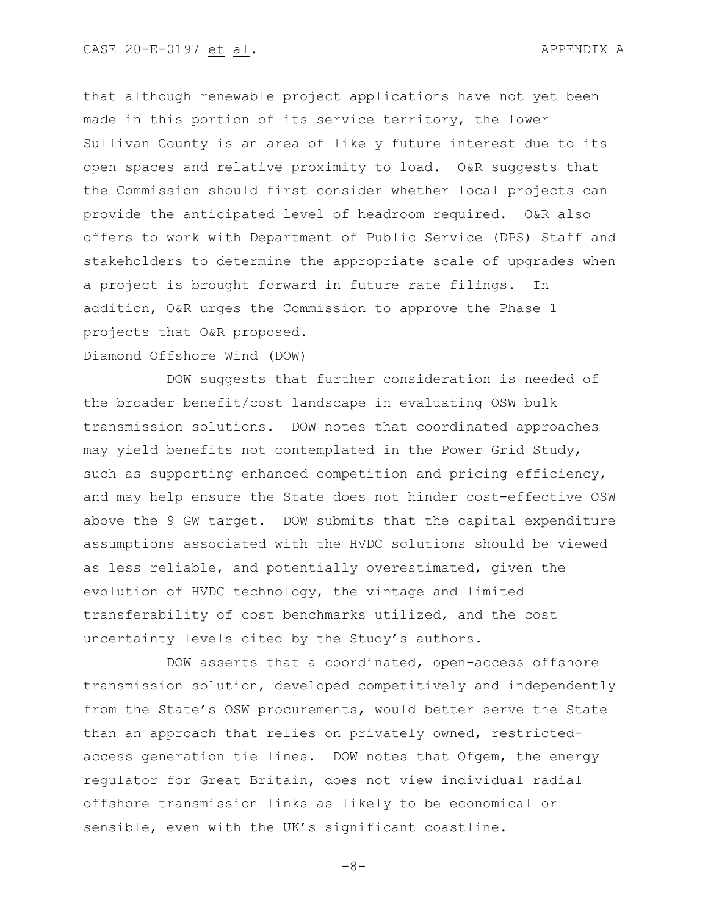that although renewable project applications have not yet been made in this portion of its service territory, the lower Sullivan County is an area of likely future interest due to its open spaces and relative proximity to load. O&R suggests that the Commission should first consider whether local projects can provide the anticipated level of headroom required. O&R also offers to work with Department of Public Service (DPS) Staff and stakeholders to determine the appropriate scale of upgrades when a project is brought forward in future rate filings. In addition, O&R urges the Commission to approve the Phase 1 projects that O&R proposed.

## Diamond Offshore Wind (DOW)

DOW suggests that further consideration is needed of the broader benefit/cost landscape in evaluating OSW bulk transmission solutions. DOW notes that coordinated approaches may yield benefits not contemplated in the Power Grid Study, such as supporting enhanced competition and pricing efficiency, and may help ensure the State does not hinder cost-effective OSW above the 9 GW target. DOW submits that the capital expenditure assumptions associated with the HVDC solutions should be viewed as less reliable, and potentially overestimated, given the evolution of HVDC technology, the vintage and limited transferability of cost benchmarks utilized, and the cost uncertainty levels cited by the Study's authors.

DOW asserts that a coordinated, open-access offshore transmission solution, developed competitively and independently from the State's OSW procurements, would better serve the State than an approach that relies on privately owned, restrictedaccess generation tie lines. DOW notes that Ofgem, the energy regulator for Great Britain, does not view individual radial offshore transmission links as likely to be economical or sensible, even with the UK's significant coastline.

-8-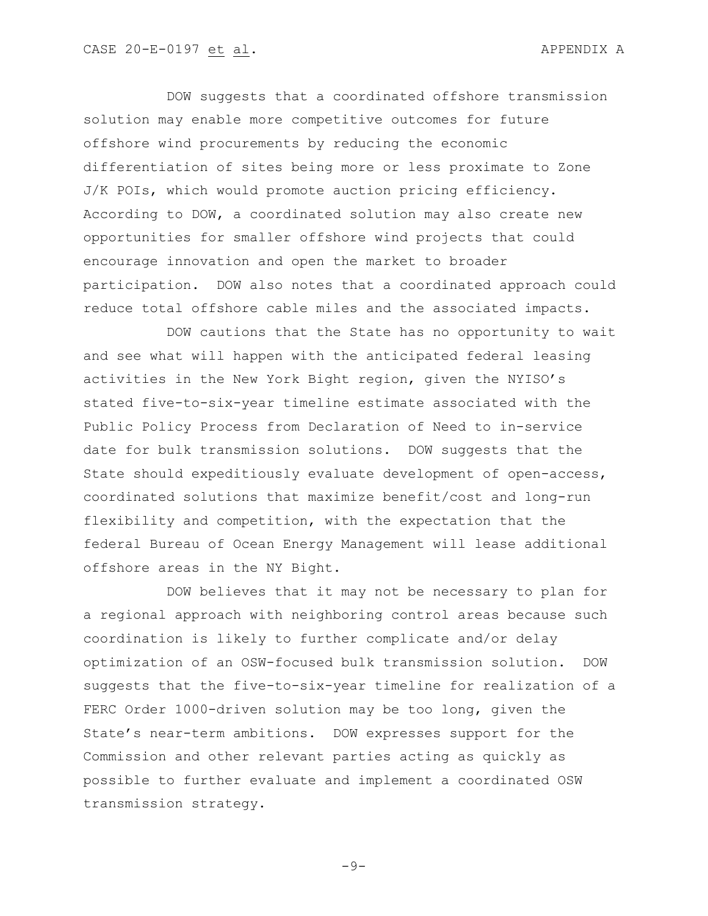DOW suggests that a coordinated offshore transmission solution may enable more competitive outcomes for future offshore wind procurements by reducing the economic differentiation of sites being more or less proximate to Zone J/K POIs, which would promote auction pricing efficiency. According to DOW, a coordinated solution may also create new opportunities for smaller offshore wind projects that could encourage innovation and open the market to broader participation. DOW also notes that a coordinated approach could reduce total offshore cable miles and the associated impacts.

DOW cautions that the State has no opportunity to wait and see what will happen with the anticipated federal leasing activities in the New York Bight region, given the NYISO's stated five-to-six-year timeline estimate associated with the Public Policy Process from Declaration of Need to in-service date for bulk transmission solutions. DOW suggests that the State should expeditiously evaluate development of open-access, coordinated solutions that maximize benefit/cost and long-run flexibility and competition, with the expectation that the federal Bureau of Ocean Energy Management will lease additional offshore areas in the NY Bight.

DOW believes that it may not be necessary to plan for a regional approach with neighboring control areas because such coordination is likely to further complicate and/or delay optimization of an OSW-focused bulk transmission solution. DOW suggests that the five-to-six-year timeline for realization of a FERC Order 1000-driven solution may be too long, given the State's near-term ambitions. DOW expresses support for the Commission and other relevant parties acting as quickly as possible to further evaluate and implement a coordinated OSW transmission strategy.

-9-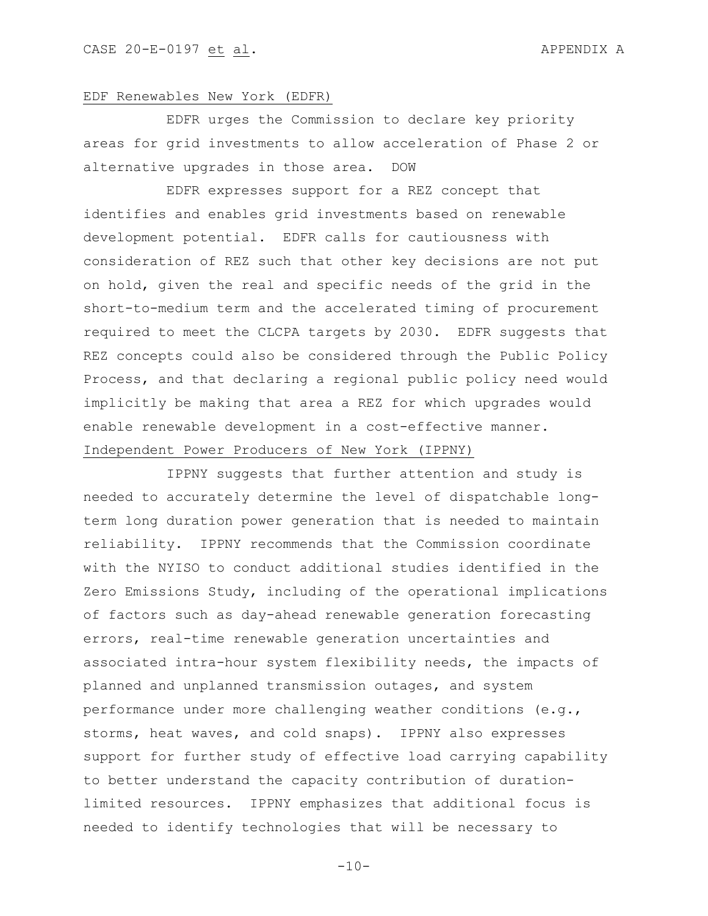### EDF Renewables New York (EDFR)

EDFR urges the Commission to declare key priority areas for grid investments to allow acceleration of Phase 2 or alternative upgrades in those area. DOW

EDFR expresses support for a REZ concept that identifies and enables grid investments based on renewable development potential. EDFR calls for cautiousness with consideration of REZ such that other key decisions are not put on hold, given the real and specific needs of the grid in the short-to-medium term and the accelerated timing of procurement required to meet the CLCPA targets by 2030. EDFR suggests that REZ concepts could also be considered through the Public Policy Process, and that declaring a regional public policy need would implicitly be making that area a REZ for which upgrades would enable renewable development in a cost-effective manner. Independent Power Producers of New York (IPPNY)

IPPNY suggests that further attention and study is needed to accurately determine the level of dispatchable longterm long duration power generation that is needed to maintain reliability. IPPNY recommends that the Commission coordinate with the NYISO to conduct additional studies identified in the Zero Emissions Study, including of the operational implications of factors such as day-ahead renewable generation forecasting errors, real-time renewable generation uncertainties and associated intra-hour system flexibility needs, the impacts of planned and unplanned transmission outages, and system performance under more challenging weather conditions (e.g., storms, heat waves, and cold snaps). IPPNY also expresses support for further study of effective load carrying capability to better understand the capacity contribution of durationlimited resources. IPPNY emphasizes that additional focus is needed to identify technologies that will be necessary to

 $-10-$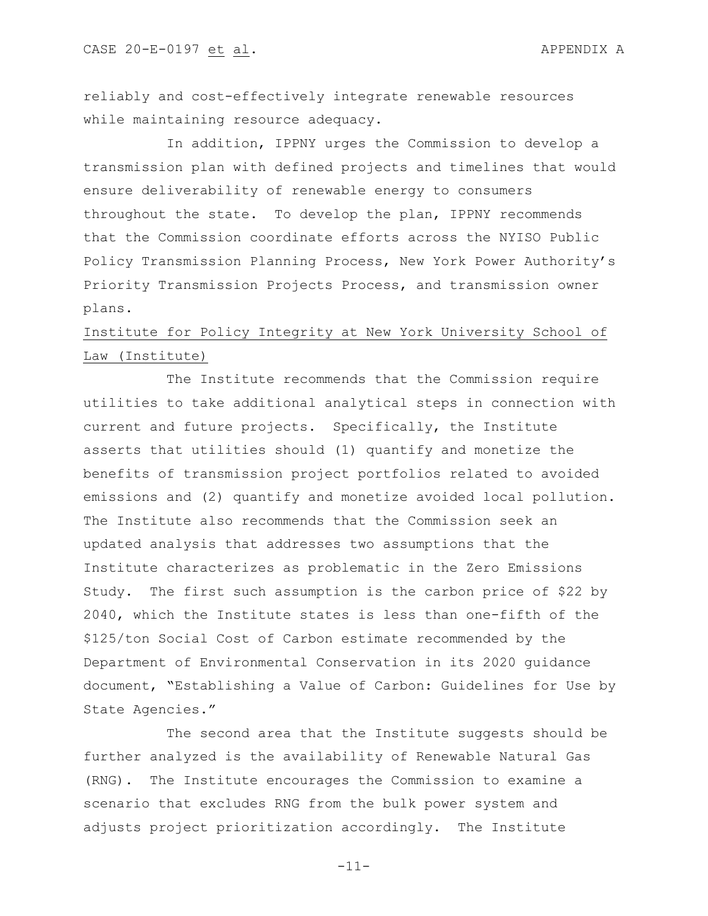reliably and cost-effectively integrate renewable resources while maintaining resource adequacy.

In addition, IPPNY urges the Commission to develop a transmission plan with defined projects and timelines that would ensure deliverability of renewable energy to consumers throughout the state. To develop the plan, IPPNY recommends that the Commission coordinate efforts across the NYISO Public Policy Transmission Planning Process, New York Power Authority's Priority Transmission Projects Process, and transmission owner plans.

# Institute for Policy Integrity at New York University School of Law (Institute)

The Institute recommends that the Commission require utilities to take additional analytical steps in connection with current and future projects. Specifically, the Institute asserts that utilities should (1) quantify and monetize the benefits of transmission project portfolios related to avoided emissions and (2) quantify and monetize avoided local pollution. The Institute also recommends that the Commission seek an updated analysis that addresses two assumptions that the Institute characterizes as problematic in the Zero Emissions Study. The first such assumption is the carbon price of \$22 by 2040, which the Institute states is less than one-fifth of the \$125/ton Social Cost of Carbon estimate recommended by the Department of Environmental Conservation in its 2020 guidance document, "Establishing a Value of Carbon: Guidelines for Use by State Agencies."

The second area that the Institute suggests should be further analyzed is the availability of Renewable Natural Gas (RNG). The Institute encourages the Commission to examine a scenario that excludes RNG from the bulk power system and adjusts project prioritization accordingly. The Institute

-11-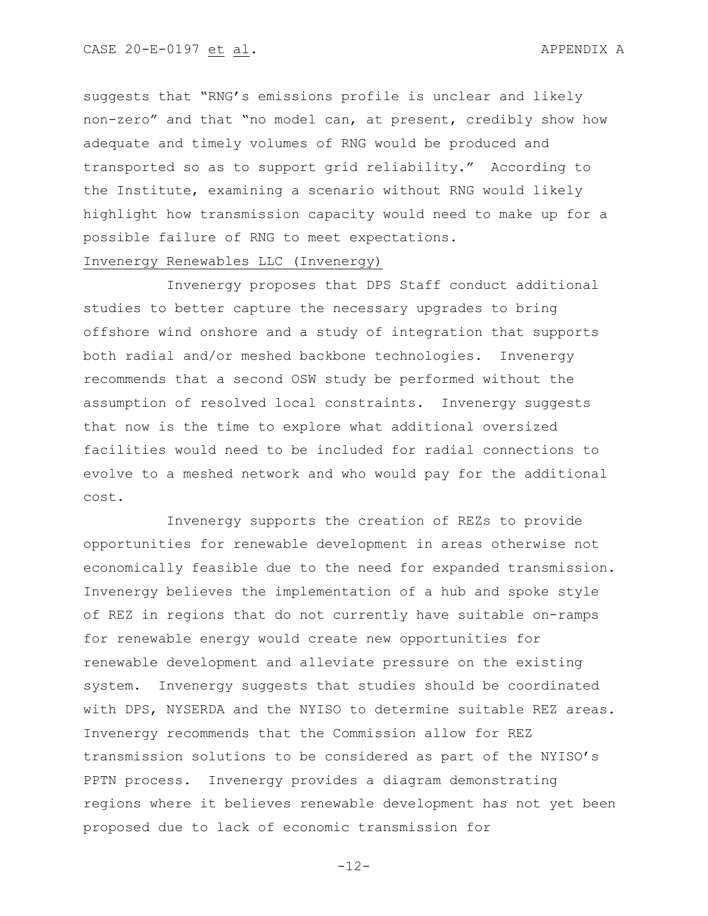suggests that "RNG's emissions profile is unclear and likely non-zero" and that "no model can, at present, credibly show how adequate and timely volumes of RNG would be produced and transported so as to support grid reliability." According to the Institute, examining a scenario without RNG would likely highlight how transmission capacity would need to make up for a possible failure of RNG to meet expectations.

# Invenergy Renewables LLC (Invenergy)

Invenergy proposes that DPS Staff conduct additional studies to better capture the necessary upgrades to bring offshore wind onshore and a study of integration that supports both radial and/or meshed backbone technologies. Invenergy recommends that a second OSW study be performed without the assumption of resolved local constraints. Invenergy suggests that now is the time to explore what additional oversized facilities would need to be included for radial connections to evolve to a meshed network and who would pay for the additional cost.

Invenergy supports the creation of REZs to provide opportunities for renewable development in areas otherwise not economically feasible due to the need for expanded transmission. Invenergy believes the implementation of a hub and spoke style of REZ in regions that do not currently have suitable on-ramps for renewable energy would create new opportunities for renewable development and alleviate pressure on the existing system. Invenergy suggests that studies should be coordinated with DPS, NYSERDA and the NYISO to determine suitable REZ areas. Invenergy recommends that the Commission allow for REZ transmission solutions to be considered as part of the NYISO's PPTN process. Invenergy provides a diagram demonstrating regions where it believes renewable development has not yet been proposed due to lack of economic transmission for

-12-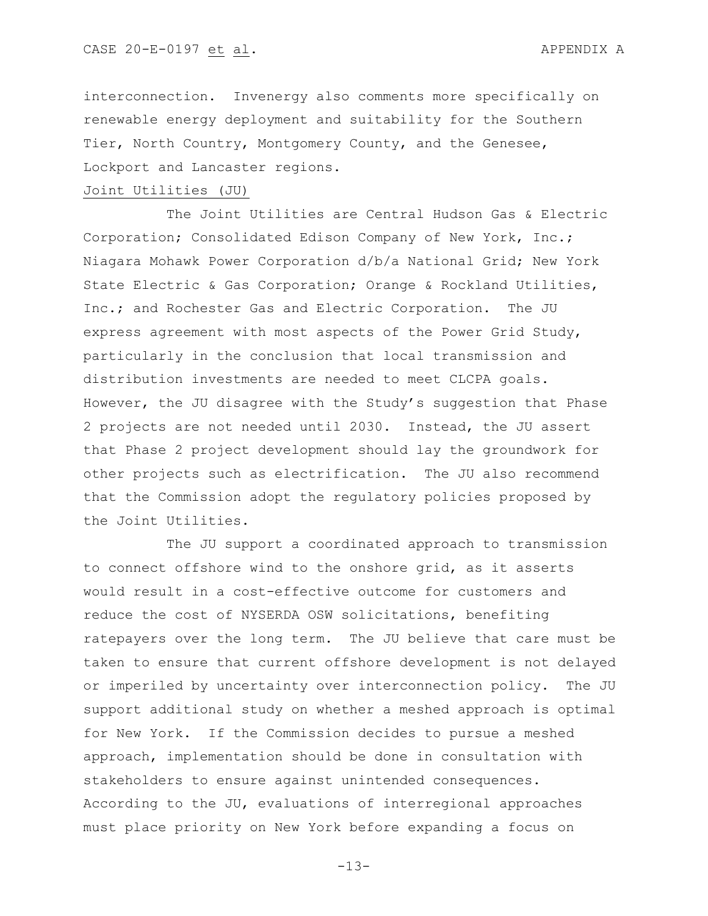interconnection. Invenergy also comments more specifically on renewable energy deployment and suitability for the Southern Tier, North Country, Montgomery County, and the Genesee, Lockport and Lancaster regions.

## Joint Utilities (JU)

The Joint Utilities are Central Hudson Gas & Electric Corporation; Consolidated Edison Company of New York, Inc.; Niagara Mohawk Power Corporation d/b/a National Grid; New York State Electric & Gas Corporation; Orange & Rockland Utilities, Inc.; and Rochester Gas and Electric Corporation. The JU express agreement with most aspects of the Power Grid Study, particularly in the conclusion that local transmission and distribution investments are needed to meet CLCPA goals. However, the JU disagree with the Study's suggestion that Phase 2 projects are not needed until 2030. Instead, the JU assert that Phase 2 project development should lay the groundwork for other projects such as electrification. The JU also recommend that the Commission adopt the regulatory policies proposed by the Joint Utilities.

The JU support a coordinated approach to transmission to connect offshore wind to the onshore grid, as it asserts would result in a cost-effective outcome for customers and reduce the cost of NYSERDA OSW solicitations, benefiting ratepayers over the long term. The JU believe that care must be taken to ensure that current offshore development is not delayed or imperiled by uncertainty over interconnection policy. The JU support additional study on whether a meshed approach is optimal for New York. If the Commission decides to pursue a meshed approach, implementation should be done in consultation with stakeholders to ensure against unintended consequences. According to the JU, evaluations of interregional approaches must place priority on New York before expanding a focus on

-13-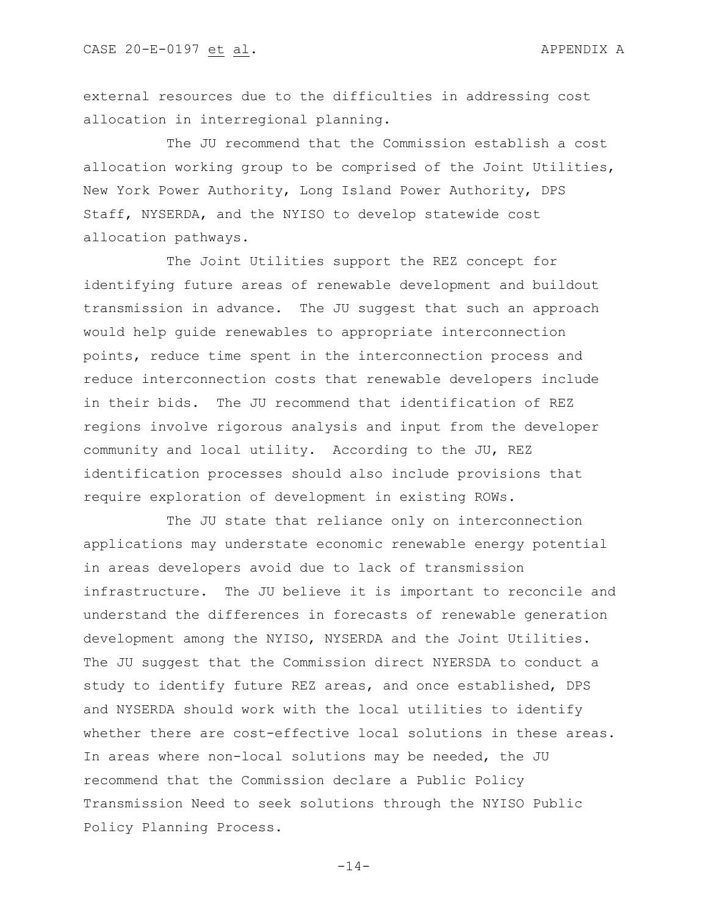external resources due to the difficulties in addressing cost allocation in interregional planning.

The JU recommend that the Commission establish a cost allocation working group to be comprised of the Joint Utilities, New York Power Authority, Long Island Power Authority, DPS Staff, NYSERDA, and the NYISO to develop statewide cost allocation pathways.

The Joint Utilities support the REZ concept for identifying future areas of renewable development and buildout transmission in advance. The JU suggest that such an approach would help guide renewables to appropriate interconnection points, reduce time spent in the interconnection process and reduce interconnection costs that renewable developers include in their bids. The JU recommend that identification of REZ regions involve rigorous analysis and input from the developer community and local utility. According to the JU, REZ identification processes should also include provisions that require exploration of development in existing ROWs.

The JU state that reliance only on interconnection applications may understate economic renewable energy potential in areas developers avoid due to lack of transmission infrastructure. The JU believe it is important to reconcile and understand the differences in forecasts of renewable generation development among the NYISO, NYSERDA and the Joint Utilities. The JU suggest that the Commission direct NYERSDA to conduct a study to identify future REZ areas, and once established, DPS and NYSERDA should work with the local utilities to identify whether there are cost-effective local solutions in these areas. In areas where non-local solutions may be needed, the JU recommend that the Commission declare a Public Policy Transmission Need to seek solutions through the NYISO Public Policy Planning Process.

-14-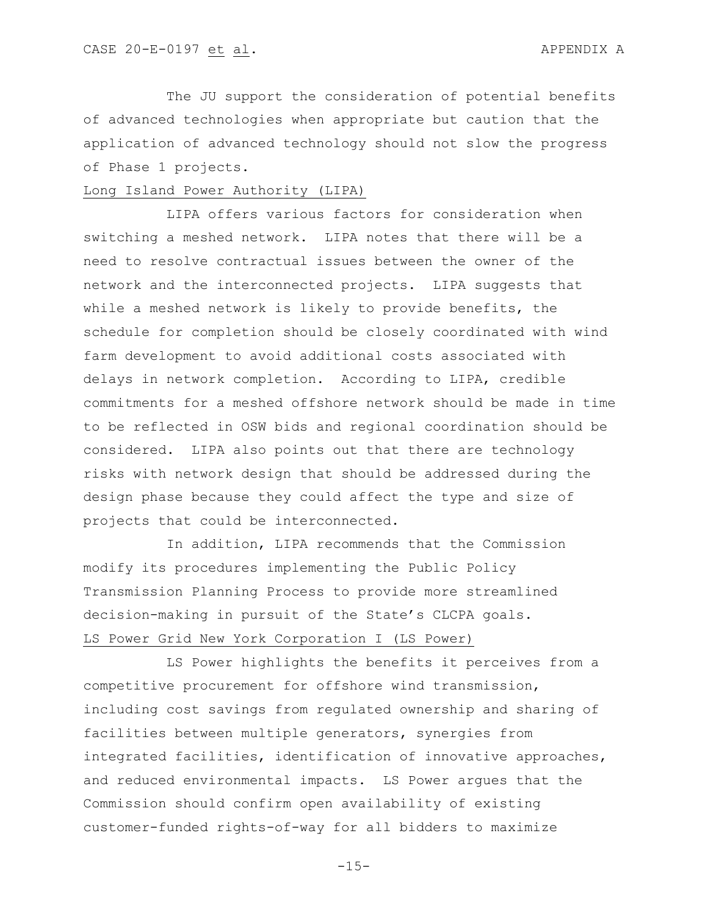The JU support the consideration of potential benefits of advanced technologies when appropriate but caution that the application of advanced technology should not slow the progress of Phase 1 projects.

### Long Island Power Authority (LIPA)

LIPA offers various factors for consideration when switching a meshed network. LIPA notes that there will be a need to resolve contractual issues between the owner of the network and the interconnected projects. LIPA suggests that while a meshed network is likely to provide benefits, the schedule for completion should be closely coordinated with wind farm development to avoid additional costs associated with delays in network completion. According to LIPA, credible commitments for a meshed offshore network should be made in time to be reflected in OSW bids and regional coordination should be considered. LIPA also points out that there are technology risks with network design that should be addressed during the design phase because they could affect the type and size of projects that could be interconnected.

In addition, LIPA recommends that the Commission modify its procedures implementing the Public Policy Transmission Planning Process to provide more streamlined decision-making in pursuit of the State's CLCPA goals. LS Power Grid New York Corporation I (LS Power)

LS Power highlights the benefits it perceives from a competitive procurement for offshore wind transmission, including cost savings from regulated ownership and sharing of facilities between multiple generators, synergies from integrated facilities, identification of innovative approaches, and reduced environmental impacts. LS Power argues that the Commission should confirm open availability of existing customer-funded rights-of-way for all bidders to maximize

 $-15-$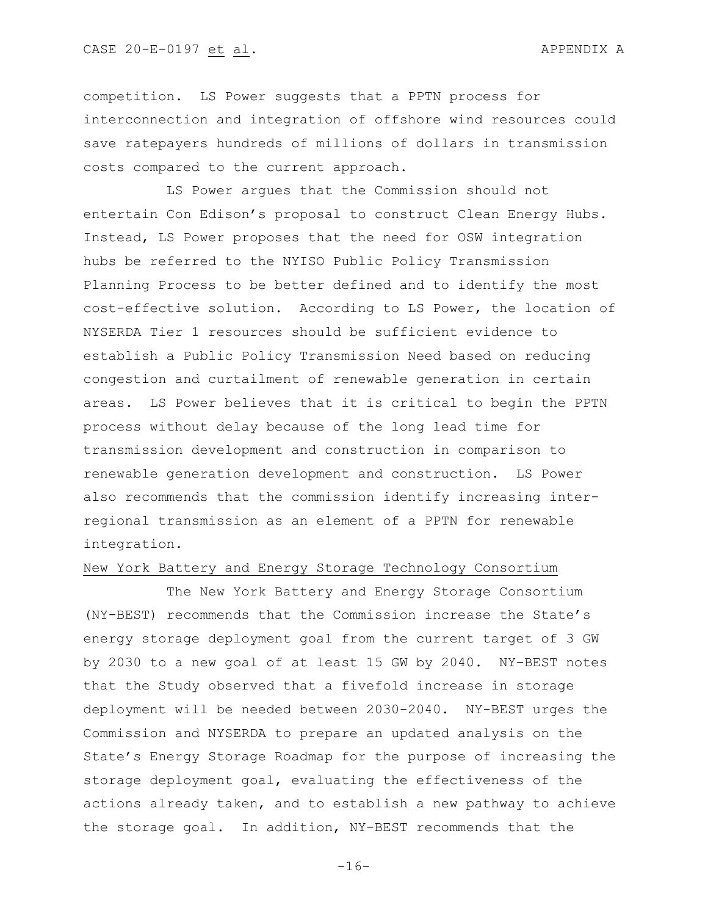competition. LS Power suggests that a PPTN process for interconnection and integration of offshore wind resources could save ratepayers hundreds of millions of dollars in transmission costs compared to the current approach.

LS Power argues that the Commission should not entertain Con Edison's proposal to construct Clean Energy Hubs. Instead, LS Power proposes that the need for OSW integration hubs be referred to the NYISO Public Policy Transmission Planning Process to be better defined and to identify the most cost-effective solution. According to LS Power, the location of NYSERDA Tier 1 resources should be sufficient evidence to establish a Public Policy Transmission Need based on reducing congestion and curtailment of renewable generation in certain areas. LS Power believes that it is critical to begin the PPTN process without delay because of the long lead time for transmission development and construction in comparison to renewable generation development and construction. LS Power also recommends that the commission identify increasing interregional transmission as an element of a PPTN for renewable integration.

### New York Battery and Energy Storage Technology Consortium

The New York Battery and Energy Storage Consortium (NY-BEST) recommends that the Commission increase the State's energy storage deployment goal from the current target of 3 GW by 2030 to a new goal of at least 15 GW by 2040. NY-BEST notes that the Study observed that a fivefold increase in storage deployment will be needed between 2030-2040. NY-BEST urges the Commission and NYSERDA to prepare an updated analysis on the State's Energy Storage Roadmap for the purpose of increasing the storage deployment goal, evaluating the effectiveness of the actions already taken, and to establish a new pathway to achieve the storage goal. In addition, NY-BEST recommends that the

 $-16-$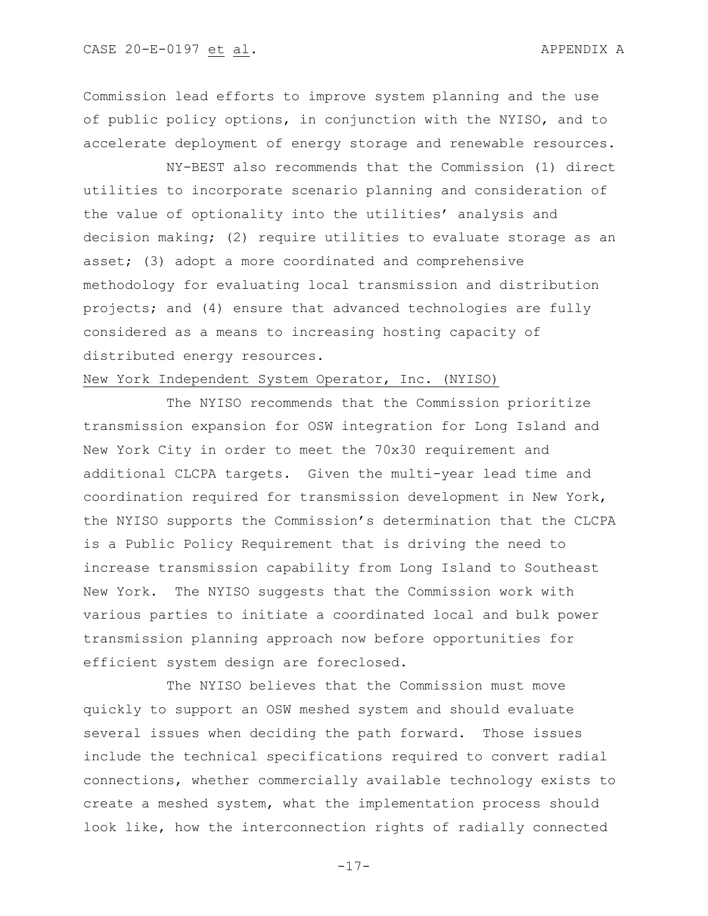Commission lead efforts to improve system planning and the use of public policy options, in conjunction with the NYISO, and to accelerate deployment of energy storage and renewable resources.

NY-BEST also recommends that the Commission (1) direct utilities to incorporate scenario planning and consideration of the value of optionality into the utilities' analysis and decision making; (2) require utilities to evaluate storage as an asset; (3) adopt a more coordinated and comprehensive methodology for evaluating local transmission and distribution projects; and (4) ensure that advanced technologies are fully considered as a means to increasing hosting capacity of distributed energy resources.

## New York Independent System Operator, Inc. (NYISO)

The NYISO recommends that the Commission prioritize transmission expansion for OSW integration for Long Island and New York City in order to meet the 70x30 requirement and additional CLCPA targets. Given the multi-year lead time and coordination required for transmission development in New York, the NYISO supports the Commission's determination that the CLCPA is a Public Policy Requirement that is driving the need to increase transmission capability from Long Island to Southeast New York. The NYISO suggests that the Commission work with various parties to initiate a coordinated local and bulk power transmission planning approach now before opportunities for efficient system design are foreclosed.

The NYISO believes that the Commission must move quickly to support an OSW meshed system and should evaluate several issues when deciding the path forward. Those issues include the technical specifications required to convert radial connections, whether commercially available technology exists to create a meshed system, what the implementation process should look like, how the interconnection rights of radially connected

-17-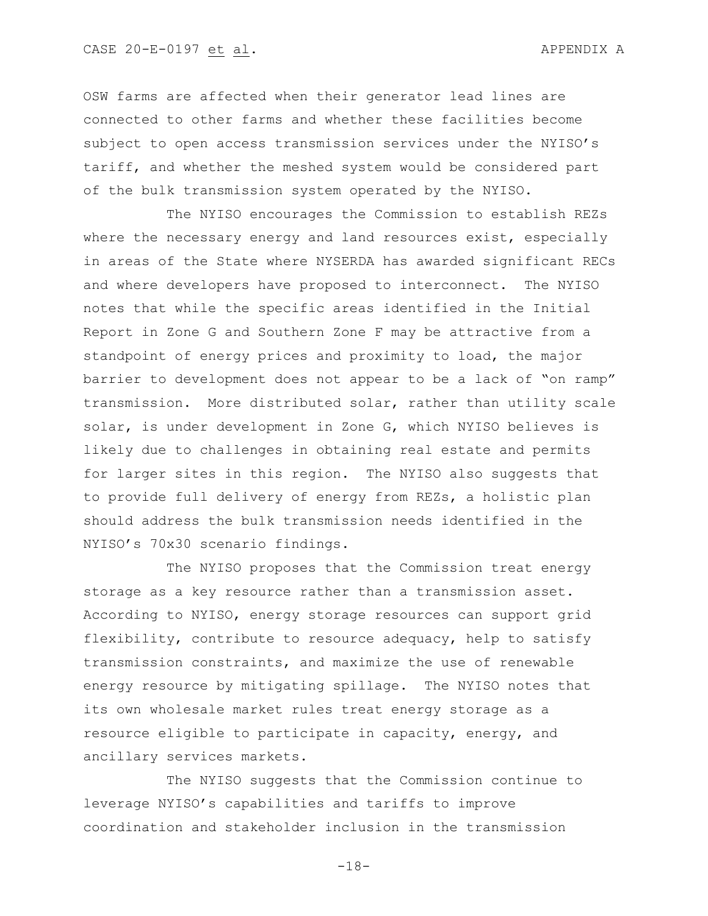OSW farms are affected when their generator lead lines are connected to other farms and whether these facilities become subject to open access transmission services under the NYISO's tariff, and whether the meshed system would be considered part of the bulk transmission system operated by the NYISO.

The NYISO encourages the Commission to establish REZs where the necessary energy and land resources exist, especially in areas of the State where NYSERDA has awarded significant RECs and where developers have proposed to interconnect. The NYISO notes that while the specific areas identified in the Initial Report in Zone G and Southern Zone F may be attractive from a standpoint of energy prices and proximity to load, the major barrier to development does not appear to be a lack of "on ramp" transmission. More distributed solar, rather than utility scale solar, is under development in Zone G, which NYISO believes is likely due to challenges in obtaining real estate and permits for larger sites in this region. The NYISO also suggests that to provide full delivery of energy from REZs, a holistic plan should address the bulk transmission needs identified in the NYISO's 70x30 scenario findings.

The NYISO proposes that the Commission treat energy storage as a key resource rather than a transmission asset. According to NYISO, energy storage resources can support grid flexibility, contribute to resource adequacy, help to satisfy transmission constraints, and maximize the use of renewable energy resource by mitigating spillage. The NYISO notes that its own wholesale market rules treat energy storage as a resource eligible to participate in capacity, energy, and ancillary services markets.

The NYISO suggests that the Commission continue to leverage NYISO's capabilities and tariffs to improve coordination and stakeholder inclusion in the transmission

-18-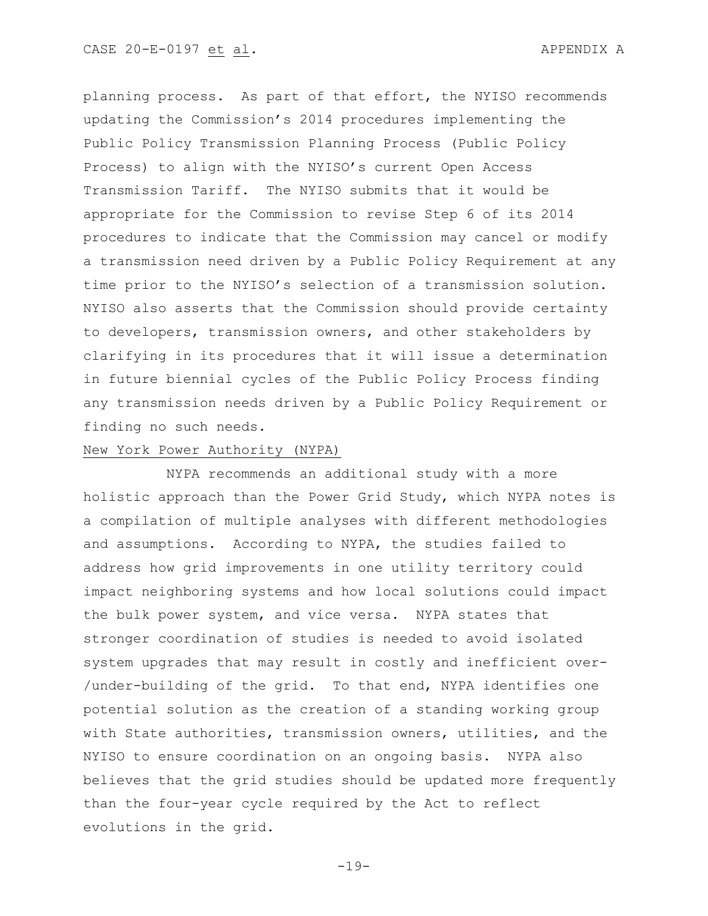planning process. As part of that effort, the NYISO recommends updating the Commission's 2014 procedures implementing the Public Policy Transmission Planning Process (Public Policy Process) to align with the NYISO's current Open Access Transmission Tariff. The NYISO submits that it would be appropriate for the Commission to revise Step 6 of its 2014 procedures to indicate that the Commission may cancel or modify a transmission need driven by a Public Policy Requirement at any time prior to the NYISO's selection of a transmission solution. NYISO also asserts that the Commission should provide certainty to developers, transmission owners, and other stakeholders by clarifying in its procedures that it will issue a determination in future biennial cycles of the Public Policy Process finding any transmission needs driven by a Public Policy Requirement or finding no such needs.

# New York Power Authority (NYPA)

NYPA recommends an additional study with a more holistic approach than the Power Grid Study, which NYPA notes is a compilation of multiple analyses with different methodologies and assumptions. According to NYPA, the studies failed to address how grid improvements in one utility territory could impact neighboring systems and how local solutions could impact the bulk power system, and vice versa. NYPA states that stronger coordination of studies is needed to avoid isolated system upgrades that may result in costly and inefficient over- /under-building of the grid. To that end, NYPA identifies one potential solution as the creation of a standing working group with State authorities, transmission owners, utilities, and the NYISO to ensure coordination on an ongoing basis. NYPA also believes that the grid studies should be updated more frequently than the four-year cycle required by the Act to reflect evolutions in the grid.

-19-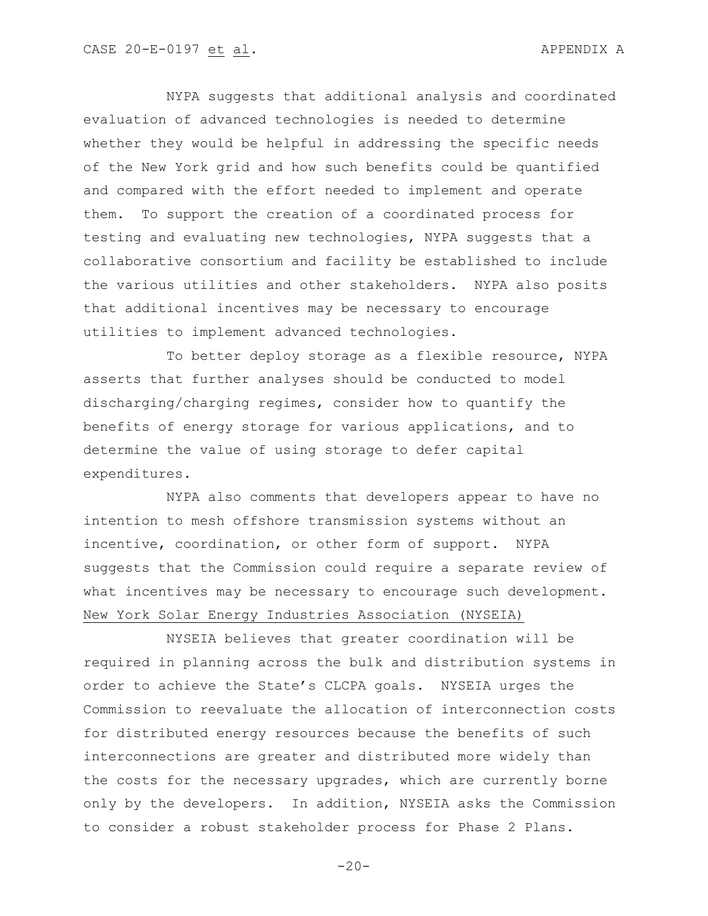NYPA suggests that additional analysis and coordinated evaluation of advanced technologies is needed to determine whether they would be helpful in addressing the specific needs of the New York grid and how such benefits could be quantified and compared with the effort needed to implement and operate them. To support the creation of a coordinated process for testing and evaluating new technologies, NYPA suggests that a collaborative consortium and facility be established to include the various utilities and other stakeholders. NYPA also posits that additional incentives may be necessary to encourage utilities to implement advanced technologies.

To better deploy storage as a flexible resource, NYPA asserts that further analyses should be conducted to model discharging/charging regimes, consider how to quantify the benefits of energy storage for various applications, and to determine the value of using storage to defer capital expenditures.

NYPA also comments that developers appear to have no intention to mesh offshore transmission systems without an incentive, coordination, or other form of support. NYPA suggests that the Commission could require a separate review of what incentives may be necessary to encourage such development. New York Solar Energy Industries Association (NYSEIA)

NYSEIA believes that greater coordination will be required in planning across the bulk and distribution systems in order to achieve the State's CLCPA goals. NYSEIA urges the Commission to reevaluate the allocation of interconnection costs for distributed energy resources because the benefits of such interconnections are greater and distributed more widely than the costs for the necessary upgrades, which are currently borne only by the developers. In addition, NYSEIA asks the Commission to consider a robust stakeholder process for Phase 2 Plans.

 $-20-$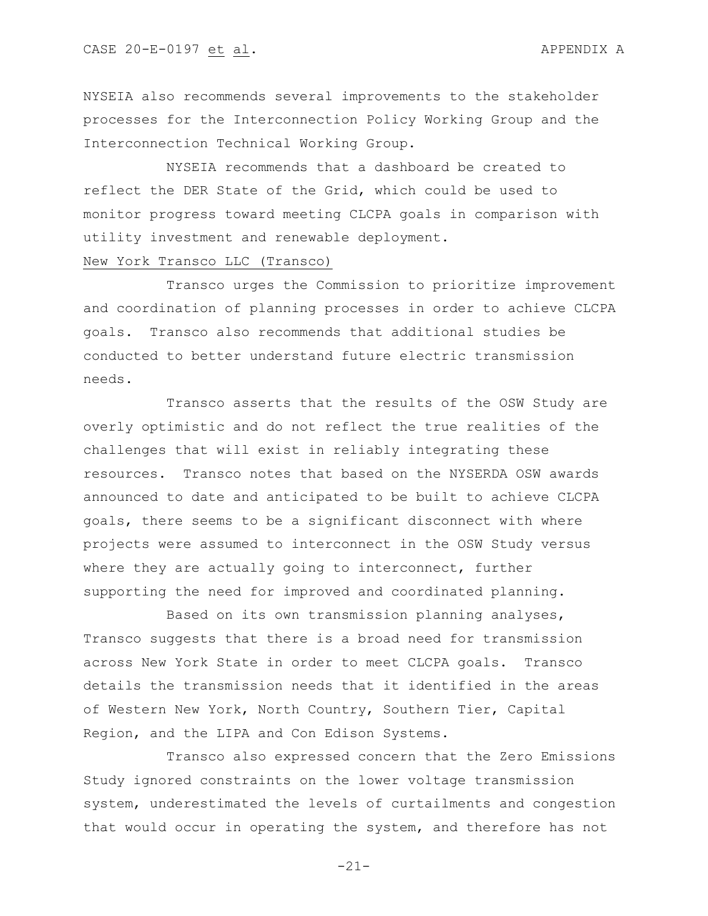CASE 20-E-0197 et al. APPENDIX A

NYSEIA also recommends several improvements to the stakeholder processes for the Interconnection Policy Working Group and the Interconnection Technical Working Group.

NYSEIA recommends that a dashboard be created to reflect the DER State of the Grid, which could be used to monitor progress toward meeting CLCPA goals in comparison with utility investment and renewable deployment.

# New York Transco LLC (Transco)

Transco urges the Commission to prioritize improvement and coordination of planning processes in order to achieve CLCPA goals. Transco also recommends that additional studies be conducted to better understand future electric transmission needs.

Transco asserts that the results of the OSW Study are overly optimistic and do not reflect the true realities of the challenges that will exist in reliably integrating these resources. Transco notes that based on the NYSERDA OSW awards announced to date and anticipated to be built to achieve CLCPA goals, there seems to be a significant disconnect with where projects were assumed to interconnect in the OSW Study versus where they are actually going to interconnect, further supporting the need for improved and coordinated planning.

Based on its own transmission planning analyses, Transco suggests that there is a broad need for transmission across New York State in order to meet CLCPA goals. Transco details the transmission needs that it identified in the areas of Western New York, North Country, Southern Tier, Capital Region, and the LIPA and Con Edison Systems.

Transco also expressed concern that the Zero Emissions Study ignored constraints on the lower voltage transmission system, underestimated the levels of curtailments and congestion that would occur in operating the system, and therefore has not

-21-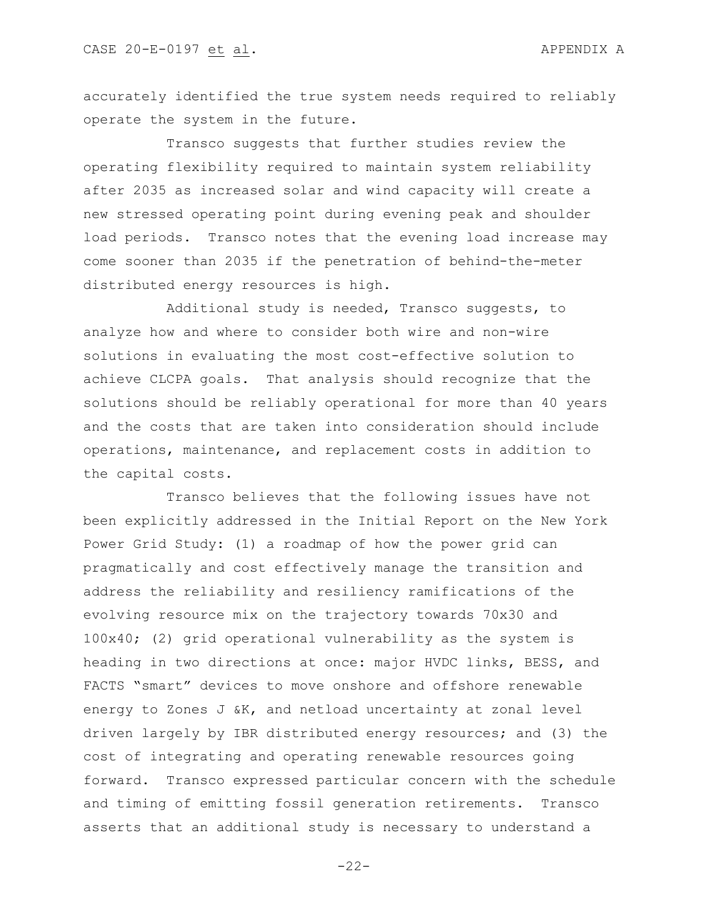accurately identified the true system needs required to reliably operate the system in the future.

Transco suggests that further studies review the operating flexibility required to maintain system reliability after 2035 as increased solar and wind capacity will create a new stressed operating point during evening peak and shoulder load periods. Transco notes that the evening load increase may come sooner than 2035 if the penetration of behind-the-meter distributed energy resources is high.

Additional study is needed, Transco suggests, to analyze how and where to consider both wire and non-wire solutions in evaluating the most cost-effective solution to achieve CLCPA goals. That analysis should recognize that the solutions should be reliably operational for more than 40 years and the costs that are taken into consideration should include operations, maintenance, and replacement costs in addition to the capital costs.

Transco believes that the following issues have not been explicitly addressed in the Initial Report on the New York Power Grid Study: (1) a roadmap of how the power grid can pragmatically and cost effectively manage the transition and address the reliability and resiliency ramifications of the evolving resource mix on the trajectory towards 70x30 and 100x40; (2) grid operational vulnerability as the system is heading in two directions at once: major HVDC links, BESS, and FACTS "smart" devices to move onshore and offshore renewable energy to Zones J &K, and netload uncertainty at zonal level driven largely by IBR distributed energy resources; and (3) the cost of integrating and operating renewable resources going forward. Transco expressed particular concern with the schedule and timing of emitting fossil generation retirements. Transco asserts that an additional study is necessary to understand a

-22-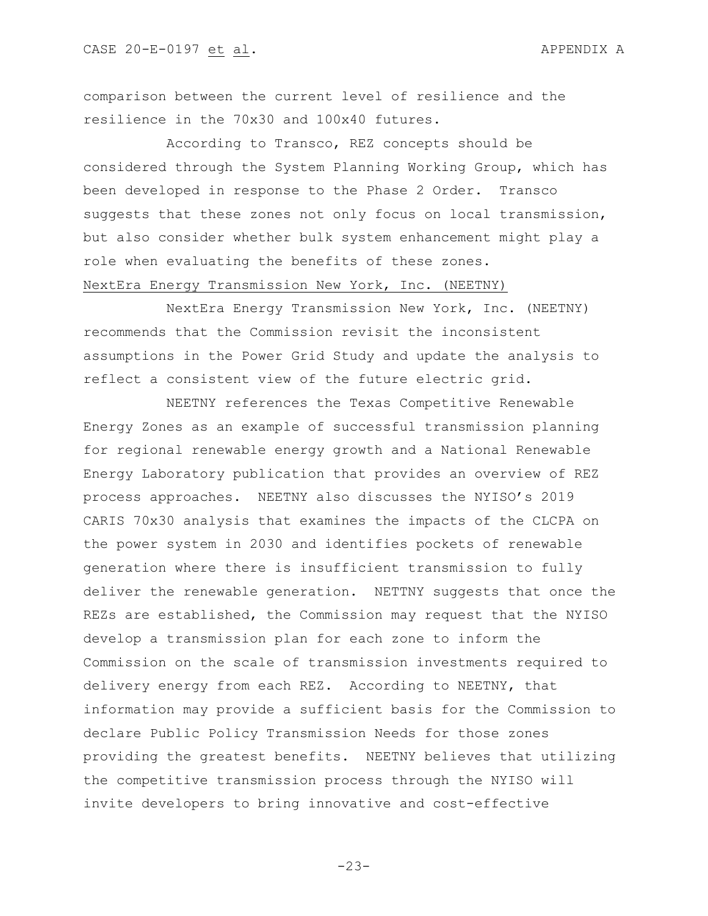comparison between the current level of resilience and the resilience in the 70x30 and 100x40 futures.

According to Transco, REZ concepts should be considered through the System Planning Working Group, which has been developed in response to the Phase 2 Order. Transco suggests that these zones not only focus on local transmission, but also consider whether bulk system enhancement might play a role when evaluating the benefits of these zones. NextEra Energy Transmission New York, Inc. (NEETNY)

NextEra Energy Transmission New York, Inc. (NEETNY) recommends that the Commission revisit the inconsistent assumptions in the Power Grid Study and update the analysis to reflect a consistent view of the future electric grid.

NEETNY references the Texas Competitive Renewable Energy Zones as an example of successful transmission planning for regional renewable energy growth and a National Renewable Energy Laboratory publication that provides an overview of REZ process approaches. NEETNY also discusses the NYISO's 2019 CARIS 70x30 analysis that examines the impacts of the CLCPA on the power system in 2030 and identifies pockets of renewable generation where there is insufficient transmission to fully deliver the renewable generation. NETTNY suggests that once the REZs are established, the Commission may request that the NYISO develop a transmission plan for each zone to inform the Commission on the scale of transmission investments required to delivery energy from each REZ. According to NEETNY, that information may provide a sufficient basis for the Commission to declare Public Policy Transmission Needs for those zones providing the greatest benefits. NEETNY believes that utilizing the competitive transmission process through the NYISO will invite developers to bring innovative and cost-effective

-23-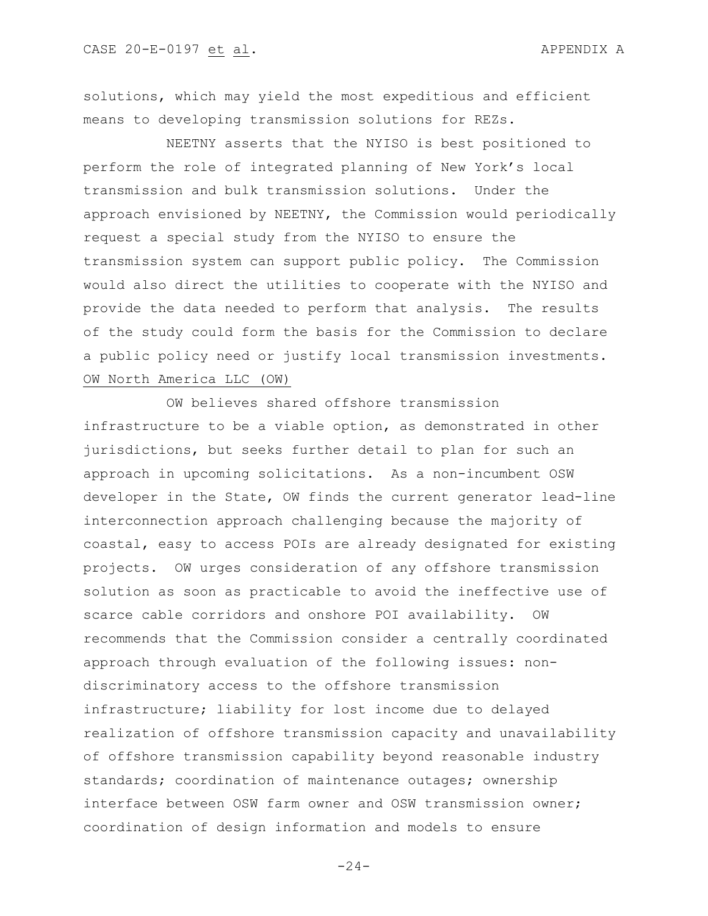solutions, which may yield the most expeditious and efficient means to developing transmission solutions for REZs.

NEETNY asserts that the NYISO is best positioned to perform the role of integrated planning of New York's local transmission and bulk transmission solutions. Under the approach envisioned by NEETNY, the Commission would periodically request a special study from the NYISO to ensure the transmission system can support public policy. The Commission would also direct the utilities to cooperate with the NYISO and provide the data needed to perform that analysis. The results of the study could form the basis for the Commission to declare a public policy need or justify local transmission investments. OW North America LLC (OW)

OW believes shared offshore transmission infrastructure to be a viable option, as demonstrated in other jurisdictions, but seeks further detail to plan for such an approach in upcoming solicitations. As a non-incumbent OSW developer in the State, OW finds the current generator lead-line interconnection approach challenging because the majority of coastal, easy to access POIs are already designated for existing projects. OW urges consideration of any offshore transmission solution as soon as practicable to avoid the ineffective use of scarce cable corridors and onshore POI availability. OW recommends that the Commission consider a centrally coordinated approach through evaluation of the following issues: nondiscriminatory access to the offshore transmission infrastructure; liability for lost income due to delayed realization of offshore transmission capacity and unavailability of offshore transmission capability beyond reasonable industry standards; coordination of maintenance outages; ownership interface between OSW farm owner and OSW transmission owner; coordination of design information and models to ensure

 $-24-$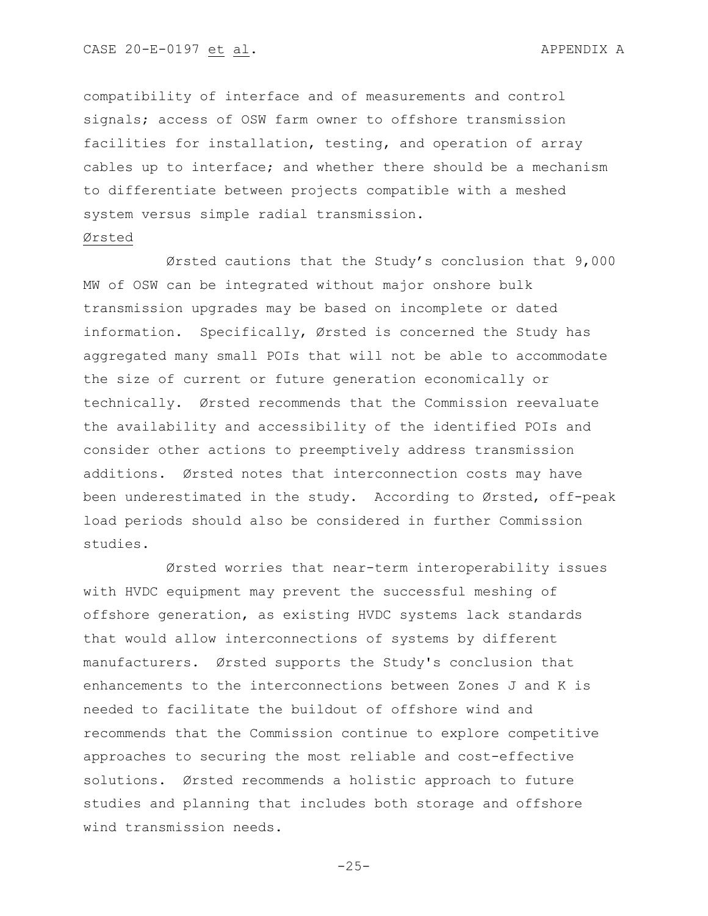compatibility of interface and of measurements and control signals; access of OSW farm owner to offshore transmission facilities for installation, testing, and operation of array cables up to interface; and whether there should be a mechanism to differentiate between projects compatible with a meshed system versus simple radial transmission.

### Ørsted

Ørsted cautions that the Study's conclusion that 9,000 MW of OSW can be integrated without major onshore bulk transmission upgrades may be based on incomplete or dated information. Specifically, Ørsted is concerned the Study has aggregated many small POIs that will not be able to accommodate the size of current or future generation economically or technically. Ørsted recommends that the Commission reevaluate the availability and accessibility of the identified POIs and consider other actions to preemptively address transmission additions. Ørsted notes that interconnection costs may have been underestimated in the study. According to Ørsted, off-peak load periods should also be considered in further Commission studies.

Ørsted worries that near-term interoperability issues with HVDC equipment may prevent the successful meshing of offshore generation, as existing HVDC systems lack standards that would allow interconnections of systems by different manufacturers. Ørsted supports the Study's conclusion that enhancements to the interconnections between Zones J and K is needed to facilitate the buildout of offshore wind and recommends that the Commission continue to explore competitive approaches to securing the most reliable and cost-effective solutions. Ørsted recommends a holistic approach to future studies and planning that includes both storage and offshore wind transmission needs.

-25-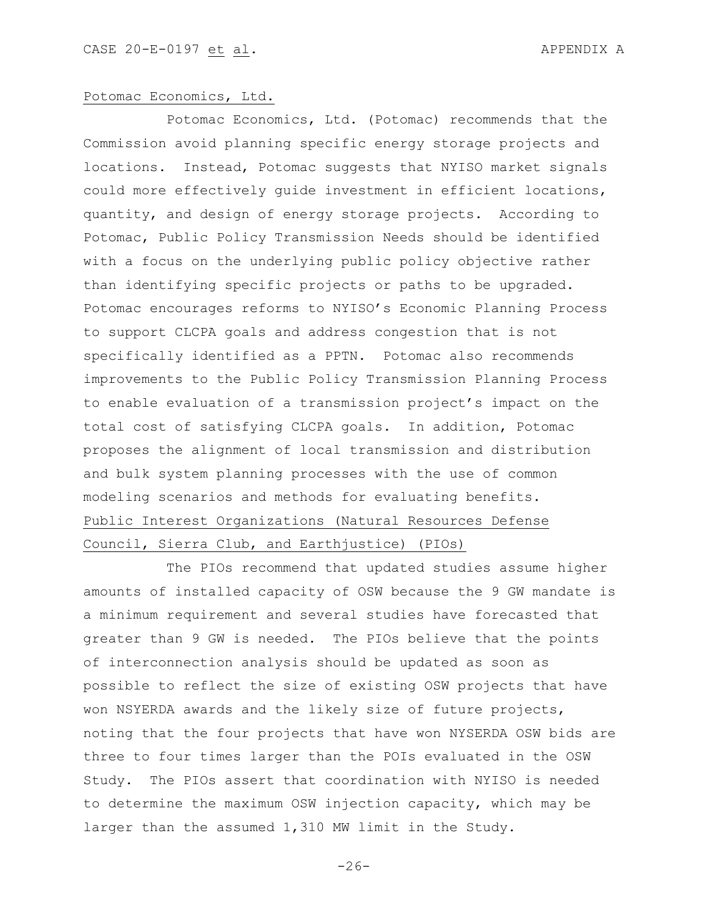### Potomac Economics, Ltd.

Potomac Economics, Ltd. (Potomac) recommends that the Commission avoid planning specific energy storage projects and locations. Instead, Potomac suggests that NYISO market signals could more effectively guide investment in efficient locations, quantity, and design of energy storage projects. According to Potomac, Public Policy Transmission Needs should be identified with a focus on the underlying public policy objective rather than identifying specific projects or paths to be upgraded. Potomac encourages reforms to NYISO's Economic Planning Process to support CLCPA goals and address congestion that is not specifically identified as a PPTN. Potomac also recommends improvements to the Public Policy Transmission Planning Process to enable evaluation of a transmission project's impact on the total cost of satisfying CLCPA goals. In addition, Potomac proposes the alignment of local transmission and distribution and bulk system planning processes with the use of common modeling scenarios and methods for evaluating benefits. Public Interest Organizations (Natural Resources Defense Council, Sierra Club, and Earthjustice) (PIOs)

The PIOs recommend that updated studies assume higher amounts of installed capacity of OSW because the 9 GW mandate is a minimum requirement and several studies have forecasted that greater than 9 GW is needed. The PIOs believe that the points of interconnection analysis should be updated as soon as possible to reflect the size of existing OSW projects that have won NSYERDA awards and the likely size of future projects, noting that the four projects that have won NYSERDA OSW bids are three to four times larger than the POIs evaluated in the OSW Study. The PIOs assert that coordination with NYISO is needed to determine the maximum OSW injection capacity, which may be larger than the assumed 1,310 MW limit in the Study.

 $-26-$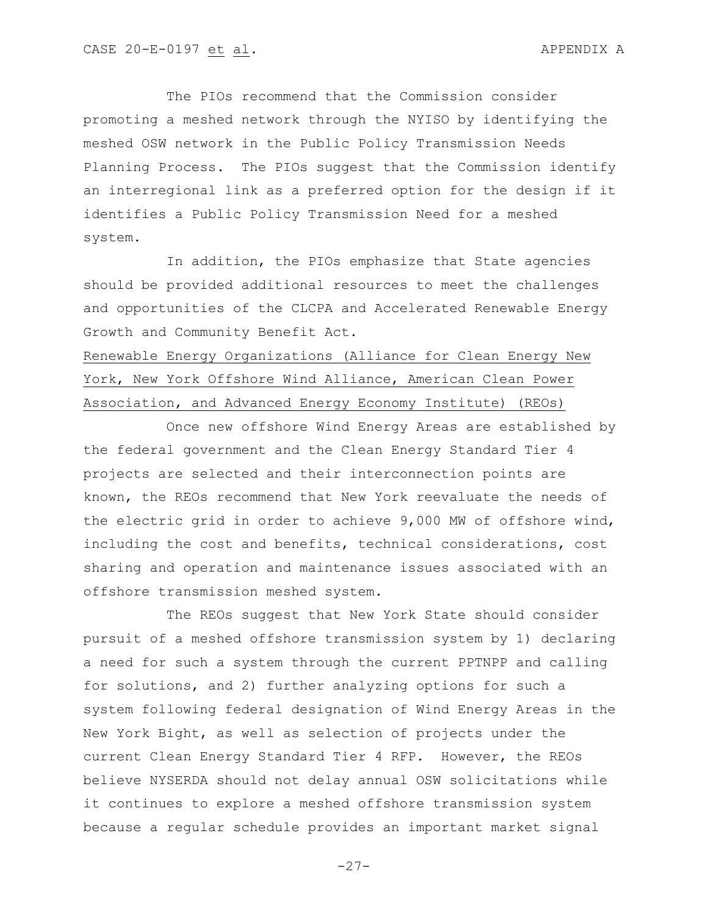The PIOs recommend that the Commission consider promoting a meshed network through the NYISO by identifying the meshed OSW network in the Public Policy Transmission Needs Planning Process. The PIOs suggest that the Commission identify an interregional link as a preferred option for the design if it identifies a Public Policy Transmission Need for a meshed system.

In addition, the PIOs emphasize that State agencies should be provided additional resources to meet the challenges and opportunities of the CLCPA and Accelerated Renewable Energy Growth and Community Benefit Act.

Renewable Energy Organizations (Alliance for Clean Energy New York, New York Offshore Wind Alliance, American Clean Power Association, and Advanced Energy Economy Institute) (REOs)

Once new offshore Wind Energy Areas are established by the federal government and the Clean Energy Standard Tier 4 projects are selected and their interconnection points are known, the REOs recommend that New York reevaluate the needs of the electric grid in order to achieve 9,000 MW of offshore wind, including the cost and benefits, technical considerations, cost sharing and operation and maintenance issues associated with an offshore transmission meshed system.

The REOs suggest that New York State should consider pursuit of a meshed offshore transmission system by 1) declaring a need for such a system through the current PPTNPP and calling for solutions, and 2) further analyzing options for such a system following federal designation of Wind Energy Areas in the New York Bight, as well as selection of projects under the current Clean Energy Standard Tier 4 RFP. However, the REOs believe NYSERDA should not delay annual OSW solicitations while it continues to explore a meshed offshore transmission system because a regular schedule provides an important market signal

-27-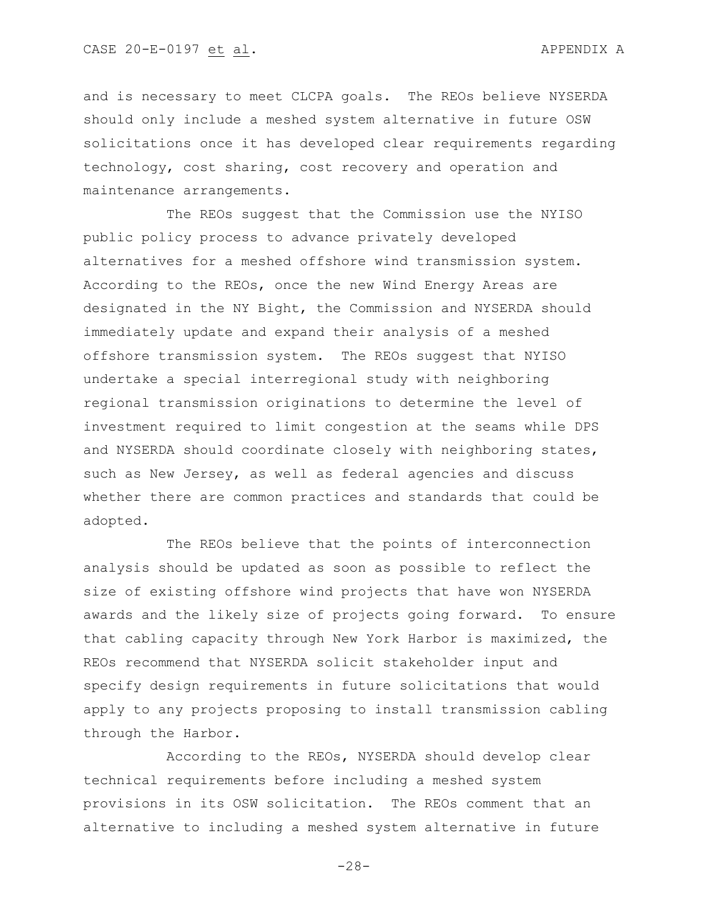and is necessary to meet CLCPA goals. The REOs believe NYSERDA should only include a meshed system alternative in future OSW solicitations once it has developed clear requirements regarding technology, cost sharing, cost recovery and operation and maintenance arrangements.

The REOs suggest that the Commission use the NYISO public policy process to advance privately developed alternatives for a meshed offshore wind transmission system. According to the REOs, once the new Wind Energy Areas are designated in the NY Bight, the Commission and NYSERDA should immediately update and expand their analysis of a meshed offshore transmission system. The REOs suggest that NYISO undertake a special interregional study with neighboring regional transmission originations to determine the level of investment required to limit congestion at the seams while DPS and NYSERDA should coordinate closely with neighboring states, such as New Jersey, as well as federal agencies and discuss whether there are common practices and standards that could be adopted.

The REOs believe that the points of interconnection analysis should be updated as soon as possible to reflect the size of existing offshore wind projects that have won NYSERDA awards and the likely size of projects going forward. To ensure that cabling capacity through New York Harbor is maximized, the REOs recommend that NYSERDA solicit stakeholder input and specify design requirements in future solicitations that would apply to any projects proposing to install transmission cabling through the Harbor.

According to the REOs, NYSERDA should develop clear technical requirements before including a meshed system provisions in its OSW solicitation. The REOs comment that an alternative to including a meshed system alternative in future

-28-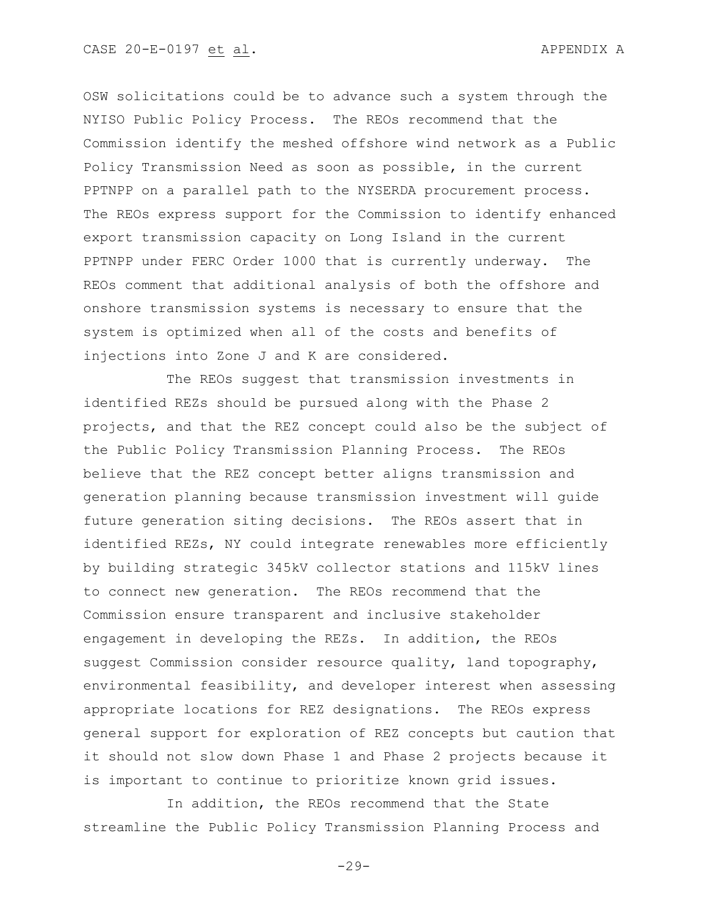OSW solicitations could be to advance such a system through the NYISO Public Policy Process. The REOs recommend that the Commission identify the meshed offshore wind network as a Public Policy Transmission Need as soon as possible, in the current PPTNPP on a parallel path to the NYSERDA procurement process. The REOs express support for the Commission to identify enhanced export transmission capacity on Long Island in the current PPTNPP under FERC Order 1000 that is currently underway. The REOs comment that additional analysis of both the offshore and onshore transmission systems is necessary to ensure that the system is optimized when all of the costs and benefits of injections into Zone J and K are considered.

The REOs suggest that transmission investments in identified REZs should be pursued along with the Phase 2 projects, and that the REZ concept could also be the subject of the Public Policy Transmission Planning Process. The REOs believe that the REZ concept better aligns transmission and generation planning because transmission investment will guide future generation siting decisions. The REOs assert that in identified REZs, NY could integrate renewables more efficiently by building strategic 345kV collector stations and 115kV lines to connect new generation. The REOs recommend that the Commission ensure transparent and inclusive stakeholder engagement in developing the REZs. In addition, the REOs suggest Commission consider resource quality, land topography, environmental feasibility, and developer interest when assessing appropriate locations for REZ designations. The REOs express general support for exploration of REZ concepts but caution that it should not slow down Phase 1 and Phase 2 projects because it is important to continue to prioritize known grid issues.

In addition, the REOs recommend that the State streamline the Public Policy Transmission Planning Process and

-29-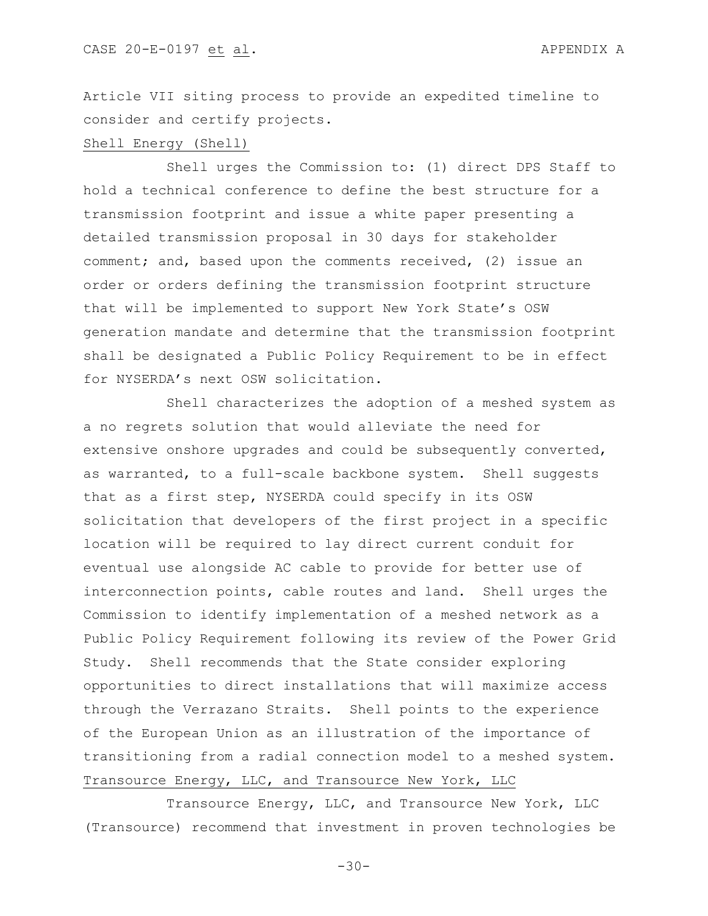Article VII siting process to provide an expedited timeline to consider and certify projects.

Shell Energy (Shell)

Shell urges the Commission to: (1) direct DPS Staff to hold a technical conference to define the best structure for a transmission footprint and issue a white paper presenting a detailed transmission proposal in 30 days for stakeholder comment; and, based upon the comments received, (2) issue an order or orders defining the transmission footprint structure that will be implemented to support New York State's OSW generation mandate and determine that the transmission footprint shall be designated a Public Policy Requirement to be in effect for NYSERDA's next OSW solicitation.

Shell characterizes the adoption of a meshed system as a no regrets solution that would alleviate the need for extensive onshore upgrades and could be subsequently converted, as warranted, to a full-scale backbone system. Shell suggests that as a first step, NYSERDA could specify in its OSW solicitation that developers of the first project in a specific location will be required to lay direct current conduit for eventual use alongside AC cable to provide for better use of interconnection points, cable routes and land. Shell urges the Commission to identify implementation of a meshed network as a Public Policy Requirement following its review of the Power Grid Study. Shell recommends that the State consider exploring opportunities to direct installations that will maximize access through the Verrazano Straits. Shell points to the experience of the European Union as an illustration of the importance of transitioning from a radial connection model to a meshed system. Transource Energy, LLC, and Transource New York, LLC

Transource Energy, LLC, and Transource New York, LLC (Transource) recommend that investment in proven technologies be

-30-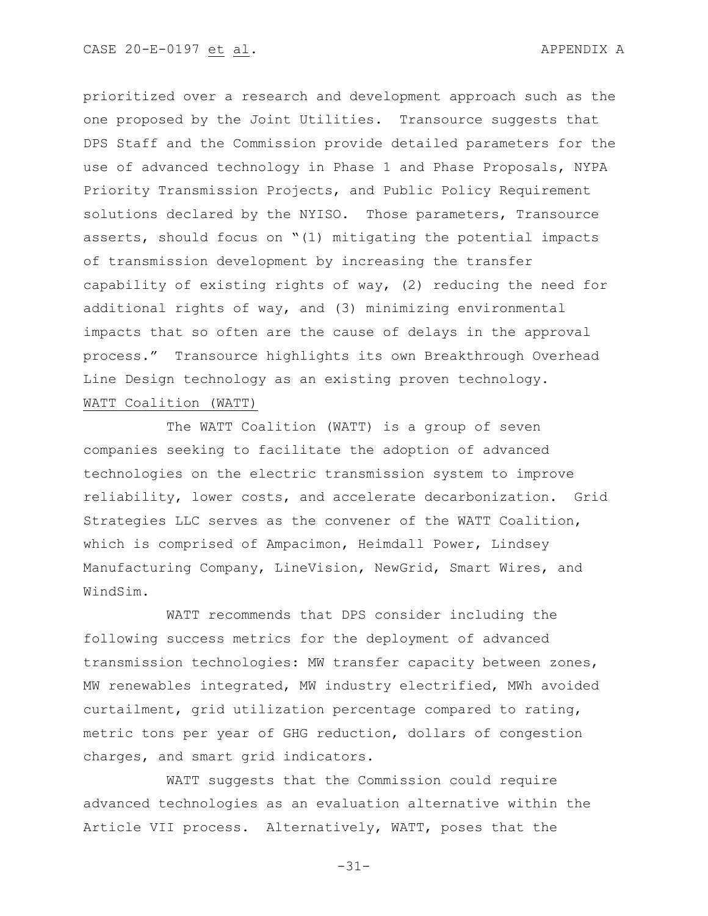prioritized over a research and development approach such as the one proposed by the Joint Utilities. Transource suggests that DPS Staff and the Commission provide detailed parameters for the use of advanced technology in Phase 1 and Phase Proposals, NYPA Priority Transmission Projects, and Public Policy Requirement solutions declared by the NYISO. Those parameters, Transource asserts, should focus on "(1) mitigating the potential impacts of transmission development by increasing the transfer capability of existing rights of way, (2) reducing the need for additional rights of way, and (3) minimizing environmental impacts that so often are the cause of delays in the approval process." Transource highlights its own Breakthrough Overhead Line Design technology as an existing proven technology. WATT Coalition (WATT)

The WATT Coalition (WATT) is a group of seven companies seeking to facilitate the adoption of advanced technologies on the electric transmission system to improve reliability, lower costs, and accelerate decarbonization. Grid Strategies LLC serves as the convener of the WATT Coalition, which is comprised of Ampacimon, Heimdall Power, Lindsey Manufacturing Company, LineVision, NewGrid, Smart Wires, and WindSim.

WATT recommends that DPS consider including the following success metrics for the deployment of advanced transmission technologies: MW transfer capacity between zones, MW renewables integrated, MW industry electrified, MWh avoided curtailment, grid utilization percentage compared to rating, metric tons per year of GHG reduction, dollars of congestion charges, and smart grid indicators.

WATT suggests that the Commission could require advanced technologies as an evaluation alternative within the Article VII process. Alternatively, WATT, poses that the

-31-